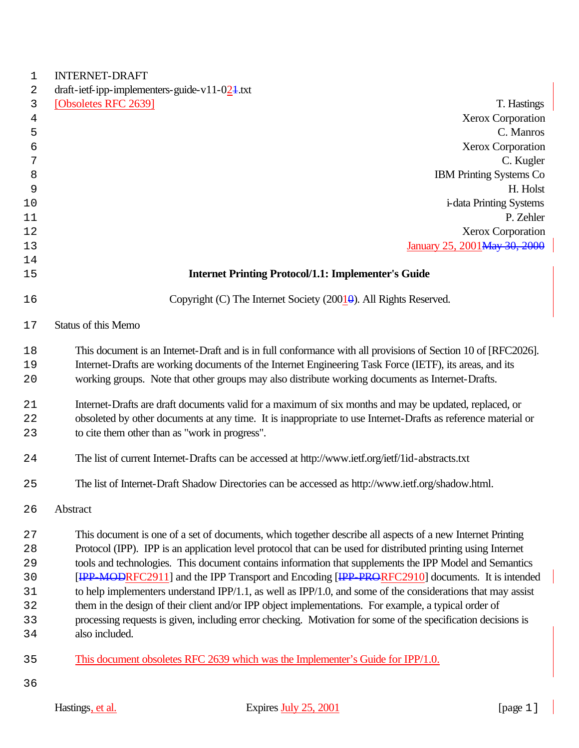| <b>INTERNET-DRAFT</b>                                                                                                           |
|---------------------------------------------------------------------------------------------------------------------------------|
| draft-ietf-ipp-implementers-guide-v11-024.txt                                                                                   |
| [Obsoletes RFC 2639]<br>T. Hastings                                                                                             |
| Xerox Corporation                                                                                                               |
| C. Manros                                                                                                                       |
| <b>Xerox Corporation</b>                                                                                                        |
| C. Kugler                                                                                                                       |
| <b>IBM Printing Systems Co</b>                                                                                                  |
| H. Holst                                                                                                                        |
| <i>i</i> -data Printing Systems                                                                                                 |
| P. Zehler                                                                                                                       |
| Xerox Corporation<br>January 25, 2001 May 30, 2000                                                                              |
|                                                                                                                                 |
| <b>Internet Printing Protocol/1.1: Implementer's Guide</b>                                                                      |
| Copyright (C) The Internet Society (20010). All Rights Reserved.                                                                |
| <b>Status of this Memo</b>                                                                                                      |
| This document is an Internet-Draft and is in full conformance with all provisions of Section 10 of [RFC2026].                   |
| Internet-Drafts are working documents of the Internet Engineering Task Force (IETF), its areas, and its                         |
| working groups. Note that other groups may also distribute working documents as Internet-Drafts.                                |
| Internet-Drafts are draft documents valid for a maximum of six months and may be updated, replaced, or                          |
| obsoleted by other documents at any time. It is inappropriate to use Internet-Drafts as reference material or                   |
| to cite them other than as "work in progress".                                                                                  |
| The list of current Internet-Drafts can be accessed at http://www.ietf.org/ietf/1id-abstracts.txt                               |
| The list of Internet-Draft Shadow Directories can be accessed as http://www.ietf.org/shadow.html.                               |
| Abstract                                                                                                                        |
| This document is one of a set of documents, which together describe all aspects of a new Internet Printing                      |
| Protocol (IPP). IPP is an application level protocol that can be used for distributed printing using Internet                   |
| tools and technologies. This document contains information that supplements the IPP Model and Semantics                         |
| [IPP-MODRFC2911] and the IPP Transport and Encoding [IPP-PRORFC2910] documents. It is intended                                  |
| to help implementers understand IPP/1.1, as well as IPP/1.0, and some of the considerations that may assist                     |
| them in the design of their client and/or IPP object implementations. For example, a typical order of                           |
| processing requests is given, including error checking. Motivation for some of the specification decisions is<br>also included. |
| This document obsoletes RFC 2639 which was the Implementer's Guide for IPP/1.0.                                                 |
|                                                                                                                                 |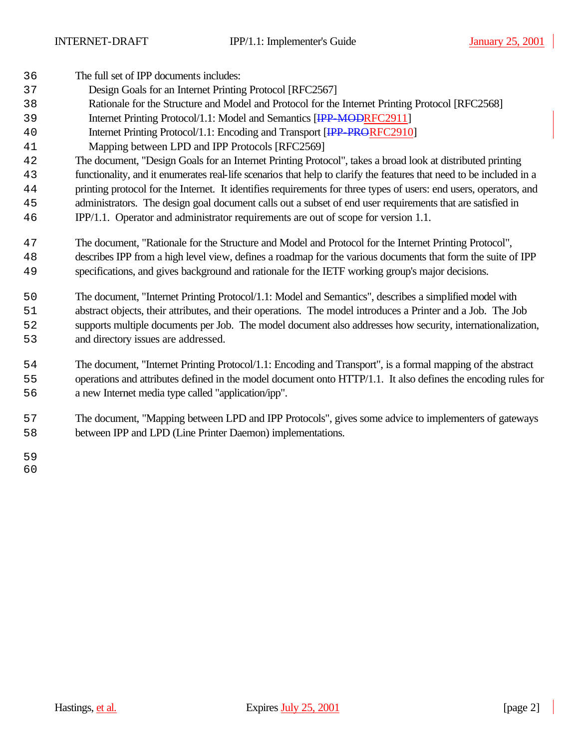| 36 | The full set of IPP documents includes:                                                                              |
|----|----------------------------------------------------------------------------------------------------------------------|
| 37 | Design Goals for an Internet Printing Protocol [RFC2567]                                                             |
| 38 | Rationale for the Structure and Model and Protocol for the Internet Printing Protocol [RFC2568]                      |
| 39 | Internet Printing Protocol/1.1: Model and Semantics [IPP-MODRFC2911]                                                 |
| 40 | Internet Printing Protocol/1.1: Encoding and Transport [IPP_PRORFC2910]                                              |
| 41 | Mapping between LPD and IPP Protocols [RFC2569]                                                                      |
| 42 | The document, "Design Goals for an Internet Printing Protocol", takes a broad look at distributed printing           |
| 43 | functionality, and it enumerates real-life scenarios that help to clarify the features that need to be included in a |
| 44 | printing protocol for the Internet. It identifies requirements for three types of users: end users, operators, and   |
| 45 | administrators. The design goal document calls out a subset of end user requirements that are satisfied in           |
| 46 | IPP/1.1. Operator and administrator requirements are out of scope for version 1.1.                                   |
| 47 | The document, "Rationale for the Structure and Model and Protocol for the Internet Printing Protocol",               |
| 48 | describes IPP from a high level view, defines a roadmap for the various documents that form the suite of IPP         |
| 49 | specifications, and gives background and rationale for the IETF working group's major decisions.                     |
| 50 | The document, "Internet Printing Protocol/1.1: Model and Semantics", describes a simplified model with               |
| 51 | abstract objects, their attributes, and their operations. The model introduces a Printer and a Job. The Job          |
| 52 | supports multiple documents per Job. The model document also addresses how security, internationalization,           |
| 53 | and directory issues are addressed.                                                                                  |
| 54 | The document, "Internet Printing Protocol/1.1: Encoding and Transport", is a formal mapping of the abstract          |
| 55 | operations and attributes defined in the model document onto HTTP/1.1. It also defines the encoding rules for        |
| 56 | a new Internet media type called "application/ipp".                                                                  |
| 57 | The document, "Mapping between LPD and IPP Protocols", gives some advice to implementers of gateways                 |

between IPP and LPD (Line Printer Daemon) implementations.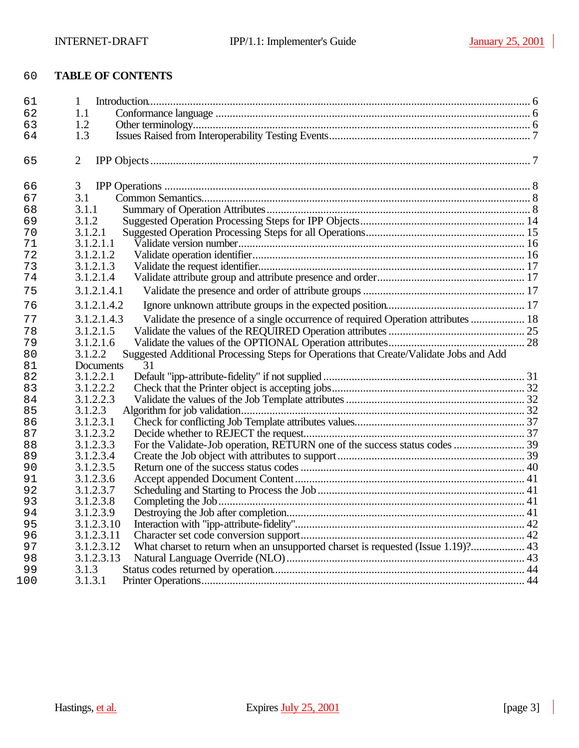# **TABLE OF CONTENTS**

| 61  | 1                                                                                                 |  |
|-----|---------------------------------------------------------------------------------------------------|--|
| 62  | 1.1                                                                                               |  |
| 63  | 1.2                                                                                               |  |
| 64  | 1.3                                                                                               |  |
| 65  | 2                                                                                                 |  |
| 66  | 3                                                                                                 |  |
| 67  | 3.1                                                                                               |  |
| 68  | 3.1.1                                                                                             |  |
| 69  | 3.1.2                                                                                             |  |
| 70  | 3.1.2.1                                                                                           |  |
| 71  | 3.1.2.1.1                                                                                         |  |
| 72  | 3.1.2.1.2                                                                                         |  |
| 73  | 3.1.2.1.3                                                                                         |  |
| 74  | 3.1.2.1.4                                                                                         |  |
| 75  | 3.1.2.1.4.1                                                                                       |  |
| 76  | 3.1.2.1.4.2                                                                                       |  |
| 77  | Validate the presence of a single occurrence of required Operation attributes  18<br>3.1.2.1.4.3  |  |
| 78  | 3.1.2.1.5                                                                                         |  |
| 79  | 3.1.2.1.6                                                                                         |  |
| 80  | Suggested Additional Processing Steps for Operations that Create/Validate Jobs and Add<br>3.1.2.2 |  |
| 81  | Documents<br>31                                                                                   |  |
| 82  | 3.1.2.2.1                                                                                         |  |
| 83  | 3.1.2.2.2                                                                                         |  |
| 84  | 3.1.2.2.3                                                                                         |  |
| 85  | 3.1.2.3                                                                                           |  |
| 86  | 3.1.2.3.1                                                                                         |  |
| 87  | 3.1.2.3.2                                                                                         |  |
| 88  | 3.1.2.3.3                                                                                         |  |
| 89  | 3.1.2.3.4                                                                                         |  |
| 90  | 3.1.2.3.5                                                                                         |  |
| 91  | 3.1.2.3.6                                                                                         |  |
| 92  | 3.1.2.3.7                                                                                         |  |
| 93  | 3.1.2.3.8                                                                                         |  |
| 94  | 3.1.2.3.9                                                                                         |  |
| 95  | 3.1.2.3.10                                                                                        |  |
| 96  | 3.1.2.3.11                                                                                        |  |
| 97  | What charset to return when an unsupported charset is requested (Issue 1.19)? 43<br>3.1.2.3.12    |  |
| 98  | 3.1.2.3.13                                                                                        |  |
| 99  | 3.1.3                                                                                             |  |
| 100 | 3.1.3.1                                                                                           |  |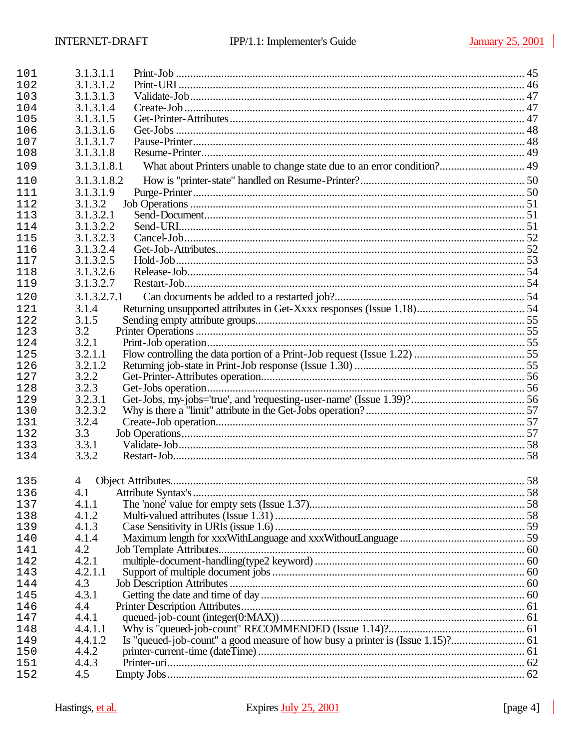| 101 | 3.1.3.1.1   |  |
|-----|-------------|--|
| 102 | 3.1.3.1.2   |  |
| 103 | 3.1.3.1.3   |  |
| 104 | 3.1.3.1.4   |  |
| 105 | 3.1.3.1.5   |  |
| 106 | 3.1.3.1.6   |  |
| 107 | 3.1.3.1.7   |  |
| 108 | 3.1.3.1.8   |  |
| 109 | 3.1.3.1.8.1 |  |
| 110 | 3.1.3.1.8.2 |  |
| 111 | 3.1.3.1.9   |  |
| 112 | 3.1.3.2     |  |
| 113 | 3.1.3.2.1   |  |
| 114 | 3.1.3.2.2   |  |
| 115 | 3.1.3.2.3   |  |
| 116 | 3.1.3.2.4   |  |
| 117 | 3.1.3.2.5   |  |
| 118 | 3.1.3.2.6   |  |
| 119 | 3.1.3.2.7   |  |
| 120 | 3.1.3.2.7.1 |  |
| 121 | 3.1.4       |  |
| 122 | 3.1.5       |  |
| 123 | 3.2         |  |
| 124 | 3.2.1       |  |
| 125 | 3.2.1.1     |  |
| 126 | 3.2.1.2     |  |
| 127 | 3.2.2       |  |
| 128 | 3.2.3       |  |
| 129 | 3.2.3.1     |  |
| 130 | 3.2.3.2     |  |
| 131 | 3.2.4       |  |
| 132 | 3.3         |  |
| 133 | 3.3.1       |  |
| 134 | 3.3.2       |  |
|     |             |  |
| 135 | 4           |  |
| 136 |             |  |
| 137 | 4.1.1       |  |
| 138 | 4.1.2       |  |
| 139 | 4.1.3       |  |
| 140 | 4.1.4       |  |
| 141 | 4.2         |  |
| 142 | 4.2.1       |  |
| 143 | 4.2.1.1     |  |
| 144 | 4.3         |  |
| 145 | 4.3.1       |  |
| 146 | 4.4         |  |
| 147 | 4.4.1       |  |
| 148 | 4.4.1.1     |  |
| 149 | 4.4.1.2     |  |
| 150 | 4.4.2       |  |
| 151 | 4.4.3       |  |
| 152 | 4.5         |  |
|     |             |  |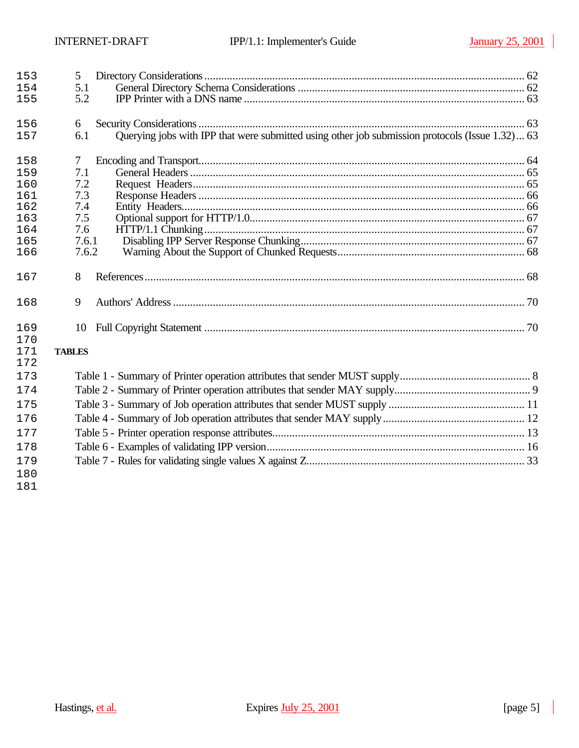| 153        | 5                                                                                                      |  |
|------------|--------------------------------------------------------------------------------------------------------|--|
| 154        | 5.1                                                                                                    |  |
| 155        | 5.2                                                                                                    |  |
| 156        | 6                                                                                                      |  |
| 157        | Querying jobs with IPP that were submitted using other job submission protocols (Issue 1.32) 63<br>6.1 |  |
| 158        | 7                                                                                                      |  |
| 159        | 7.1                                                                                                    |  |
| 160        | 7.2                                                                                                    |  |
| 161        | 7.3                                                                                                    |  |
| 162        | 7.4                                                                                                    |  |
| 163<br>164 | 7.5<br>7.6                                                                                             |  |
| 165        | 7.6.1                                                                                                  |  |
| 166        | 7.6.2                                                                                                  |  |
|            |                                                                                                        |  |
| 167        | 8                                                                                                      |  |
| 168        | 9                                                                                                      |  |
| 169        | 10                                                                                                     |  |
| 170        |                                                                                                        |  |
| 171<br>172 | <b>TABLES</b>                                                                                          |  |
| 173        |                                                                                                        |  |
| 174        |                                                                                                        |  |
| 175        |                                                                                                        |  |
| 176        |                                                                                                        |  |
| 177        |                                                                                                        |  |
| 178        |                                                                                                        |  |
| 179        |                                                                                                        |  |
| 180        |                                                                                                        |  |
| 181        |                                                                                                        |  |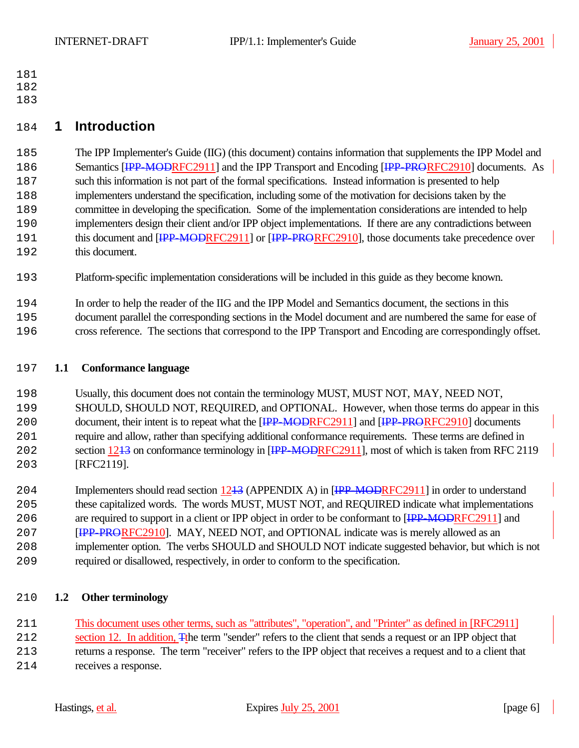- 
- 
- 

# **1 Introduction**

 The IPP Implementer's Guide (IIG) (this document) contains information that supplements the IPP Model and 186 Semantics [<del>IPP-MODRF</del>C2911] and the IPP Transport and Encoding [IPP-PRORFC2910] documents. As such this information is not part of the formal specifications. Instead information is presented to help implementers understand the specification, including some of the motivation for decisions taken by the committee in developing the specification. Some of the implementation considerations are intended to help implementers design their client and/or IPP object implementations. If there are any contradictions between 191 this document and [IPP-MODRFC2911] or [IPP-PRORFC2910], those documents take precedence over this document.

Platform-specific implementation considerations will be included in this guide as they become known.

In order to help the reader of the IIG and the IPP Model and Semantics document, the sections in this

 document parallel the corresponding sections in the Model document and are numbered the same for ease of cross reference. The sections that correspond to the IPP Transport and Encoding are correspondingly offset.

## **1.1 Conformance language**

 Usually, this document does not contain the terminology MUST, MUST NOT, MAY, NEED NOT, SHOULD, SHOULD NOT, REQUIRED, and OPTIONAL. However, when those terms do appear in this 200 document, their intent is to repeat what the [IPP-MODRFC2911] and [IPP-PRORFC2910] documents require and allow, rather than specifying additional conformance requirements. These terms are defined in 202 section 1243 on conformance terminology in [IPP-MODRFC2911], most of which is taken from RFC 2119 [RFC2119].

204 Implementers should read section 1243 (APPENDIX A) in [IPP-MODRFC2911] in order to understand these capitalized words. The words MUST, MUST NOT, and REQUIRED indicate what implementations 206 are required to support in a client or IPP object in order to be conformant to [<del>IPP-MOD</del>RFC2911] and **IPP-PRORFC2910**. MAY, NEED NOT, and OPTIONAL indicate was is merely allowed as an implementer option. The verbs SHOULD and SHOULD NOT indicate suggested behavior, but which is not required or disallowed, respectively, in order to conform to the specification.

## **1.2 Other terminology**

This document uses other terms, such as "attributes", "operation", and "Printer" as defined in [RFC2911]

212 section 12. In addition, The term "sender" refers to the client that sends a request or an IPP object that returns a response. The term "receiver" refers to the IPP object that receives a request and to a client that receives a response.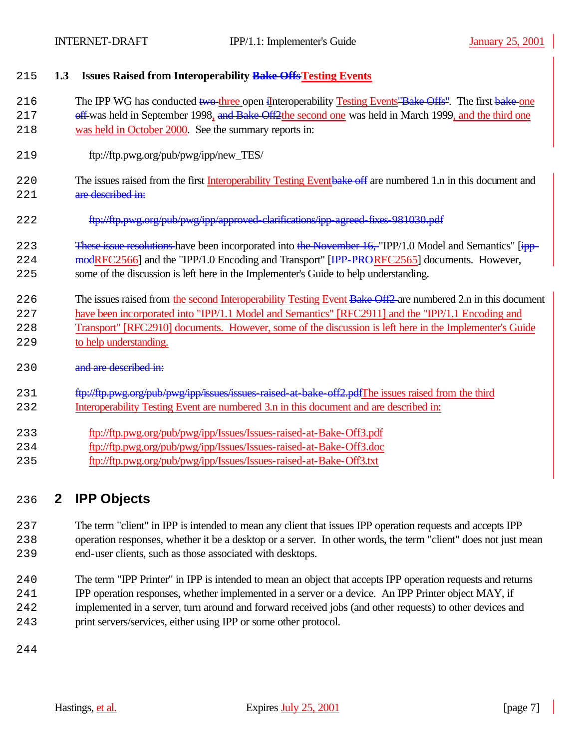|  |  | 215 1.3 Issues Raised from Interoperability Bake Offs Testing Events |  |
|--|--|----------------------------------------------------------------------|--|
|--|--|----------------------------------------------------------------------|--|

216 The IPP WG has conducted two three open iInteroperability Testing Events Bake Offs". The first bake one

- 217 off-was held in September 1998, and Bake Off2the second one was held in March 1999, and the third one was held in October 2000. See the summary reports in:
- ftp://ftp.pwg.org/pub/pwg/ipp/new\_TES/
- 220 The issues raised from the first Interoperability Testing Eventbake off are numbered 1.n in this document and 221 are described in:
- 222 ftp://ftp.pwg.org/pub/pwg/ipp/approved-clarifications/ipp-agreed-fixes-981030.pdf

## 223 These issue resolutions have been incorporated into the November 16, "IPP/1.0 Model and Semantics" [ipp-224 modRFC2566] and the "IPP/1.0 Encoding and Transport" [IPP-PRORFC2565] documents. However,

- some of the discussion is left here in the Implementer's Guide to help understanding.
- 226 The issues raised from the second Interoperability Testing Event Bake Off2 are numbered 2.n in this document have been incorporated into "IPP/1.1 Model and Semantics" [RFC2911] and the "IPP/1.1 Encoding and Transport" [RFC2910] documents. However, some of the discussion is left here in the Implementer's Guide to help understanding.
- 230 and are described in:
- 231 ftp://ftp.pwg.org/pub/pwg/ipp/issues/issues-raised-at-bake-off2.pdfThe issues raised from the third Interoperability Testing Event are numbered 3.n in this document and are described in:
- ftp://ftp.pwg.org/pub/pwg/ipp/Issues/Issues-raised-at-Bake-Off3.pdf
- ftp://ftp.pwg.org/pub/pwg/ipp/Issues/Issues-raised-at-Bake-Off3.doc
- ftp://ftp.pwg.org/pub/pwg/ipp/Issues/Issues-raised-at-Bake-Off3.txt

# **2 IPP Objects**

 The term "client" in IPP is intended to mean any client that issues IPP operation requests and accepts IPP operation responses, whether it be a desktop or a server. In other words, the term "client" does not just mean end-user clients, such as those associated with desktops.

- The term "IPP Printer" in IPP is intended to mean an object that accepts IPP operation requests and returns
- IPP operation responses, whether implemented in a server or a device. An IPP Printer object MAY, if
- implemented in a server, turn around and forward received jobs (and other requests) to other devices and
- print servers/services, either using IPP or some other protocol.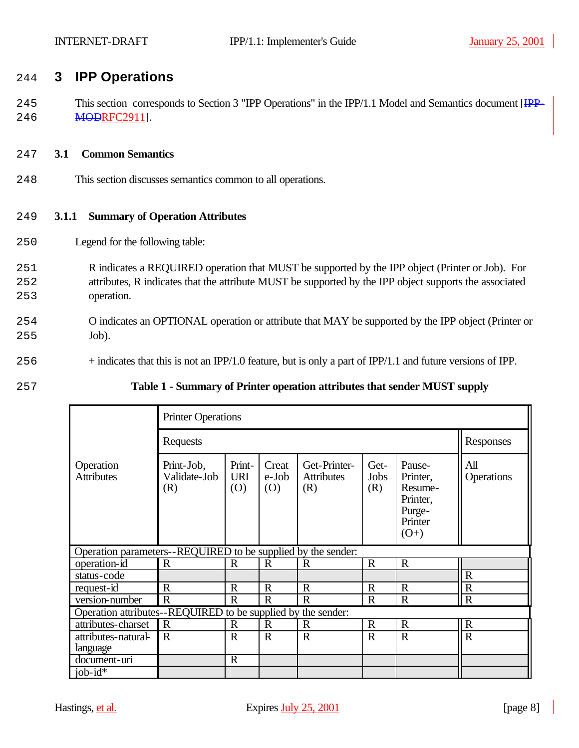# 244 **3 IPP Operations**

245 This section corresponds to Section 3 "IPP Operations" in the IPP/1.1 Model and Semantics document [IPP-246 **MODRFC2911**].

### 247 **3.1 Common Semantics**

248 This section discusses semantics common to all operations.

### 249 **3.1.1 Summary of Operation Attributes**

- 250 Legend for the following table:
- 251 R indicates a REQUIRED operation that MUST be supported by the IPP object (Printer or Job). For 252 attributes, R indicates that the attribute MUST be supported by the IPP object supports the associated 253 operation.
- 254 O indicates an OPTIONAL operation or attribute that MAY be supported by the IPP object (Printer or 255 Job).
- 256 + indicates that this is not an IPP/1.0 feature, but is only a part of IPP/1.1 and future versions of IPP.
- 

## 257 **Table 1 - Summary of Printer operation attributes that sender MUST supply**

|                                                              | <b>Printer Operations</b>         |                             |                       |                                          |                     |                                                                          |                   |  |  |  |
|--------------------------------------------------------------|-----------------------------------|-----------------------------|-----------------------|------------------------------------------|---------------------|--------------------------------------------------------------------------|-------------------|--|--|--|
|                                                              | Requests                          | Responses                   |                       |                                          |                     |                                                                          |                   |  |  |  |
| Operation<br><b>Attributes</b>                               | Print-Job,<br>Validate-Job<br>(R) | Print-<br><b>URI</b><br>(O) | Creat<br>e-Job<br>(0) | Get-Printer-<br><b>Attributes</b><br>(R) | Get-<br>Jobs<br>(R) | Pause-<br>Printer,<br>Resume-<br>Printer,<br>Purge-<br>Printer<br>$(O+)$ | All<br>Operations |  |  |  |
| Operation parameters--REQUIRED to be supplied by the sender: |                                   |                             |                       |                                          |                     |                                                                          |                   |  |  |  |
| operation-id                                                 | $\mathbf R$                       | R                           | $\mathbf R$           | R                                        | $\mathbf R$         | $\mathbf R$                                                              |                   |  |  |  |
| status-code                                                  |                                   |                             |                       |                                          |                     |                                                                          | $\mathbf R$       |  |  |  |
| request-id                                                   | $\mathbf R$                       | $\mathbf R$                 | $\mathbf R$           | $\mathbf R$                              | $\mathbf R$         | $\mathbf R$                                                              | $\mathbf R$       |  |  |  |
| version-number                                               | $\mathbf R$                       | $\mathbf R$                 | $\mathbb{R}$          | $\mathbf R$                              | $\mathbf R$         | $\mathbf R$                                                              | $\mathbf R$       |  |  |  |
| Operation attributes--REQUIRED to be supplied by the sender: |                                   |                             |                       |                                          |                     |                                                                          |                   |  |  |  |
| attributes-charset                                           | $\mathbf R$                       | $\mathbf R$                 | $\mathbf R$           | $\mathbb{R}$                             | $\mathbf R$         | $\mathbf R$                                                              | $\mathbf R$       |  |  |  |
| attributes-natural-<br>language                              | $\mathbf R$                       | $\mathbf R$                 | $\mathbf R$           | $\mathbf R$                              | $\mathbf R$         | $\mathbf R$                                                              | $\overline{R}$    |  |  |  |
| document-uri                                                 |                                   | $\mathbf R$                 |                       |                                          |                     |                                                                          |                   |  |  |  |
| $job-id*$                                                    |                                   |                             |                       |                                          |                     |                                                                          |                   |  |  |  |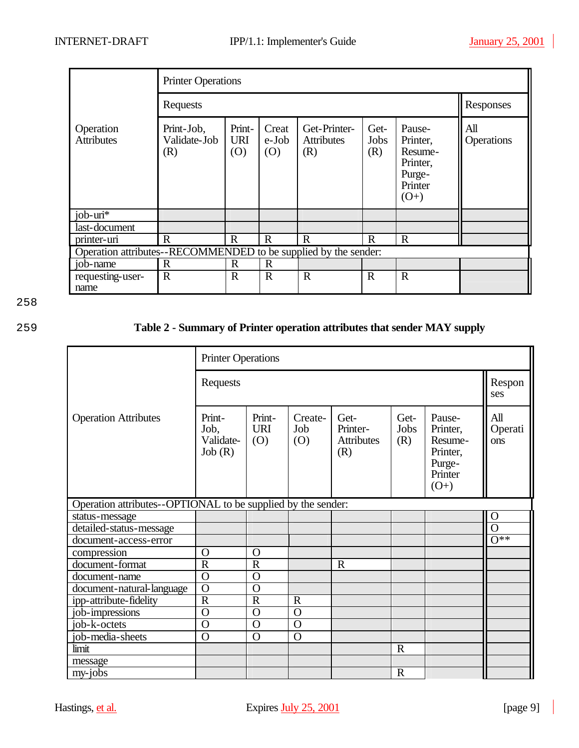|                                | <b>Printer Operations</b>                                       |                             |                       |                                          |                     |                                                                          |                   |  |  |
|--------------------------------|-----------------------------------------------------------------|-----------------------------|-----------------------|------------------------------------------|---------------------|--------------------------------------------------------------------------|-------------------|--|--|
|                                | Requests                                                        | Responses                   |                       |                                          |                     |                                                                          |                   |  |  |
| Operation<br><b>Attributes</b> | Print-Job,<br>Validate-Job<br>(R)                               | Print-<br><b>URI</b><br>(O) | Creat<br>e-Job<br>(0) | Get-Printer-<br><b>Attributes</b><br>(R) | Get-<br>Jobs<br>(R) | Pause-<br>Printer,<br>Resume-<br>Printer,<br>Purge-<br>Printer<br>$(O+)$ | All<br>Operations |  |  |
| job-uri $\overline{A}$         |                                                                 |                             |                       |                                          |                     |                                                                          |                   |  |  |
| last-document                  |                                                                 |                             |                       |                                          |                     |                                                                          |                   |  |  |
| printer-uri                    | $\mathbf{R}$                                                    | $\mathbf R$                 | $\mathbf R$           | $\mathbf R$                              | $\mathbf R$         | $\mathbf R$                                                              |                   |  |  |
|                                | Operation attributes--RECOMMENDED to be supplied by the sender: |                             |                       |                                          |                     |                                                                          |                   |  |  |
| job-name                       | $\mathbf R$                                                     | $\mathbf R$                 | $\mathbf R$           |                                          |                     |                                                                          |                   |  |  |
| requesting-user-<br>name       | $\mathbf R$                                                     | $\mathbf R$                 | $\mathbf R$           | $\mathbf R$                              | $\mathbf R$         | $\mathbf R$                                                              |                   |  |  |

# 259 **Table 2 - Summary of Printer operation attributes that sender MAY supply**

|                                                              | <b>Printer Operations</b>             |                             |                       |                                              |                     |                                                                          |                       |  |
|--------------------------------------------------------------|---------------------------------------|-----------------------------|-----------------------|----------------------------------------------|---------------------|--------------------------------------------------------------------------|-----------------------|--|
|                                                              | Requests                              |                             |                       |                                              |                     |                                                                          |                       |  |
| <b>Operation Attributes</b>                                  | Print-<br>Job,<br>Validate-<br>Job(R) | Print-<br><b>URI</b><br>(O) | Create-<br>Job<br>(O) | Get-<br>Printer-<br><b>Attributes</b><br>(R) | Get-<br>Jobs<br>(R) | Pause-<br>Printer,<br>Resume-<br>Printer,<br>Purge-<br>Printer<br>$(O+)$ | All<br>Operati<br>ons |  |
| Operation attributes--OPTIONAL to be supplied by the sender: |                                       |                             |                       |                                              |                     |                                                                          |                       |  |
| status-message                                               |                                       |                             |                       |                                              |                     |                                                                          | $\mathbf O$           |  |
| detailed-status-message                                      |                                       |                             |                       |                                              |                     |                                                                          | $\overline{O}$        |  |
| document-access-error                                        |                                       |                             |                       |                                              |                     |                                                                          | $0**$                 |  |
| compression                                                  | $\Omega$                              | $\Omega$                    |                       |                                              |                     |                                                                          |                       |  |
| document-format                                              | $\overline{R}$                        | $\overline{R}$              |                       | $\mathbf R$                                  |                     |                                                                          |                       |  |
| document-name                                                | $\overline{O}$                        | $\Omega$                    |                       |                                              |                     |                                                                          |                       |  |
| document-natural-language                                    | $\overline{0}$                        | $\Omega$                    |                       |                                              |                     |                                                                          |                       |  |
| ipp-attribute-fidelity                                       | $\overline{R}$                        | $\mathbf R$                 | $\mathbf R$           |                                              |                     |                                                                          |                       |  |
| job-impressions                                              | $\overline{O}$                        | $\Omega$                    | $\overline{O}$        |                                              |                     |                                                                          |                       |  |
| job-k-octets                                                 | $\overline{O}$                        | $\Omega$                    | $\overline{O}$        |                                              |                     |                                                                          |                       |  |
| job-media-sheets                                             | $\overline{O}$                        | $\overline{O}$              | $\overline{0}$        |                                              |                     |                                                                          |                       |  |
| limit                                                        |                                       |                             |                       |                                              | $\mathbf R$         |                                                                          |                       |  |
| message                                                      |                                       |                             |                       |                                              |                     |                                                                          |                       |  |
| $my-jobs$                                                    |                                       |                             |                       |                                              | $\mathbf R$         |                                                                          |                       |  |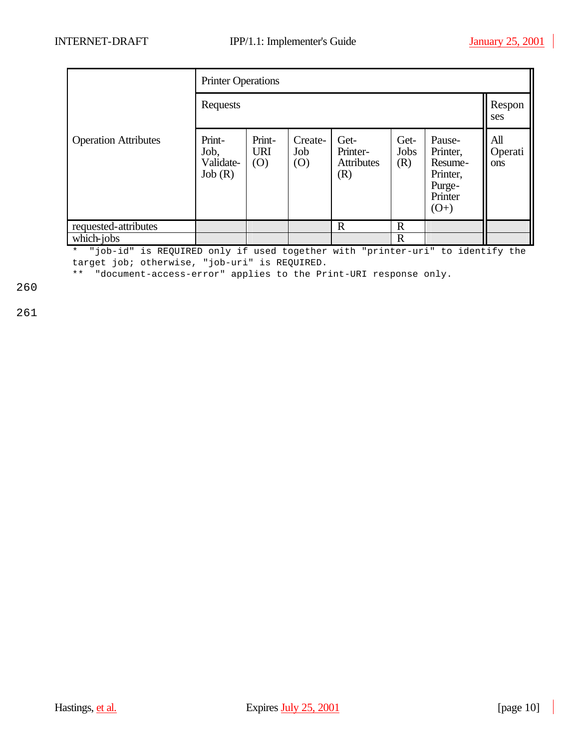|                             | <b>Printer Operations</b>             |                             |                       |                                              |                     |                                                                          |                       |
|-----------------------------|---------------------------------------|-----------------------------|-----------------------|----------------------------------------------|---------------------|--------------------------------------------------------------------------|-----------------------|
|                             | Requests                              |                             |                       |                                              |                     |                                                                          |                       |
| <b>Operation Attributes</b> | Print-<br>Job,<br>Validate-<br>Job(R) | Print-<br><b>URI</b><br>(O) | Create-<br>Job<br>(O) | Get-<br>Printer-<br><b>Attributes</b><br>(R) | Get-<br>Jobs<br>(R) | Pause-<br>Printer,<br>Resume-<br>Printer,<br>Purge-<br>Printer<br>$(O+)$ | All<br>Operati<br>ons |
| requested-attributes        |                                       |                             |                       | $\mathbf R$                                  | $\mathbb{R}$        |                                                                          |                       |
| which-jobs                  |                                       |                             |                       |                                              | $\mathbf R$         |                                                                          |                       |

\* "job-id" is REQUIRED only if used together with "printer-uri" to identify the target job; otherwise, "job-uri" is REQUIRED.

\*\* "document-access-error" applies to the Print-URI response only.

260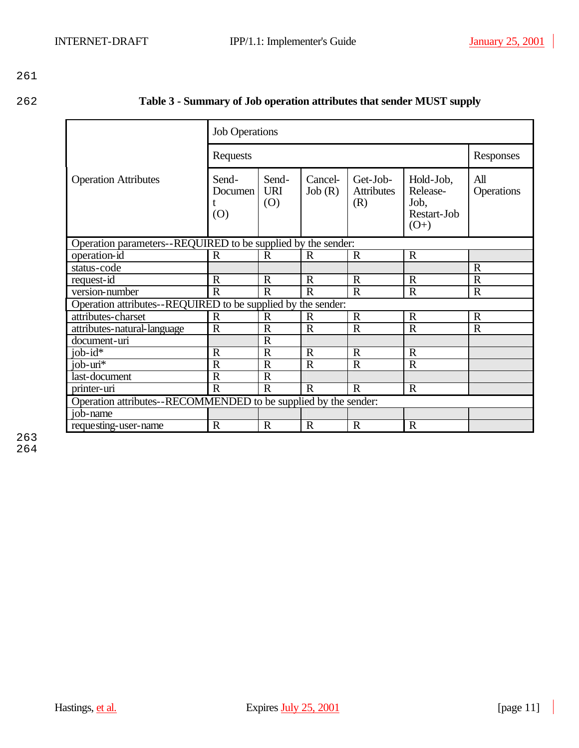| 262 | Table 3 - Summary of Job operation attributes that sender MUST supply |  |
|-----|-----------------------------------------------------------------------|--|
|-----|-----------------------------------------------------------------------|--|

|                                                                 | <b>Job Operations</b>   |                            |                   |                                      |                                                        |                   |  |  |
|-----------------------------------------------------------------|-------------------------|----------------------------|-------------------|--------------------------------------|--------------------------------------------------------|-------------------|--|--|
|                                                                 | Requests                | Responses                  |                   |                                      |                                                        |                   |  |  |
| <b>Operation Attributes</b>                                     | Send-<br>Documen<br>(0) | Send-<br><b>URI</b><br>(O) | Cancel-<br>Job(R) | Get-Job-<br><b>Attributes</b><br>(R) | Hold-Job,<br>Release-<br>Job,<br>Restart-Job<br>$(O+)$ | All<br>Operations |  |  |
| Operation parameters--REQUIRED to be supplied by the sender:    |                         |                            |                   |                                      |                                                        |                   |  |  |
| operation-id                                                    | $\mathbf R$             | $\mathbf R$                | $\mathbf R$       | $\mathbf R$                          | $\mathbf R$                                            |                   |  |  |
| status-code                                                     |                         |                            |                   |                                      |                                                        | $\mathbf R$       |  |  |
| request-id                                                      | $\mathbf R$             | $\mathbb{R}$               | $\mathbf R$       | $\mathbf R$                          | $\mathbf R$                                            | $\mathbf R$       |  |  |
| version-number                                                  | $\mathbf R$             | $\mathbf R$                | $\mathbf R$       | $\mathbf R$                          | $\mathbf R$                                            | $\mathbf R$       |  |  |
| Operation attributes--REQUIRED to be supplied by the sender:    |                         |                            |                   |                                      |                                                        |                   |  |  |
| attributes-charset                                              | $\mathbf R$             | R                          | R                 | $\mathbb{R}$                         | $\mathbb{R}$                                           | $\mathbf R$       |  |  |
| attributes-natural-language                                     | $\overline{R}$          | $\overline{R}$             | $\mathbf R$       | $\mathbf R$                          | $\overline{R}$                                         | $\overline{R}$    |  |  |
| document-uri                                                    |                         | $\mathbf R$                |                   |                                      |                                                        |                   |  |  |
| job- $id^{\overline{*}}$                                        | $\mathbf R$             | $\mathbf R$                | $\mathbf R$       | $\mathbf R$                          | $\mathbf R$                                            |                   |  |  |
| $job - uri*$                                                    | $\mathbf R$             | $\mathbf R$                | $\mathbf R$       | $\mathbf R$                          | $\mathbf R$                                            |                   |  |  |
| last-document                                                   | $\mathbf R$             | $\mathbf R$                |                   |                                      |                                                        |                   |  |  |
| printer-uri                                                     | $\mathbf R$             | $\mathbf R$                | $\mathbf R$       | $\mathbf R$                          | $\mathbf R$                                            |                   |  |  |
| Operation attributes--RECOMMENDED to be supplied by the sender: |                         |                            |                   |                                      |                                                        |                   |  |  |
| job-name                                                        |                         |                            |                   |                                      |                                                        |                   |  |  |
| requesting-user-name                                            | $\mathbf R$             | $\mathbf R$                | R                 | $\mathbf R$                          | $\mathbf R$                                            |                   |  |  |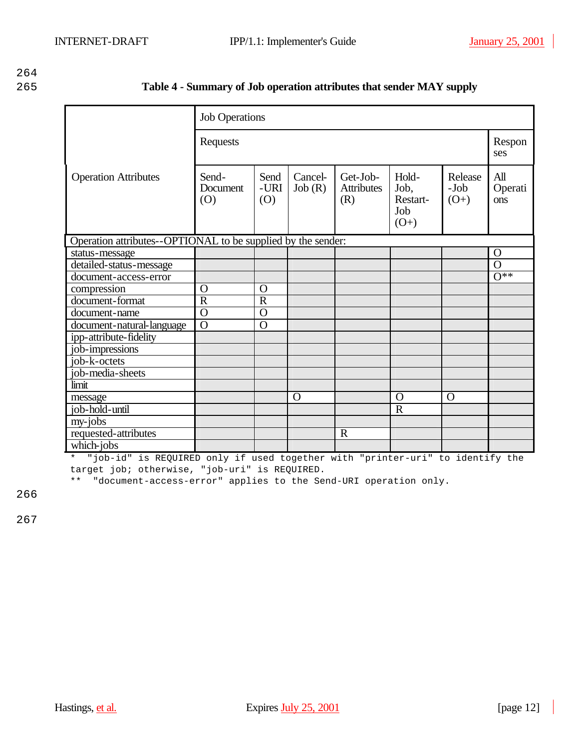| 265 | Table 4 - Summary of Job operation attributes that sender MAY supply |  |
|-----|----------------------------------------------------------------------|--|
|     |                                                                      |  |

|                                                              | <b>Job Operations</b>    |                     |                   |                                      |                                            |                           |                       |
|--------------------------------------------------------------|--------------------------|---------------------|-------------------|--------------------------------------|--------------------------------------------|---------------------------|-----------------------|
|                                                              | Requests                 |                     |                   |                                      |                                            |                           | Respon<br>ses         |
| <b>Operation Attributes</b>                                  | Send-<br>Document<br>(0) | Send<br>-URI<br>(O) | Cancel-<br>Job(R) | Get-Job-<br><b>Attributes</b><br>(R) | Hold-<br>Job,<br>Restart-<br>Job<br>$(O+)$ | Release<br>-Job<br>$(O+)$ | All<br>Operati<br>ons |
| Operation attributes--OPTIONAL to be supplied by the sender: |                          |                     |                   |                                      |                                            |                           |                       |
| status-message                                               |                          |                     |                   |                                      |                                            |                           | $\Omega$              |
| detailed-status-message                                      |                          |                     |                   |                                      |                                            |                           | $\overline{O}$        |
| document-access-error                                        |                          |                     |                   |                                      |                                            |                           | $\overline{O^{**}}$   |
| compression                                                  | O                        | O                   |                   |                                      |                                            |                           |                       |
| document-format                                              | $\overline{R}$           | $\overline{R}$      |                   |                                      |                                            |                           |                       |
| document-name                                                | $\overline{0}$           | $\overline{O}$      |                   |                                      |                                            |                           |                       |
| document-natural-language                                    | $\overline{O}$           | $\overline{O}$      |                   |                                      |                                            |                           |                       |
| ipp-attribute-fidelity                                       |                          |                     |                   |                                      |                                            |                           |                       |
| job-impressions                                              |                          |                     |                   |                                      |                                            |                           |                       |
| job-k-octets                                                 |                          |                     |                   |                                      |                                            |                           |                       |
| job-media-sheets                                             |                          |                     |                   |                                      |                                            |                           |                       |
| limit                                                        |                          |                     |                   |                                      |                                            |                           |                       |
| message                                                      |                          |                     | O                 |                                      | $\Omega$                                   | O                         |                       |
| job-hold-until                                               |                          |                     |                   |                                      | $\overline{R}$                             |                           |                       |
| my-jobs                                                      |                          |                     |                   |                                      |                                            |                           |                       |
| requested-attributes                                         |                          |                     |                   | $\mathbf R$                          |                                            |                           |                       |
| which-jobs                                                   |                          |                     |                   |                                      |                                            |                           |                       |

\* "job-id" is REQUIRED only if used together with "printer-uri" to identify the target job; otherwise, "job-uri" is REQUIRED.

\*\* "document-access-error" applies to the Send-URI operation only.

266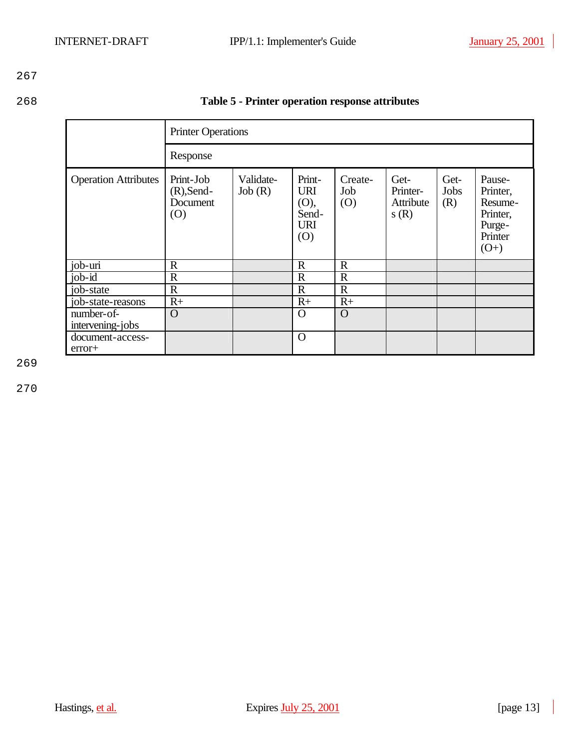| Table 5 - Printer operation response attributes |
|-------------------------------------------------|

|                                | <b>Printer Operations</b>                     |                     |                                                            |                       |                                       |                     |                                                                          |
|--------------------------------|-----------------------------------------------|---------------------|------------------------------------------------------------|-----------------------|---------------------------------------|---------------------|--------------------------------------------------------------------------|
|                                | Response                                      |                     |                                                            |                       |                                       |                     |                                                                          |
| <b>Operation Attributes</b>    | Print-Job<br>$(R)$ , Send-<br>Document<br>(0) | Validate-<br>Job(R) | Print-<br><b>URI</b><br>(O),<br>Send-<br><b>URI</b><br>(O) | Create-<br>Job<br>(0) | Get-<br>Printer-<br>Attribute<br>s(R) | Get-<br>Jobs<br>(R) | Pause-<br>Printer,<br>Resume-<br>Printer,<br>Purge-<br>Printer<br>$(O+)$ |
| job-uri                        | $\mathbf R$                                   |                     | $\mathbb{R}$                                               | $\mathbf R$           |                                       |                     |                                                                          |
| $job-id$                       | $\mathbf R$                                   |                     | $\mathbb{R}$                                               | $\mathbf R$           |                                       |                     |                                                                          |
| job-state                      | $\mathbb{R}$                                  |                     | $\mathbf R$                                                | $\mathbf R$           |                                       |                     |                                                                          |
| job-state-reasons              | $R+$                                          |                     | $R+$                                                       | $R+$                  |                                       |                     |                                                                          |
| number-of-<br>intervening-jobs | $\Omega$                                      |                     | $\Omega$                                                   | $\Omega$              |                                       |                     |                                                                          |
| document-access-<br>error+     |                                               |                     | $\mathbf O$                                                |                       |                                       |                     |                                                                          |

269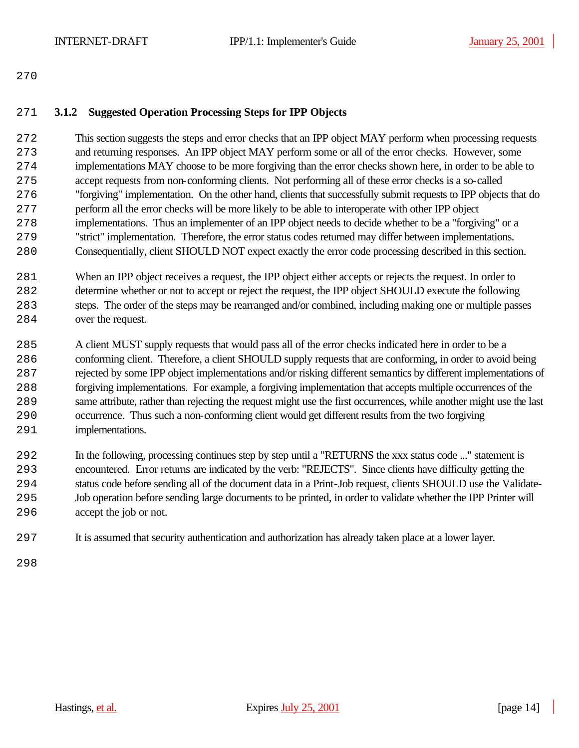## **3.1.2 Suggested Operation Processing Steps for IPP Objects**

 This section suggests the steps and error checks that an IPP object MAY perform when processing requests and returning responses. An IPP object MAY perform some or all of the error checks. However, some implementations MAY choose to be more forgiving than the error checks shown here, in order to be able to accept requests from non-conforming clients. Not performing all of these error checks is a so-called "forgiving" implementation. On the other hand, clients that successfully submit requests to IPP objects that do perform all the error checks will be more likely to be able to interoperate with other IPP object implementations. Thus an implementer of an IPP object needs to decide whether to be a "forgiving" or a "strict" implementation. Therefore, the error status codes returned may differ between implementations. Consequentially, client SHOULD NOT expect exactly the error code processing described in this section.

- When an IPP object receives a request, the IPP object either accepts or rejects the request. In order to determine whether or not to accept or reject the request, the IPP object SHOULD execute the following steps. The order of the steps may be rearranged and/or combined, including making one or multiple passes over the request.
- A client MUST supply requests that would pass all of the error checks indicated here in order to be a conforming client. Therefore, a client SHOULD supply requests that are conforming, in order to avoid being rejected by some IPP object implementations and/or risking different semantics by different implementations of forgiving implementations. For example, a forgiving implementation that accepts multiple occurrences of the same attribute, rather than rejecting the request might use the first occurrences, while another might use the last occurrence. Thus such a non-conforming client would get different results from the two forgiving implementations.
- In the following, processing continues step by step until a "RETURNS the xxx status code ..." statement is encountered. Error returns are indicated by the verb: "REJECTS". Since clients have difficulty getting the status code before sending all of the document data in a Print-Job request, clients SHOULD use the Validate- Job operation before sending large documents to be printed, in order to validate whether the IPP Printer will accept the job or not.
- It is assumed that security authentication and authorization has already taken place at a lower layer.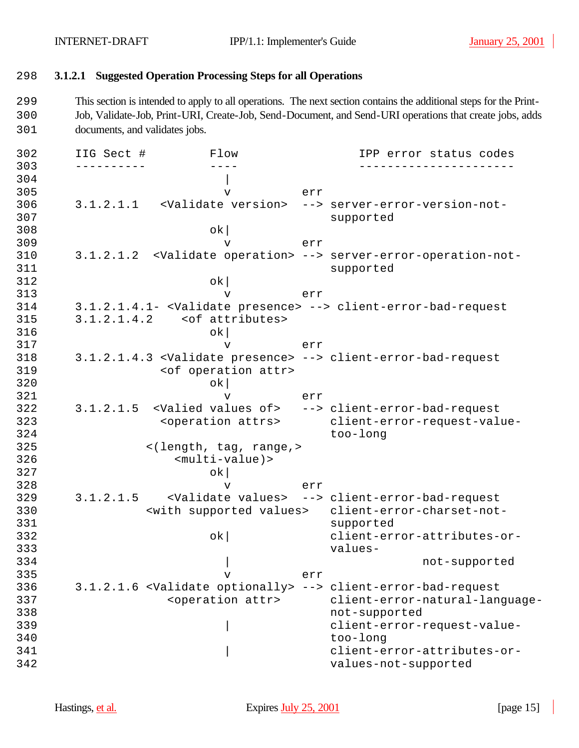## 298 **3.1.2.1 Suggested Operation Processing Steps for all Operations**

299 This section is intended to apply to all operations. The next section contains the additional steps for the Print-300 Job, Validate-Job, Print-URI, Create-Job, Send-Document, and Send-URI operations that create jobs, adds 301 documents, and validates jobs.

| 302 | IIG Sect #  | Flow                                          |     | IPP error status codes                                                          |
|-----|-------------|-----------------------------------------------|-----|---------------------------------------------------------------------------------|
| 303 |             |                                               |     |                                                                                 |
| 304 |             |                                               |     |                                                                                 |
| 305 |             | $\mathbf v$                                   | err |                                                                                 |
| 306 |             | 3.1.2.1.1 <validate version=""></validate>    |     | --> server-error-version-not-                                                   |
| 307 |             |                                               |     | supported                                                                       |
| 308 |             | $\alpha$                                      |     |                                                                                 |
| 309 |             | v                                             | err |                                                                                 |
| 310 |             |                                               |     | 3.1.2.1.2 <validate operation=""> --&gt; server-error-operation-not-</validate> |
| 311 |             |                                               |     | supported                                                                       |
| 312 |             | $\alpha$                                      |     |                                                                                 |
| 313 |             | $\mathbf v$                                   | err |                                                                                 |
| 314 |             |                                               |     | 3.1.2.1.4.1- <validate presence=""> --&gt; client-error-bad-request</validate>  |
| 315 | 3.1.2.1.4.2 | <of attributes=""></of>                       |     |                                                                                 |
| 316 |             | ok                                            |     |                                                                                 |
| 317 |             | v                                             | err |                                                                                 |
| 318 |             |                                               |     | 3.1.2.1.4.3 <validate presence=""> --&gt; client-error-bad-request</validate>   |
| 319 |             | <of attr="" operation=""></of>                |     |                                                                                 |
| 320 |             | ok                                            |     |                                                                                 |
| 321 |             | v                                             | err |                                                                                 |
| 322 |             |                                               |     | 3.1.2.1.5 <valied of="" values=""> --&gt; client-error-bad-request</valied>     |
| 323 |             | <operation attrs=""></operation>              |     | client-error-request-value-                                                     |
| 324 |             |                                               |     | too-long                                                                        |
| 325 |             | <(length, tag, range,>                        |     |                                                                                 |
| 326 |             | $<$ multi-value) >                            |     |                                                                                 |
| 327 |             | ok                                            |     |                                                                                 |
| 328 |             | v                                             | err |                                                                                 |
| 329 | 3.1.2.1.5   |                                               |     | <validate values=""> --&gt; client-error-bad-request</validate>                 |
| 330 |             | <with supported="" values=""></with>          |     | client-error-charset-not-                                                       |
| 331 |             |                                               |     | supported                                                                       |
| 332 |             | $\alpha$                                      |     | client-error-attributes-or-                                                     |
| 333 |             |                                               |     | values-                                                                         |
| 334 |             |                                               |     | not-supported                                                                   |
| 335 |             | $\mathbf v$                                   | err |                                                                                 |
| 336 |             | 3.1.2.1.6 <validate optionally=""></validate> |     | --> client-error-bad-request                                                    |
| 337 |             | <operation attr=""></operation>               |     | client-error-natural-language-                                                  |
| 338 |             |                                               |     | not-supported                                                                   |
| 339 |             |                                               |     | client-error-request-value-                                                     |
| 340 |             |                                               |     | too-long                                                                        |
| 341 |             |                                               |     | client-error-attributes-or-                                                     |
| 342 |             |                                               |     | values-not-supported                                                            |
|     |             |                                               |     |                                                                                 |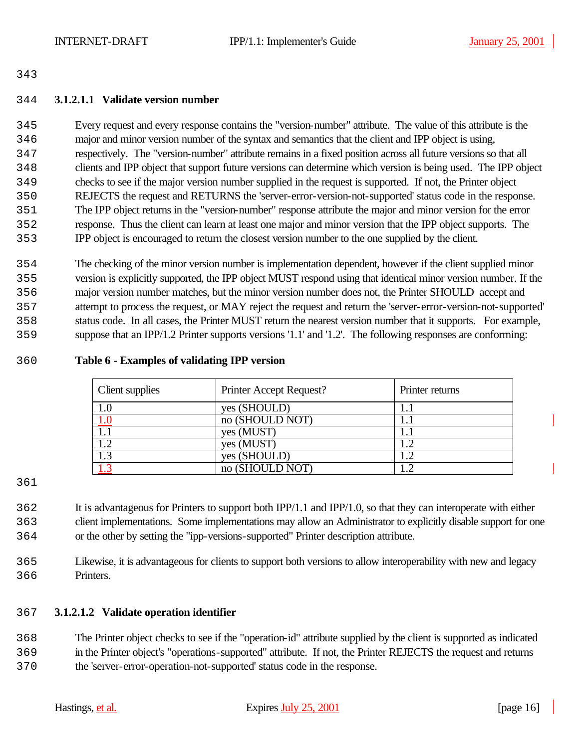## **3.1.2.1.1 Validate version number**

 Every request and every response contains the "version-number" attribute. The value of this attribute is the major and minor version number of the syntax and semantics that the client and IPP object is using, respectively. The "version-number" attribute remains in a fixed position across all future versions so that all clients and IPP object that support future versions can determine which version is being used. The IPP object checks to see if the major version number supplied in the request is supported. If not, the Printer object REJECTS the request and RETURNS the 'server-error-version-not-supported' status code in the response. The IPP object returns in the "version-number" response attribute the major and minor version for the error response. Thus the client can learn at least one major and minor version that the IPP object supports. The IPP object is encouraged to return the closest version number to the one supplied by the client.

 The checking of the minor version number is implementation dependent, however if the client supplied minor version is explicitly supported, the IPP object MUST respond using that identical minor version number. If the major version number matches, but the minor version number does not, the Printer SHOULD accept and attempt to process the request, or MAY reject the request and return the 'server-error-version-not-supported' status code. In all cases, the Printer MUST return the nearest version number that it supports. For example, suppose that an IPP/1.2 Printer supports versions '1.1' and '1.2'. The following responses are conforming:

## **Table 6 - Examples of validating IPP version**

| Client supplies | Printer Accept Request? | Printer returns |
|-----------------|-------------------------|-----------------|
| 1.0             | yes (SHOULD)            |                 |
| 1.0             | no (SHOULD NOT)         |                 |
|                 | yes (MUST)              |                 |
| 1.2             | yes (MUST)              | 1.2             |
| 1.3             | yes (SHOULD)            | 1.2             |
|                 | no (SHOULD NOT)         |                 |

 It is advantageous for Printers to support both IPP/1.1 and IPP/1.0, so that they can interoperate with either client implementations. Some implementations may allow an Administrator to explicitly disable support for one or the other by setting the "ipp-versions-supported" Printer description attribute.

 Likewise, it is advantageous for clients to support both versions to allow interoperability with new and legacy Printers.

## **3.1.2.1.2 Validate operation identifier**

 The Printer object checks to see if the "operation-id" attribute supplied by the client is supported as indicated in the Printer object's "operations-supported" attribute. If not, the Printer REJECTS the request and returns the 'server-error-operation-not-supported' status code in the response.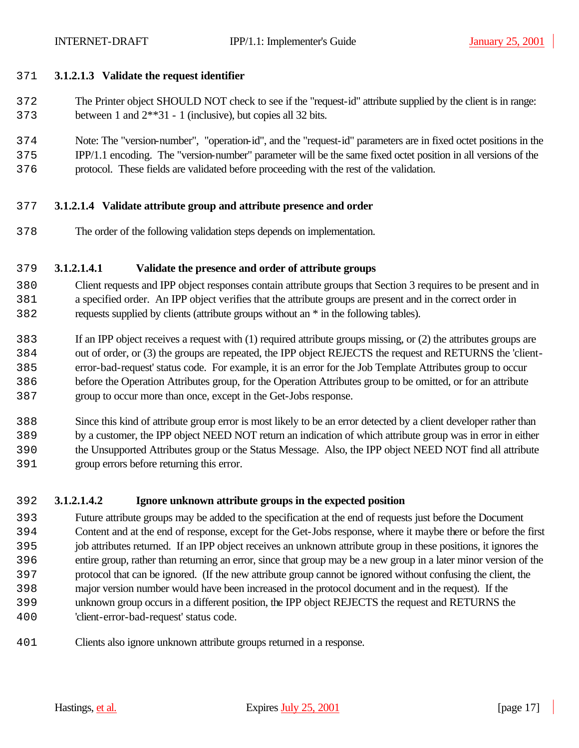- **3.1.2.1.3 Validate the request identifier**
- The Printer object SHOULD NOT check to see if the "request-id" attribute supplied by the client is in range: between 1 and 2\*\*31 - 1 (inclusive), but copies all 32 bits.
- Note: The "version-number", "operation-id", and the "request-id" parameters are in fixed octet positions in the IPP/1.1 encoding. The "version-number" parameter will be the same fixed octet position in all versions of the protocol. These fields are validated before proceeding with the rest of the validation.
- **3.1.2.1.4 Validate attribute group and attribute presence and order**
- The order of the following validation steps depends on implementation.

### **3.1.2.1.4.1 Validate the presence and order of attribute groups**

- Client requests and IPP object responses contain attribute groups that Section 3 requires to be present and in a specified order. An IPP object verifies that the attribute groups are present and in the correct order in requests supplied by clients (attribute groups without an \* in the following tables).
- If an IPP object receives a request with (1) required attribute groups missing, or (2) the attributes groups are out of order, or (3) the groups are repeated, the IPP object REJECTS the request and RETURNS the 'client- error-bad-request' status code. For example, it is an error for the Job Template Attributes group to occur before the Operation Attributes group, for the Operation Attributes group to be omitted, or for an attribute group to occur more than once, except in the Get-Jobs response.
- Since this kind of attribute group error is most likely to be an error detected by a client developer rather than by a customer, the IPP object NEED NOT return an indication of which attribute group was in error in either the Unsupported Attributes group or the Status Message. Also, the IPP object NEED NOT find all attribute group errors before returning this error.

## **3.1.2.1.4.2 Ignore unknown attribute groups in the expected position**

- Future attribute groups may be added to the specification at the end of requests just before the Document Content and at the end of response, except for the Get-Jobs response, where it maybe there or before the first job attributes returned. If an IPP object receives an unknown attribute group in these positions, it ignores the entire group, rather than returning an error, since that group may be a new group in a later minor version of the protocol that can be ignored. (If the new attribute group cannot be ignored without confusing the client, the major version number would have been increased in the protocol document and in the request). If the unknown group occurs in a different position, the IPP object REJECTS the request and RETURNS the 'client-error-bad-request' status code.
- Clients also ignore unknown attribute groups returned in a response.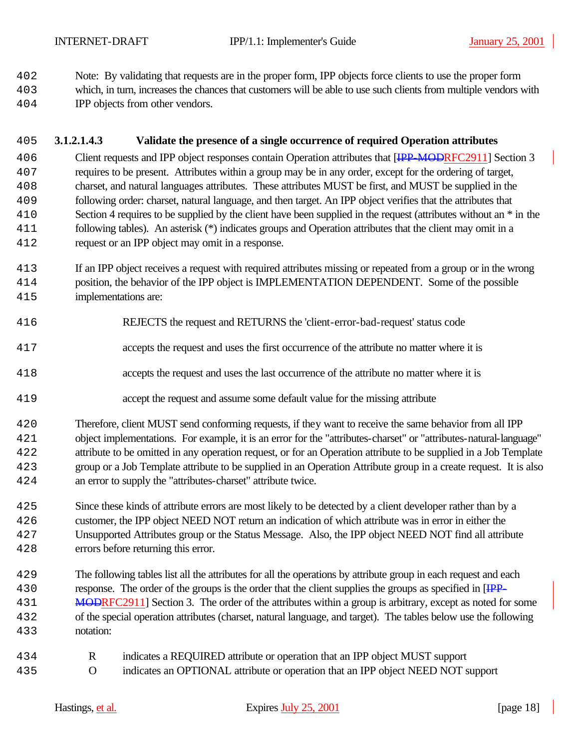Note: By validating that requests are in the proper form, IPP objects force clients to use the proper form

- which, in turn, increases the chances that customers will be able to use such clients from multiple vendors with
- IPP objects from other vendors.

# **3.1.2.1.4.3 Validate the presence of a single occurrence of required Operation attributes**

406 Client requests and IPP object responses contain Operation attributes that [IPP-MODRFC2911] Section 3 requires to be present. Attributes within a group may be in any order, except for the ordering of target, charset, and natural languages attributes. These attributes MUST be first, and MUST be supplied in the following order: charset, natural language, and then target. An IPP object verifies that the attributes that Section 4 requires to be supplied by the client have been supplied in the request (attributes without an \* in the following tables). An asterisk (\*) indicates groups and Operation attributes that the client may omit in a request or an IPP object may omit in a response.

- If an IPP object receives a request with required attributes missing or repeated from a group or in the wrong position, the behavior of the IPP object is IMPLEMENTATION DEPENDENT. Some of the possible implementations are:
- REJECTS the request and RETURNS the 'client-error-bad-request' status code
- accepts the request and uses the first occurrence of the attribute no matter where it is
- accepts the request and uses the last occurrence of the attribute no matter where it is
- accept the request and assume some default value for the missing attribute
- Therefore, client MUST send conforming requests, if they want to receive the same behavior from all IPP object implementations. For example, it is an error for the "attributes-charset" or "attributes-natural-language" attribute to be omitted in any operation request, or for an Operation attribute to be supplied in a Job Template group or a Job Template attribute to be supplied in an Operation Attribute group in a create request. It is also an error to supply the "attributes-charset" attribute twice.
- Since these kinds of attribute errors are most likely to be detected by a client developer rather than by a customer, the IPP object NEED NOT return an indication of which attribute was in error in either the Unsupported Attributes group or the Status Message. Also, the IPP object NEED NOT find all attribute errors before returning this error.
- The following tables list all the attributes for all the operations by attribute group in each request and each 430 response. The order of the groups is the order that the client supplies the groups as specified in [IPP-431 MODRFC2911] Section 3. The order of the attributes within a group is arbitrary, except as noted for some of the special operation attributes (charset, natural language, and target). The tables below use the following notation:
- R indicates a REQUIRED attribute or operation that an IPP object MUST support O indicates an OPTIONAL attribute or operation that an IPP object NEED NOT support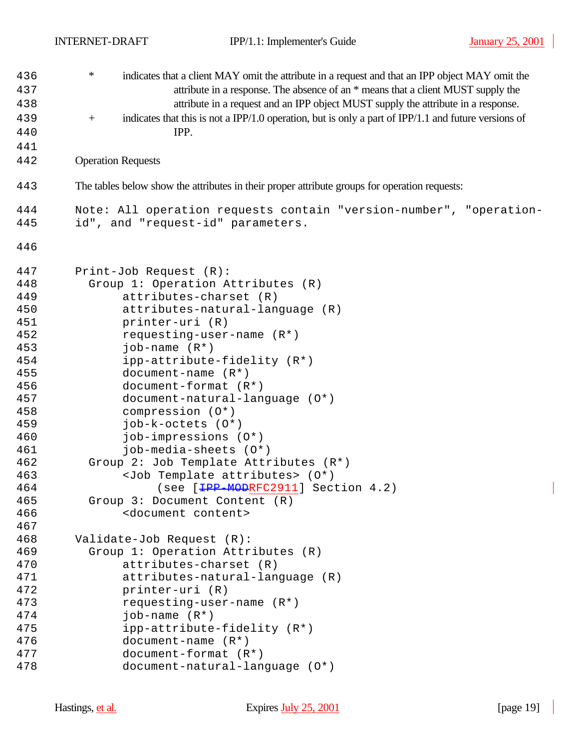| 436 | $\ast$<br>indicates that a client MAY omit the attribute in a request and that an IPP object MAY omit the   |
|-----|-------------------------------------------------------------------------------------------------------------|
| 437 | attribute in a response. The absence of an * means that a client MUST supply the                            |
| 438 | attribute in a request and an IPP object MUST supply the attribute in a response.                           |
| 439 | indicates that this is not a IPP/1.0 operation, but is only a part of IPP/1.1 and future versions of<br>$+$ |
| 440 | IPP.                                                                                                        |
| 441 |                                                                                                             |
| 442 | <b>Operation Requests</b>                                                                                   |
| 443 | The tables below show the attributes in their proper attribute groups for operation requests:               |
| 444 | Note: All operation requests contain "version-number", "operation-                                          |
| 445 | id", and "request-id" parameters.                                                                           |
| 446 |                                                                                                             |
| 447 | Print-Job Request (R):                                                                                      |
| 448 | Group 1: Operation Attributes (R)                                                                           |
| 449 | attributes-charset (R)                                                                                      |
| 450 | attributes-natural-language (R)                                                                             |
| 451 | printer-uri (R)                                                                                             |
| 452 | requesting-user-name $(R^*)$                                                                                |
| 453 | job-name $(R^*)$                                                                                            |
| 454 | ipp-attribute-fidelity (R*)                                                                                 |
| 455 | $document-name (R*)$                                                                                        |
| 456 | document-format $(R^*)$                                                                                     |
| 457 | document-natural-language (0*)                                                                              |
| 458 | compression (0*)                                                                                            |
| 459 | $job-k-octets (0*)$                                                                                         |
| 460 | job-impressions (0*)                                                                                        |
| 461 | job-media-sheets (0*)                                                                                       |
| 462 | Group 2: Job Template Attributes (R*)                                                                       |
| 463 | <job attributes="" template=""> (0*)</job>                                                                  |
| 464 | (see [HPP-MODRFC2911] Section 4.2)                                                                          |
| 465 | Group 3: Document Content (R)                                                                               |
| 466 | <document content=""></document>                                                                            |
| 467 |                                                                                                             |
| 468 | Validate-Job Request (R):                                                                                   |
| 469 | Group 1: Operation Attributes (R)                                                                           |
| 470 | attributes-charset (R)                                                                                      |
| 471 | attributes-natural-language (R)                                                                             |
| 472 | printer-uri (R)                                                                                             |
| 473 | requesting-user-name $(R*)$                                                                                 |
| 474 | $job$ -name $(R*)$                                                                                          |
| 475 | ipp-attribute-fidelity (R*)                                                                                 |
| 476 | $document-name (R*)$                                                                                        |
| 477 | document-format $(R^*)$                                                                                     |
| 478 |                                                                                                             |
|     | document-natural-language (0*)                                                                              |

 $\overline{\phantom{a}}$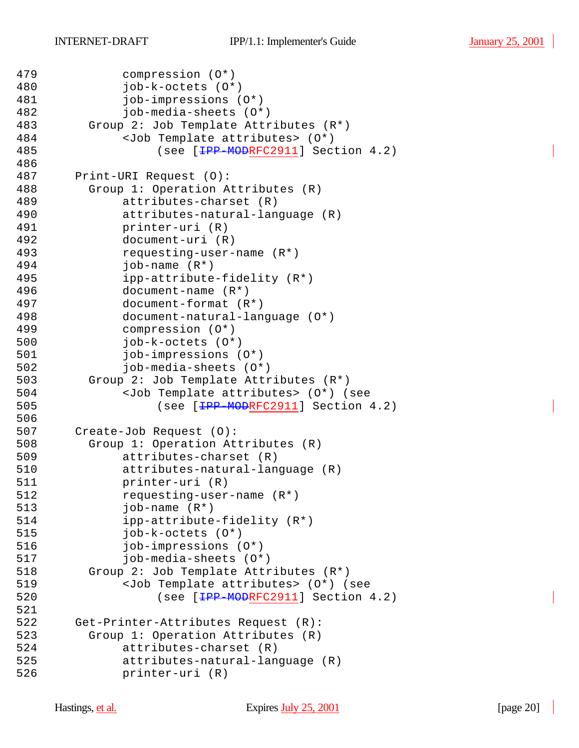```
479 compression (O*)
480 job-k-octets (O*)
481 job-impressions (O*)
482 job-media-sheets (O*)
       Group 2: Job Template Attributes (R^*)484 <Job Template attributes> (O*) 
485 (see [<del>IPP-MOD</del>RFC2911] Section 4.2)
486
487 Print-URI Request (O):
488 Group 1: Operation Attributes (R)
489 attributes-charset (R)
490 attributes-natural-language (R)
491 printer-uri (R)
492 document-uri (R)
493 requesting-user-name (R*)
494 job-name (R*)
495 ipp-attribute-fidelity (R*)
496 document-name (R*)
497 document-format (R*)
498 document-natural-language (O*)
499 compression (O*)
500 job-k-octets (O*)
501 job-impressions (O*)
502 job-media-sheets (O*)
503 Group 2: Job Template Attributes (R*)
504 <Job Template attributes> (O*) (see 
505 (see [<del>IPP-MOD</del>RFC2911] Section 4.2)
506
507 Create-Job Request (O):
508 Group 1: Operation Attributes (R)
509 attributes-charset (R)
510 attributes-natural-language (R)
511 printer-uri (R)
512 requesting-user-name (R*)
513 job-name (R*)
514 ipp-attribute-fidelity (R*)
515 job-k-octets (O*)
516 job-impressions (O*)
517 job-media-sheets (O*)
518 Group 2: Job Template Attributes (R*)
519 <Job Template attributes> (O*) (see 
520 (see [<del>IPP-MOD</del>RFC2911] Section 4.2)
521
522 Get-Printer-Attributes Request (R):
523 Group 1: Operation Attributes (R)
524 attributes-charset (R)
525 attributes-natural-language (R)
526 printer-uri (R)
```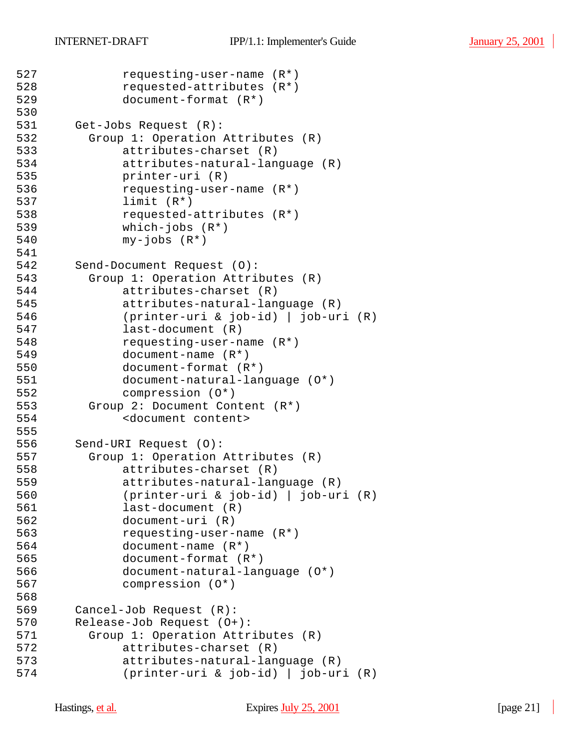```
527 requesting-user-name (R*)
528 requested-attributes (R*)
529 document-format (R*)
530
531 Get-Jobs Request (R):
532 Group 1: Operation Attributes (R)
533 attributes-charset (R)
534 attributes-natural-language (R)
535 printer-uri (R)
536 requesting-user-name (R*)
537 limit (R*)
538 requested-attributes (R*)
539 which-jobs (R*)
540 my-jobs (R*)
541
542 Send-Document Request (O):
543 Group 1: Operation Attributes (R)
544 attributes-charset (R)
545 attributes-natural-language (R)
546 (printer-uri & job-id) | job-uri (R)
547 last-document (R)
548 requesting-user-name (R*)
549 document-name (R*)
550 document-format (R*)
551 document-natural-language (O*)
552 compression (O*)
553 Group 2: Document Content (R*)
554 <document content>
555
556 Send-URI Request (O):
557 Group 1: Operation Attributes (R)
558 attributes-charset (R)
559 attributes-natural-language (R)
560 (printer-uri & job-id) | job-uri (R)
561 last-document (R)
562 document-uri (R)
563 requesting-user-name (R*)
564 document-name (R*)
565 document-format (R*)
566 document-natural-language (O*)
567 compression (O*)
568
569 Cancel-Job Request (R):
570 Release-Job Request (O+):
571 Group 1: Operation Attributes (R)
572 attributes-charset (R)
573 attributes-natural-language (R)
574 (printer-uri & job-id) | job-uri (R)
```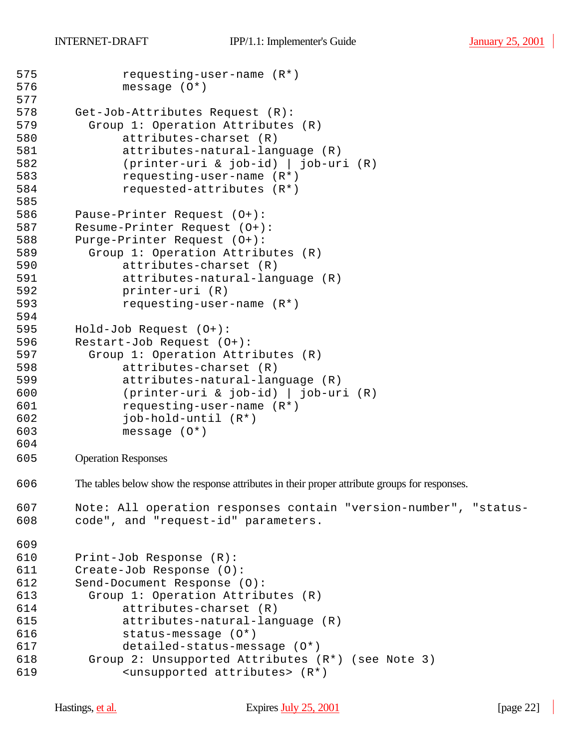```
575 requesting-user-name (R*)
576 message (O*)
577
578 Get-Job-Attributes Request (R):
579 Group 1: Operation Attributes (R)
580 attributes-charset (R)
581 attributes-natural-language (R)
582 (printer-uri & job-id) | job-uri (R)
583 requesting-user-name (R*)
584 requested-attributes (R*)
585
586 Pause-Printer Request (O+):
587 Resume-Printer Request (O+):
588 Purge-Printer Request (O+):
589 Group 1: Operation Attributes (R)
590 attributes-charset (R)
591 attributes-natural-language (R)
592 printer-uri (R)
593 requesting-user-name (R*)
594
595 Hold-Job Request (O+):
596 Restart-Job Request (O+):
597 Group 1: Operation Attributes (R)
598 attributes-charset (R)
599 attributes-natural-language (R)
600 (printer-uri & job-id) | job-uri (R)
601 requesting-user-name (R*)
602 job-hold-until (R*)
603 message (O*)
604
605 Operation Responses
606 The tables below show the response attributes in their proper attribute groups for responses.
607 Note: All operation responses contain "version-number", "status-
608 code", and "request-id" parameters.
609
610 Print-Job Response (R):
611 Create-Job Response (O):
612 Send-Document Response (O):
613 Group 1: Operation Attributes (R)
614 attributes-charset (R)
615 attributes-natural-language (R)
616 status-message (O*)
617 detailed-status-message (O*)
618 Group 2: Unsupported Attributes (R*) (see Note 3)
619 <unsupported attributes> (R*)
```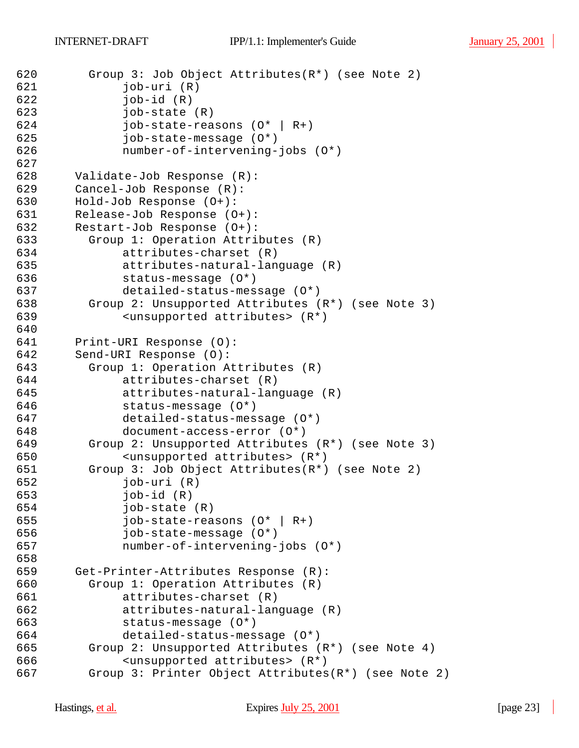```
620 Group 3: Job Object Attributes(R*) (see Note 2)
621 job-uri (R)
622 job-id (R)
623 job-state (R)
624 job-state-reasons (O* | R+)
625 job-state-message (O*)
626 number-of-intervening-jobs (O*)
627
628 Validate-Job Response (R):
629 Cancel-Job Response (R):
630 Hold-Job Response (O+):
631 Release-Job Response (O+):
632 Restart-Job Response (O+):
633 Group 1: Operation Attributes (R)
634 attributes-charset (R)
635 attributes-natural-language (R)
636 status-message (O*)
637 detailed-status-message (O*)
638 Group 2: Unsupported Attributes (R*) (see Note 3)
639 <unsupported attributes> (R*)
640
641 Print-URI Response (O):
642 Send-URI Response (O):
643 Group 1: Operation Attributes (R)
644 attributes-charset (R)
645 attributes-natural-language (R)
646 status-message (O*)
647 detailed-status-message (O*)
648 document-access-error (O*)
649 Group 2: Unsupported Attributes (R*) (see Note 3)
650 <unsupported attributes> (R*)
651 Group 3: Job Object Attributes(R*) (see Note 2)
652 job-uri (R)
653 job-id (R)
654 job-state (R)
655 job-state-reasons (O* | R+)656 job-state-message (O*)
657 number-of-intervening-jobs (O*)
658
659 Get-Printer-Attributes Response (R):
660 Group 1: Operation Attributes (R)
661 attributes-charset (R)
662 attributes-natural-language (R)
663 status-message (O*)
664 detailed-status-message (O*)
665 Group 2: Unsupported Attributes (R*) (see Note 4)
666 <unsupported attributes> (R*)
667 Group 3: Printer Object Attributes(R*) (see Note 2)
```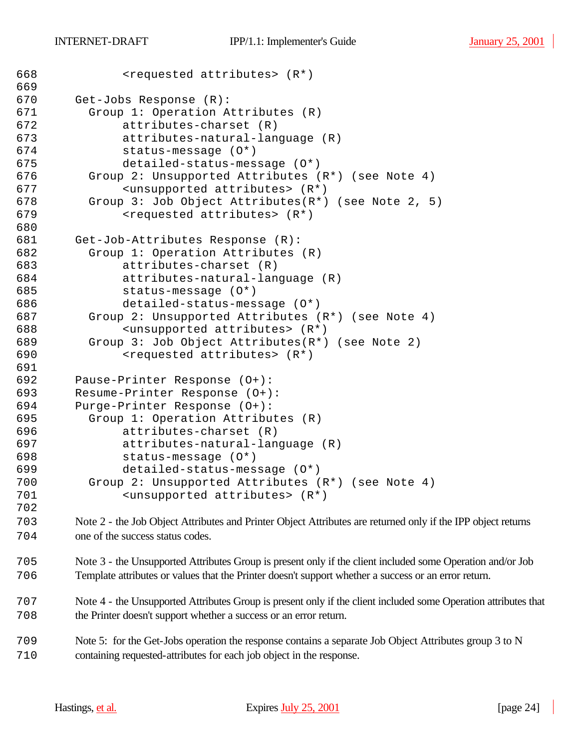| 668 | <requested attributes=""> (R*)</requested>                                                                   |
|-----|--------------------------------------------------------------------------------------------------------------|
| 669 |                                                                                                              |
| 670 | Get-Jobs Response (R):                                                                                       |
| 671 | Group 1: Operation Attributes (R)                                                                            |
| 672 | attributes-charset (R)                                                                                       |
| 673 | attributes-natural-language (R)                                                                              |
| 674 | status-message (0*)                                                                                          |
| 675 | detailed-status-message (0*)                                                                                 |
| 676 | Group 2: Unsupported Attributes (R*) (see Note 4)                                                            |
| 677 | <unsupported attributes=""> (R*)</unsupported>                                                               |
| 678 | Group 3: Job Object Attributes $(R^*)$ (see Note 2, 5)                                                       |
| 679 | <requested attributes=""> (R*)</requested>                                                                   |
| 680 |                                                                                                              |
| 681 | Get-Job-Attributes Response (R):                                                                             |
| 682 | Group 1: Operation Attributes (R)                                                                            |
| 683 | attributes-charset (R)                                                                                       |
| 684 | attributes-natural-language (R)                                                                              |
| 685 | status-message (0*)                                                                                          |
| 686 | detailed-status-message (0*)                                                                                 |
| 687 | Group 2: Unsupported Attributes (R*) (see Note 4)                                                            |
| 688 | <unsupported attributes=""> (R*)</unsupported>                                                               |
| 689 | Group 3: Job Object Attributes(R*) (see Note 2)                                                              |
| 690 | <requested attributes=""> (R*)</requested>                                                                   |
| 691 |                                                                                                              |
| 692 | Pause-Printer Response (0+):                                                                                 |
| 693 | Resume-Printer Response (0+):                                                                                |
| 694 | Purge-Printer Response (0+):                                                                                 |
| 695 | Group 1: Operation Attributes (R)                                                                            |
| 696 | attributes-charset (R)                                                                                       |
| 697 | attributes-natural-language (R)                                                                              |
| 698 | status-message (0*)                                                                                          |
| 699 | detailed-status-message (0*)                                                                                 |
| 700 | Group 2: Unsupported Attributes (R*) (see Note 4)                                                            |
| 701 | <unsupported attributes=""> (R*)</unsupported>                                                               |
| 702 |                                                                                                              |
| 703 | Note 2 - the Job Object Attributes and Printer Object Attributes are returned only if the IPP object returns |
| 704 | one of the success status codes.                                                                             |

 Note 3 - the Unsupported Attributes Group is present only if the client included some Operation and/or Job Template attributes or values that the Printer doesn't support whether a success or an error return.

 Note 4 - the Unsupported Attributes Group is present only if the client included some Operation attributes that the Printer doesn't support whether a success or an error return.

 Note 5: for the Get-Jobs operation the response contains a separate Job Object Attributes group 3 to N containing requested-attributes for each job object in the response.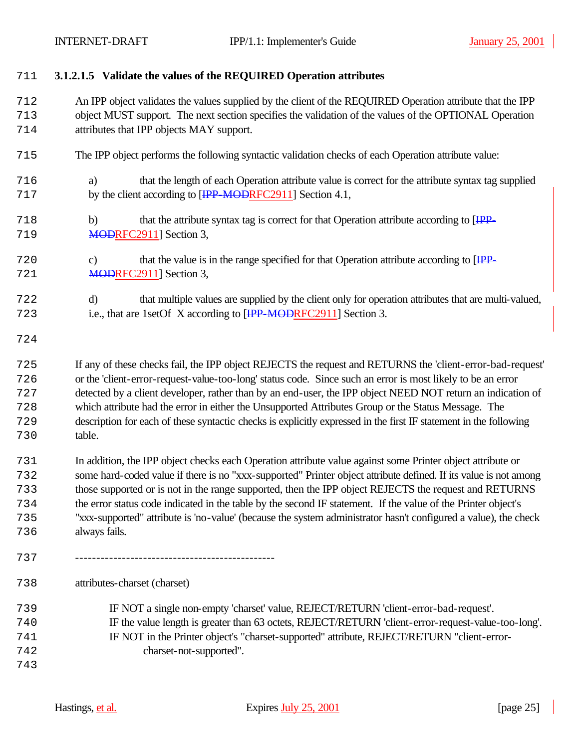**3.1.2.1.5 Validate the values of the REQUIRED Operation attributes**

 An IPP object validates the values supplied by the client of the REQUIRED Operation attribute that the IPP object MUST support. The next section specifies the validation of the values of the OPTIONAL Operation attributes that IPP objects MAY support.

- The IPP object performs the following syntactic validation checks of each Operation attribute value:
- a) that the length of each Operation attribute value is correct for the attribute syntax tag supplied 717 by the client according to [<del>IPP-MODRF</del>C2911] Section 4.1,
- 718 b) that the attribute syntax tag is correct for that Operation attribute according to [IPP-719 MODRFC2911] Section 3,
- 720 c) that the value is in the range specified for that Operation attribute according to [IPP-721 MODRFC2911] Section 3,
- d) that multiple values are supplied by the client only for operation attributes that are multi-valued, 723 i.e., that are 1set Of X according to [<del>IPP-MODRF</del>C2911] Section 3.
- 

 If any of these checks fail, the IPP object REJECTS the request and RETURNS the 'client-error-bad-request' or the 'client-error-request-value-too-long' status code. Since such an error is most likely to be an error detected by a client developer, rather than by an end-user, the IPP object NEED NOT return an indication of which attribute had the error in either the Unsupported Attributes Group or the Status Message. The description for each of these syntactic checks is explicitly expressed in the first IF statement in the following table.

- In addition, the IPP object checks each Operation attribute value against some Printer object attribute or some hard-coded value if there is no "xxx-supported" Printer object attribute defined. If its value is not among those supported or is not in the range supported, then the IPP object REJECTS the request and RETURNS the error status code indicated in the table by the second IF statement. If the value of the Printer object's "xxx-supported" attribute is 'no-value' (because the system administrator hasn't configured a value), the check always fails.
- -----------------------------------------------

 attributes-charset (charset) IF NOT a single non-empty 'charset' value, REJECT/RETURN 'client-error-bad-request'. IF the value length is greater than 63 octets, REJECT/RETURN 'client-error-request-value-too-long'. IF NOT in the Printer object's "charset-supported" attribute, REJECT/RETURN "client-error- charset-not-supported".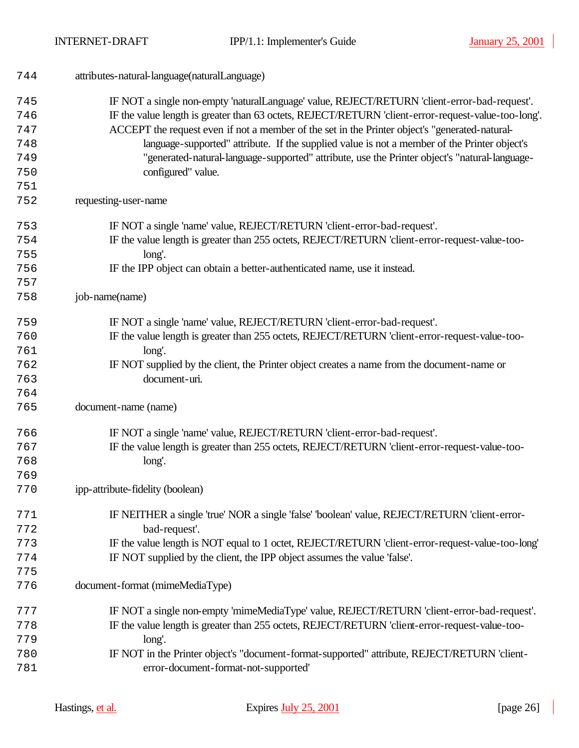| 744 | attributes-natural-language(naturalLanguage)                                                        |
|-----|-----------------------------------------------------------------------------------------------------|
| 745 | IF NOT a single non-empty 'naturalLanguage' value, REJECT/RETURN 'client-error-bad-request'.        |
| 746 | IF the value length is greater than 63 octets, REJECT/RETURN 'client-error-request-value-too-long'. |
| 747 | ACCEPT the request even if not a member of the set in the Printer object's "generated-natural-      |
| 748 | language-supported" attribute. If the supplied value is not a member of the Printer object's        |
| 749 | "generated-natural-language-supported" attribute, use the Printer object's "natural-language-       |
| 750 | configured" value.                                                                                  |
| 751 |                                                                                                     |
| 752 | requesting-user-name                                                                                |
| 753 | IF NOT a single 'name' value, REJECT/RETURN 'client-error-bad-request'.                             |
| 754 | IF the value length is greater than 255 octets, REJECT/RETURN 'client-error-request-value-too-      |
| 755 | long'.                                                                                              |
| 756 | IF the IPP object can obtain a better-authenticated name, use it instead.                           |
| 757 |                                                                                                     |
| 758 | job-name(name)                                                                                      |
| 759 | IF NOT a single 'name' value, REJECT/RETURN 'client-error-bad-request'.                             |
| 760 | IF the value length is greater than 255 octets, REJECT/RETURN 'client-error-request-value-too-      |
| 761 | long'.                                                                                              |
| 762 | IF NOT supplied by the client, the Printer object creates a name from the document-name or          |
| 763 | document-uri.                                                                                       |
| 764 |                                                                                                     |
| 765 | document-name (name)                                                                                |
| 766 | IF NOT a single 'name' value, REJECT/RETURN 'client-error-bad-request'.                             |
| 767 | IF the value length is greater than 255 octets, REJECT/RETURN 'client-error-request-value-too-      |
| 768 | long'.                                                                                              |
| 769 |                                                                                                     |
| 770 | ipp-attribute-fidelity (boolean)                                                                    |
| 771 | IF NEITHER a single 'true' NOR a single 'false' 'boolean' value, REJECT/RETURN 'client-error-       |
| 772 | bad-request'.                                                                                       |
| 773 | IF the value length is NOT equal to 1 octet, REJECT/RETURN 'client-error-request-value-too-long'    |
| 774 | IF NOT supplied by the client, the IPP object assumes the value 'false'.                            |
| 775 |                                                                                                     |
| 776 | document-format (mimeMediaType)                                                                     |
| 777 | IF NOT a single non-empty 'mimeMediaType' value, REJECT/RETURN 'client-error-bad-request'.          |
| 778 | IF the value length is greater than 255 octets, REJECT/RETURN 'client-error-request-value-too-      |
| 779 | long'.                                                                                              |
| 780 | IF NOT in the Printer object's "document-format-supported" attribute, REJECT/RETURN 'client-        |
| 781 | error-document-format-not-supported'                                                                |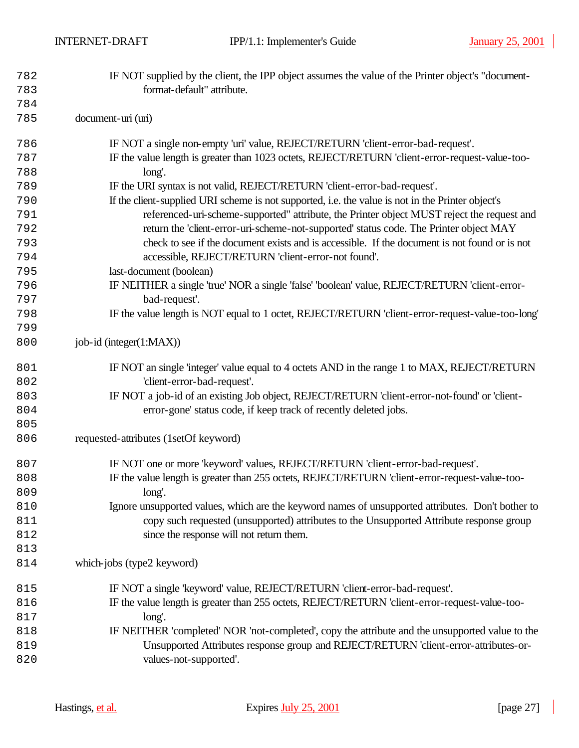| 782        | IF NOT supplied by the client, the IPP object assumes the value of the Printer object's "document- |
|------------|----------------------------------------------------------------------------------------------------|
| 783        | format-default" attribute.                                                                         |
| 784<br>785 | document-uri (uri)                                                                                 |
|            |                                                                                                    |
| 786        | IF NOT a single non-empty 'uri' value, REJECT/RETURN 'client-error-bad-request'.                   |
| 787        | IF the value length is greater than 1023 octets, REJECT/RETURN 'client-error-request-value-too-    |
| 788        | long'.                                                                                             |
| 789        | IF the URI syntax is not valid, REJECT/RETURN 'client-error-bad-request'.                          |
| 790        | If the client-supplied URI scheme is not supported, i.e. the value is not in the Printer object's  |
| 791        | referenced-uri-scheme-supported" attribute, the Printer object MUST reject the request and         |
| 792        | return the 'client-error-uri-scheme-not-supported' status code. The Printer object MAY             |
| 793        | check to see if the document exists and is accessible. If the document is not found or is not      |
| 794        | accessible, REJECT/RETURN 'client-error-not found'.                                                |
| 795        | last-document (boolean)                                                                            |
| 796        | IF NEITHER a single 'true' NOR a single 'false' 'boolean' value, REJECT/RETURN 'client-error-      |
| 797        | bad-request'.                                                                                      |
| 798        | IF the value length is NOT equal to 1 octet, REJECT/RETURN 'client-error-request-value-too-long'   |
| 799        |                                                                                                    |
| 800        | job-id (integer(1:MAX))                                                                            |
| 801        | IF NOT an single 'integer' value equal to 4 octets AND in the range 1 to MAX, REJECT/RETURN        |
| 802        | 'client-error-bad-request'.                                                                        |
| 803        | IF NOT a job-id of an existing Job object, REJECT/RETURN 'client-error-not-found' or 'client-      |
| 804        | error-gone' status code, if keep track of recently deleted jobs.                                   |
| 805        |                                                                                                    |
| 806        | requested-attributes (1setOf keyword)                                                              |
| 807        | IF NOT one or more 'keyword' values, REJECT/RETURN 'client-error-bad-request'.                     |
| 808        | IF the value length is greater than 255 octets, REJECT/RETURN 'client-error-request-value-too-     |
| 809        | long'.                                                                                             |
| 810        | Ignore unsupported values, which are the keyword names of unsupported attributes. Don't bother to  |
| 811        | copy such requested (unsupported) attributes to the Unsupported Attribute response group           |
| 812        | since the response will not return them.                                                           |
| 813        |                                                                                                    |
| 814        | which-jobs (type2 keyword)                                                                         |
| 815        | IF NOT a single 'keyword' value, REJECT/RETURN 'client-error-bad-request'.                         |
| 816        | IF the value length is greater than 255 octets, REJECT/RETURN 'client-error-request-value-too-     |
| 817        | long'.                                                                                             |
| 818        | IF NEITHER 'completed' NOR 'not-completed', copy the attribute and the unsupported value to the    |
| 819        | Unsupported Attributes response group and REJECT/RETURN 'client-error-attributes-or-               |
| 820        | values-not-supported'.                                                                             |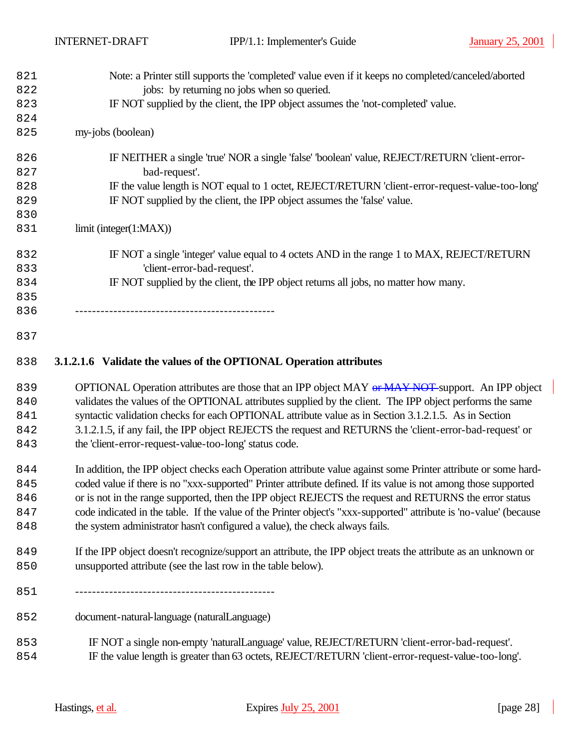| 821 | Note: a Printer still supports the 'completed' value even if it keeps no completed/canceled/aborted |
|-----|-----------------------------------------------------------------------------------------------------|
| 822 | jobs: by returning no jobs when so queried.                                                         |
| 823 | IF NOT supplied by the client, the IPP object assumes the 'not-completed' value.                    |
| 824 |                                                                                                     |
| 825 | my-jobs (boolean)                                                                                   |
| 826 | IF NEITHER a single 'true' NOR a single 'false' 'boolean' value, REJECT/RETURN 'client-error-       |
| 827 | bad-request'.                                                                                       |
| 828 | IF the value length is NOT equal to 1 octet, REJECT/RETURN 'client-error-request-value-too-long'    |
| 829 | IF NOT supplied by the client, the IPP object assumes the 'false' value.                            |
| 830 |                                                                                                     |
| 831 | limit (integer(1:MAX))                                                                              |
| 832 | IF NOT a single 'integer' value equal to 4 octets AND in the range 1 to MAX, REJECT/RETURN          |
| 833 | 'client-error-bad-request'.                                                                         |
| 834 | IF NOT supplied by the client, the IPP object returns all jobs, no matter how many.                 |
| 835 |                                                                                                     |
| 836 |                                                                                                     |
| 837 |                                                                                                     |

# **3.1.2.1.6 Validate the values of the OPTIONAL Operation attributes**

839 OPTIONAL Operation attributes are those that an IPP object MAY or MAY NOT support. An IPP object validates the values of the OPTIONAL attributes supplied by the client. The IPP object performs the same 841 syntactic validation checks for each OPTIONAL attribute value as in Section 3.1.2.1.5. As in Section 3.1.2.1.5, if any fail, the IPP object REJECTS the request and RETURNS the 'client-error-bad-request' or the 'client-error-request-value-too-long' status code.

 In addition, the IPP object checks each Operation attribute value against some Printer attribute or some hard- coded value if there is no "xxx-supported" Printer attribute defined. If its value is not among those supported 846 or is not in the range supported, then the IPP object REJECTS the request and RETURNS the error status code indicated in the table. If the value of the Printer object's "xxx-supported" attribute is 'no-value' (because the system administrator hasn't configured a value), the check always fails.

849 If the IPP object doesn't recognize/support an attribute, the IPP object treats the attribute as an unknown or unsupported attribute (see the last row in the table below).

-----------------------------------------------

document-natural-language (naturalLanguage)

 IF NOT a single non-empty 'naturalLanguage' value, REJECT/RETURN 'client-error-bad-request'. IF the value length is greater than 63 octets, REJECT/RETURN 'client-error-request-value-too-long'.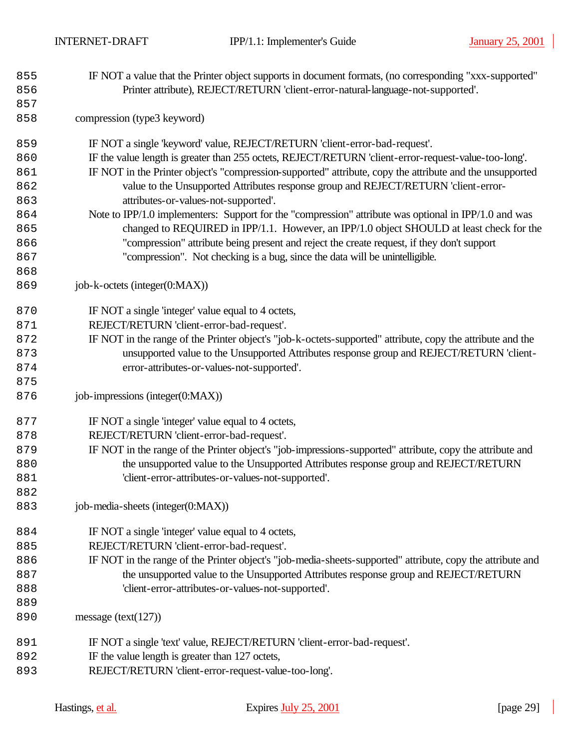- IF NOT a value that the Printer object supports in document formats, (no corresponding "xxx-supported" Printer attribute), REJECT/RETURN 'client-error-natural-language-not-supported'.
- compression (type3 keyword)
- IF NOT a single 'keyword' value, REJECT/RETURN 'client-error-bad-request'.
- IF the value length is greater than 255 octets, REJECT/RETURN 'client-error-request-value-too-long'.
- IF NOT in the Printer object's "compression-supported" attribute, copy the attribute and the unsupported value to the Unsupported Attributes response group and REJECT/RETURN 'client-error-attributes-or-values-not-supported'.
- Note to IPP/1.0 implementers: Support for the "compression" attribute was optional in IPP/1.0 and was 865 changed to REQUIRED in IPP/1.1. However, an IPP/1.0 object SHOULD at least check for the "compression" attribute being present and reject the create request, if they don't support "compression". Not checking is a bug, since the data will be unintelligible.
- job-k-octets (integer(0:MAX))

- **IF NOT** a single 'integer' value equal to 4 octets,
- REJECT/RETURN 'client-error-bad-request'.
- IF NOT in the range of the Printer object's "job-k-octets-supported" attribute, copy the attribute and the unsupported value to the Unsupported Attributes response group and REJECT/RETURN 'client-error-attributes-or-values-not-supported'.
- job-impressions (integer(0:MAX))
- **IF NOT** a single 'integer' value equal to 4 octets,
- REJECT/RETURN 'client-error-bad-request'.
- IF NOT in the range of the Printer object's "job-impressions-supported" attribute, copy the attribute and the unsupported value to the Unsupported Attributes response group and REJECT/RETURN 'client-error-attributes-or-values-not-supported'.
- job-media-sheets (integer(0:MAX))
- 884 IF NOT a single 'integer' value equal to 4 octets,
- REJECT/RETURN 'client-error-bad-request'.
- IF NOT in the range of the Printer object's "job-media-sheets-supported" attribute, copy the attribute and 887 the unsupported value to the Unsupported Attributes response group and REJECT/RETURN 'client-error-attributes-or-values-not-supported'.
- message (text(127))
- IF NOT a single 'text' value, REJECT/RETURN 'client-error-bad-request'.
- 892 IF the value length is greater than 127 octets,
- REJECT/RETURN 'client-error-request-value-too-long'.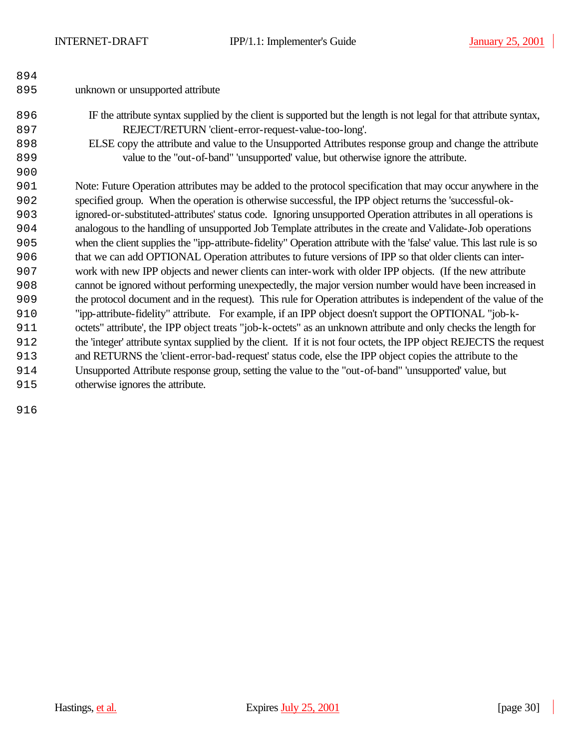| 894 |                                                                                                                        |
|-----|------------------------------------------------------------------------------------------------------------------------|
| 895 | unknown or unsupported attribute                                                                                       |
| 896 | IF the attribute syntax supplied by the client is supported but the length is not legal for that attribute syntax,     |
| 897 | REJECT/RETURN 'client-error-request-value-too-long'.                                                                   |
| 898 | ELSE copy the attribute and value to the Unsupported Attributes response group and change the attribute                |
| 899 | value to the "out-of-band" 'unsupported' value, but otherwise ignore the attribute.                                    |
| 900 |                                                                                                                        |
| 901 | Note: Future Operation attributes may be added to the protocol specification that may occur anywhere in the            |
| 902 | specified group. When the operation is otherwise successful, the IPP object returns the 'successful-ok-                |
| 903 | ignored-or-substituted-attributes' status code. Ignoring unsupported Operation attributes in all operations is         |
| 904 | analogous to the handling of unsupported Job Template attributes in the create and Validate-Job operations             |
| 905 | when the client supplies the "ipp-attribute-fidelity" Operation attribute with the 'false' value. This last rule is so |
| 906 | that we can add OPTIONAL Operation attributes to future versions of IPP so that older clients can inter-               |
| 907 | work with new IPP objects and newer clients can inter-work with older IPP objects. (If the new attribute               |
| 908 | cannot be ignored without performing unexpectedly, the major version number would have been increased in               |
| 909 | the protocol document and in the request). This rule for Operation attributes is independent of the value of the       |
| 910 | "ipp-attribute-fidelity" attribute. For example, if an IPP object doesn't support the OPTIONAL "job-k-                 |
| 911 | octets" attribute', the IPP object treats "job-k-octets" as an unknown attribute and only checks the length for        |
| 912 | the 'integer' attribute syntax supplied by the client. If it is not four octets, the IPP object REJECTS the request    |
| 913 | and RETURNS the 'client-error-bad-request' status code, else the IPP object copies the attribute to the                |
| 914 | Unsupported Attribute response group, setting the value to the "out-of-band" 'unsupported' value, but                  |
| 915 | otherwise ignores the attribute.                                                                                       |

 $\mathcal{L}$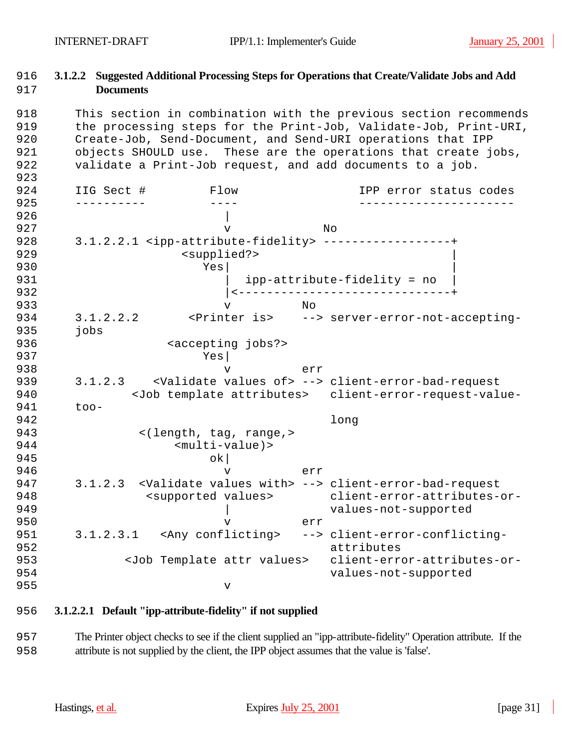## 916 **3.1.2.2 Suggested Additional Processing Steps for Operations that Create/Validate Jobs and Add**  917 **Documents**

918 This section in combination with the previous section recommends 919 the processing steps for the Print-Job, Validate-Job, Print-URI, 920 Create-Job, Send-Document, and Send-URI operations that IPP 921 objects SHOULD use. These are the operations that create jobs, 922 validate a Print-Job request, and add documents to a job. 923 924 IIG Sect # Flow IPP error status codes 925 ---------- ---- ----------------------  $926$ 927 v No 928 3.1.2.2.1 <ipp-attribute-fidelity> ------------------+ 929 <supplied?> 930 Yes| | 931 | ipp-attribute-fidelity = no 932 |<------------------------------+ 933 v No 934 3.1.2.2.2 <Printer is> --> server-error-not-accepting-935 jobs 936 <accepting jobs?> 937 Yes|<br>938 V 938 v err 939 3.1.2.3 <Validate values of> --> client-error-bad-request 940 <Job template attributes> client-error-request-value-941 too-942 long 943 <(length, tag, range,> 944 <multi-value)> 945 ok 946 v err 947 3.1.2.3 <Validate values with> --> client-error-bad-request 948 <supported values> client-error-attributes-or-949 | values-not-supported 950 v err 951 3.1.2.3.1 <Any conflicting> --> client-error-conflicting-952 attributes 953 <Job Template attr values> client-error-attributes-or-954 values-not-supported 955 v

## 956 **3.1.2.2.1 Default "ipp-attribute-fidelity" if not supplied**

957 The Printer object checks to see if the client supplied an "ipp-attribute-fidelity" Operation attribute. If the 958 attribute is not supplied by the client, the IPP object assumes that the value is 'false'.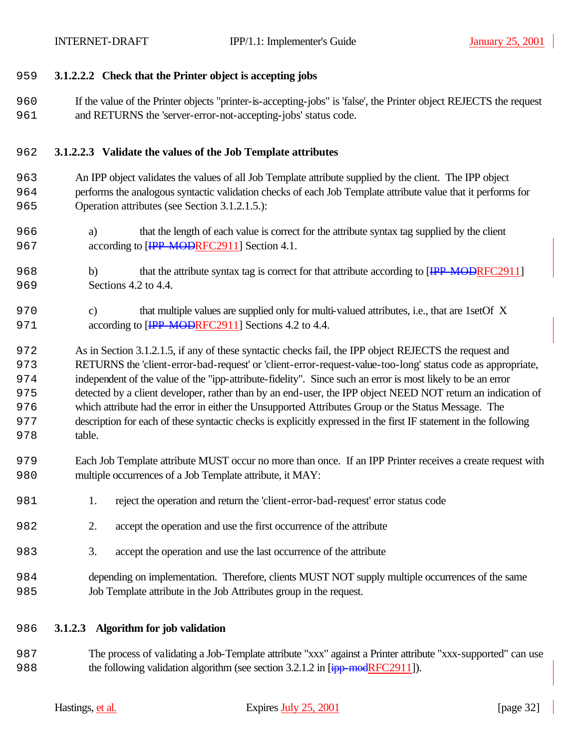## **3.1.2.2.2 Check that the Printer object is accepting jobs**

 If the value of the Printer objects "printer-is-accepting-jobs" is 'false', the Printer object REJECTS the request and RETURNS the 'server-error-not-accepting-jobs' status code.

## **3.1.2.2.3 Validate the values of the Job Template attributes**

- An IPP object validates the values of all Job Template attribute supplied by the client. The IPP object performs the analogous syntactic validation checks of each Job Template attribute value that it performs for Operation attributes (see Section 3.1.2.1.5.):
- a) that the length of each value is correct for the attribute syntax tag supplied by the client 967 according to [<del>IPP-MOD</del>RFC2911] Section 4.1.
- 968 b) that the attribute syntax tag is correct for that attribute according to [IPP-MODRFC2911] Sections 4.2 to 4.4.
- c) that multiple values are supplied only for multi-valued attributes, i.e., that are 1setOf X 971 according to [IPP-MODRFC2911] Sections 4.2 to 4.4.

 As in Section 3.1.2.1.5, if any of these syntactic checks fail, the IPP object REJECTS the request and RETURNS the 'client-error-bad-request' or 'client-error-request-value-too-long' status code as appropriate, independent of the value of the "ipp-attribute-fidelity". Since such an error is most likely to be an error detected by a client developer, rather than by an end-user, the IPP object NEED NOT return an indication of which attribute had the error in either the Unsupported Attributes Group or the Status Message. The description for each of these syntactic checks is explicitly expressed in the first IF statement in the following table.

- Each Job Template attribute MUST occur no more than once. If an IPP Printer receives a create request with multiple occurrences of a Job Template attribute, it MAY:
- 1. reject the operation and return the 'client-error-bad-request' error status code
- 2. accept the operation and use the first occurrence of the attribute
- 3. accept the operation and use the last occurrence of the attribute
- depending on implementation. Therefore, clients MUST NOT supply multiple occurrences of the same Job Template attribute in the Job Attributes group in the request.

## **3.1.2.3 Algorithm for job validation**

 The process of validating a Job-Template attribute "xxx" against a Printer attribute "xxx-supported" can use 988 the following validation algorithm (see section 3.2.1.2 in [ipp-modRFC2911]).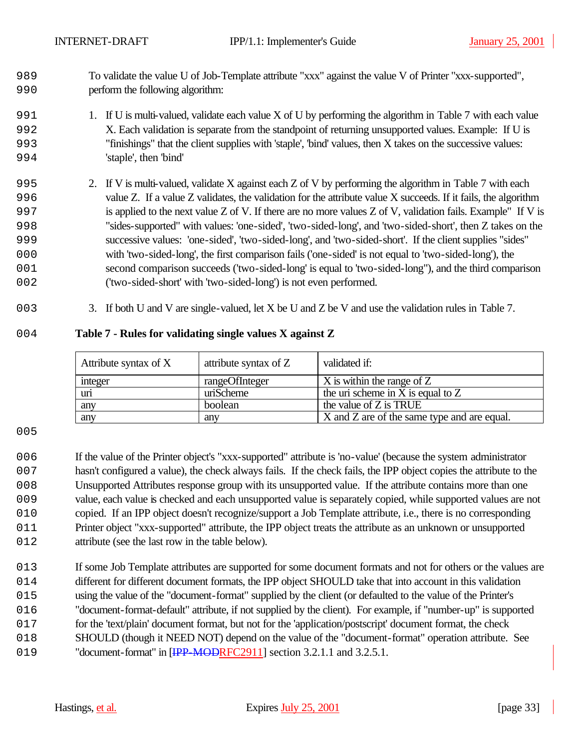- To validate the value U of Job-Template attribute "xxx" against the value V of Printer "xxx-supported", perform the following algorithm:
- 991 1. If U is multi-valued, validate each value X of U by performing the algorithm in Table 7 with each value X. Each validation is separate from the standpoint of returning unsupported values. Example: If U is "finishings" that the client supplies with 'staple', 'bind' values, then X takes on the successive values: 'staple', then 'bind'
- 2. If V is multi-valued, validate X against each Z of V by performing the algorithm in Table 7 with each value Z. If a value Z validates, the validation for the attribute value X succeeds. If it fails, the algorithm is applied to the next value Z of V. If there are no more values Z of V, validation fails. Example" If V is "sides-supported" with values: 'one-sided', 'two-sided-long', and 'two-sided-short', then Z takes on the successive values: 'one-sided', 'two-sided-long', and 'two-sided-short'. If the client supplies "sides" with 'two-sided-long', the first comparison fails ('one-sided' is not equal to 'two-sided-long'), the second comparison succeeds ('two-sided-long' is equal to 'two-sided-long"), and the third comparison ('two-sided-short' with 'two-sided-long') is not even performed.
- 3. If both U and V are single-valued, let X be U and Z be V and use the validation rules in Table 7.

## **Table 7 - Rules for validating single values X against Z**

| Attribute syntax of X | attribute syntax of Z | validated if:                               |
|-----------------------|-----------------------|---------------------------------------------|
| integer               | rangeOfInteger        | X is within the range of Z                  |
| uri                   | uriScheme             | the uri scheme in X is equal to $Z$         |
| any                   | boolean               | the value of Z is TRUE                      |
| any                   | any                   | X and Z are of the same type and are equal. |

 If the value of the Printer object's "xxx-supported" attribute is 'no-value' (because the system administrator hasn't configured a value), the check always fails. If the check fails, the IPP object copies the attribute to the Unsupported Attributes response group with its unsupported value. If the attribute contains more than one value, each value is checked and each unsupported value is separately copied, while supported values are not 010 copied. If an IPP object doesn't recognize/support a Job Template attribute, i.e., there is no corresponding Printer object "xxx-supported" attribute, the IPP object treats the attribute as an unknown or unsupported 012 attribute (see the last row in the table below).

013 If some Job Template attributes are supported for some document formats and not for others or the values are 014 different for different document formats, the IPP object SHOULD take that into account in this validation using the value of the "document-format" supplied by the client (or defaulted to the value of the Printer's "document-format-default" attribute, if not supplied by the client). For example, if "number-up" is supported for the 'text/plain' document format, but not for the 'application/postscript' document format, the check 018 SHOULD (though it NEED NOT) depend on the value of the "document-format" operation attribute. See 019 "document-format" in [IPP-MODRFC2911] section 3.2.1.1 and 3.2.5.1.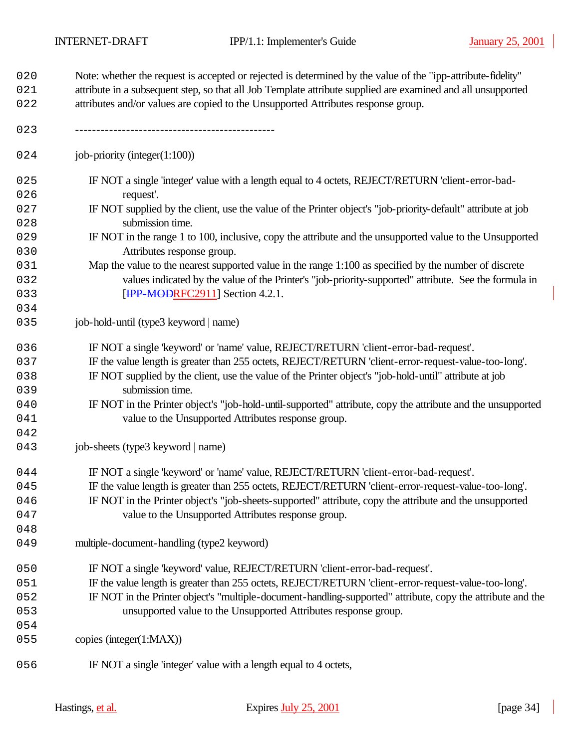| 020<br>021 | Note: whether the request is accepted or rejected is determined by the value of the "ipp-attribute-fidelity"<br>attribute in a subsequent step, so that all Job Template attribute supplied are examined and all unsupported |  |  |
|------------|------------------------------------------------------------------------------------------------------------------------------------------------------------------------------------------------------------------------------|--|--|
| 022        | attributes and/or values are copied to the Unsupported Attributes response group.                                                                                                                                            |  |  |
| 023        |                                                                                                                                                                                                                              |  |  |
| 024        | job-priority (integer $(1:100)$ )                                                                                                                                                                                            |  |  |
| 025        | IF NOT a single 'integer' value with a length equal to 4 octets, REJECT/RETURN 'client-error-bad-                                                                                                                            |  |  |
| 026        | request'.                                                                                                                                                                                                                    |  |  |
| 027        | IF NOT supplied by the client, use the value of the Printer object's "job-priority-default" attribute at job                                                                                                                 |  |  |
| 028        | submission time.                                                                                                                                                                                                             |  |  |
| 029<br>030 | IF NOT in the range 1 to 100, inclusive, copy the attribute and the unsupported value to the Unsupported<br>Attributes response group.                                                                                       |  |  |
| 031        | Map the value to the nearest supported value in the range 1:100 as specified by the number of discrete                                                                                                                       |  |  |
| 032        | values indicated by the value of the Printer's "job-priority-supported" attribute. See the formula in                                                                                                                        |  |  |
| 033        | <b>[IPP_MODRFC2911]</b> Section 4.2.1.                                                                                                                                                                                       |  |  |
| 034        |                                                                                                                                                                                                                              |  |  |
| 035        | job-hold-until (type3 keyword   name)                                                                                                                                                                                        |  |  |
| 036        | IF NOT a single 'keyword' or 'name' value, REJECT/RETURN 'client-error-bad-request'.                                                                                                                                         |  |  |
| 037        | IF the value length is greater than 255 octets, REJECT/RETURN 'client-error-request-value-too-long'.                                                                                                                         |  |  |
| 038        | IF NOT supplied by the client, use the value of the Printer object's "job-hold-until" attribute at job                                                                                                                       |  |  |
| 039        | submission time.                                                                                                                                                                                                             |  |  |
| 040        | IF NOT in the Printer object's "job-hold-until-supported" attribute, copy the attribute and the unsupported                                                                                                                  |  |  |
| 041        | value to the Unsupported Attributes response group.                                                                                                                                                                          |  |  |
| 042        |                                                                                                                                                                                                                              |  |  |
| 043        | job-sheets (type3 keyword   name)                                                                                                                                                                                            |  |  |
| 044        | IF NOT a single 'keyword' or 'name' value, REJECT/RETURN 'client-error-bad-request'.                                                                                                                                         |  |  |
| 045        | IF the value length is greater than 255 octets, REJECT/RETURN 'client-error-request-value-too-long'                                                                                                                          |  |  |
| 046        | IF NOT in the Printer object's "job-sheets-supported" attribute, copy the attribute and the unsupported                                                                                                                      |  |  |
| 047        | value to the Unsupported Attributes response group.                                                                                                                                                                          |  |  |
| 048        |                                                                                                                                                                                                                              |  |  |
| 049        | multiple-document-handling (type2 keyword)                                                                                                                                                                                   |  |  |
| 050        | IF NOT a single 'keyword' value, REJECT/RETURN 'client-error-bad-request'.                                                                                                                                                   |  |  |
| 051        | IF the value length is greater than 255 octets, REJECT/RETURN 'client-error-request-value-too-long'.                                                                                                                         |  |  |
| 052        | IF NOT in the Printer object's "multiple-document-handling-supported" attribute, copy the attribute and the                                                                                                                  |  |  |
| 053        | unsupported value to the Unsupported Attributes response group.                                                                                                                                                              |  |  |
| 054        |                                                                                                                                                                                                                              |  |  |
| 055        | copies (integer(1:MAX))                                                                                                                                                                                                      |  |  |
| 056        | IF NOT a single 'integer' value with a length equal to 4 octets,                                                                                                                                                             |  |  |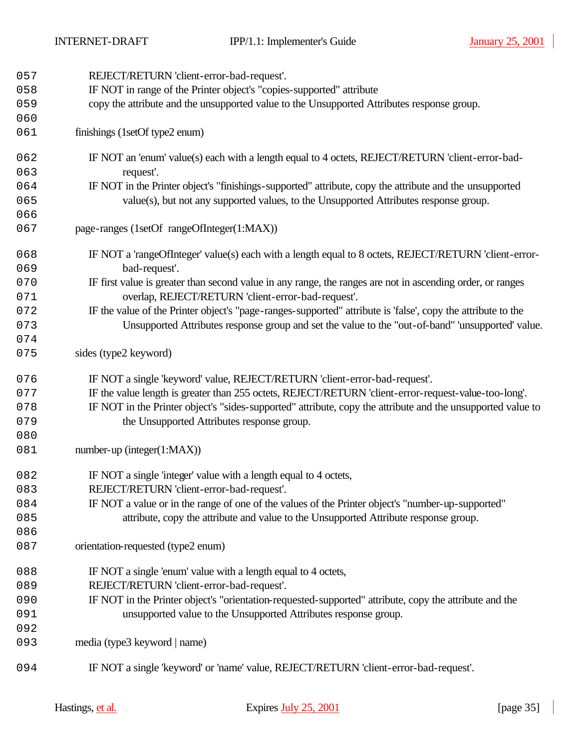| 057 | REJECT/RETURN 'client-error-bad-request'.                                                                    |  |  |
|-----|--------------------------------------------------------------------------------------------------------------|--|--|
| 058 | IF NOT in range of the Printer object's "copies-supported" attribute                                         |  |  |
| 059 | copy the attribute and the unsupported value to the Unsupported Attributes response group.                   |  |  |
| 060 |                                                                                                              |  |  |
| 061 | finishings (1setOf type2 enum)                                                                               |  |  |
| 062 | IF NOT an 'enum' value(s) each with a length equal to 4 octets, REJECT/RETURN 'client-error-bad-             |  |  |
| 063 | request'.                                                                                                    |  |  |
| 064 | IF NOT in the Printer object's "finishings-supported" attribute, copy the attribute and the unsupported      |  |  |
| 065 | value(s), but not any supported values, to the Unsupported Attributes response group.                        |  |  |
| 066 |                                                                                                              |  |  |
| 067 | page-ranges (1setOf rangeOfInteger(1:MAX))                                                                   |  |  |
| 068 | IF NOT a 'rangeOfInteger' value(s) each with a length equal to 8 octets, REJECT/RETURN 'client-error-        |  |  |
| 069 | bad-request'.                                                                                                |  |  |
| 070 | IF first value is greater than second value in any range, the ranges are not in ascending order, or ranges   |  |  |
| 071 | overlap, REJECT/RETURN 'client-error-bad-request'.                                                           |  |  |
| 072 | IF the value of the Printer object's "page-ranges-supported" attribute is 'false', copy the attribute to the |  |  |
| 073 | Unsupported Attributes response group and set the value to the "out-of-band" 'unsupported' value.            |  |  |
| 074 |                                                                                                              |  |  |
| 075 | sides (type2 keyword)                                                                                        |  |  |
| 076 | IF NOT a single 'keyword' value, REJECT/RETURN 'client-error-bad-request'.                                   |  |  |
| 077 | IF the value length is greater than 255 octets, REJECT/RETURN 'client-error-request-value-too-long'.         |  |  |
| 078 | IF NOT in the Printer object's "sides-supported" attribute, copy the attribute and the unsupported value to  |  |  |
| 079 | the Unsupported Attributes response group.                                                                   |  |  |
| 080 |                                                                                                              |  |  |
| 081 | $number-up (integer(1:MAX))$                                                                                 |  |  |
| 082 | IF NOT a single 'integer' value with a length equal to 4 octets,                                             |  |  |
| 083 | REJECT/RETURN 'client-error-bad-request'.                                                                    |  |  |
| 084 | IF NOT a value or in the range of one of the values of the Printer object's "number-up-supported"            |  |  |
| 085 | attribute, copy the attribute and value to the Unsupported Attribute response group.                         |  |  |
| 086 |                                                                                                              |  |  |
| 087 | orientation-requested (type2 enum)                                                                           |  |  |
| 088 | IF NOT a single 'enum' value with a length equal to 4 octets,                                                |  |  |
| 089 | REJECT/RETURN 'client-error-bad-request'.                                                                    |  |  |
| 090 | IF NOT in the Printer object's "orientation-requested-supported" attribute, copy the attribute and the       |  |  |
| 091 | unsupported value to the Unsupported Attributes response group.                                              |  |  |
| 092 |                                                                                                              |  |  |
| 093 | media (type3 keyword   name)                                                                                 |  |  |
| 094 | IF NOT a single 'keyword' or 'name' value, REJECT/RETURN 'client-error-bad-request'.                         |  |  |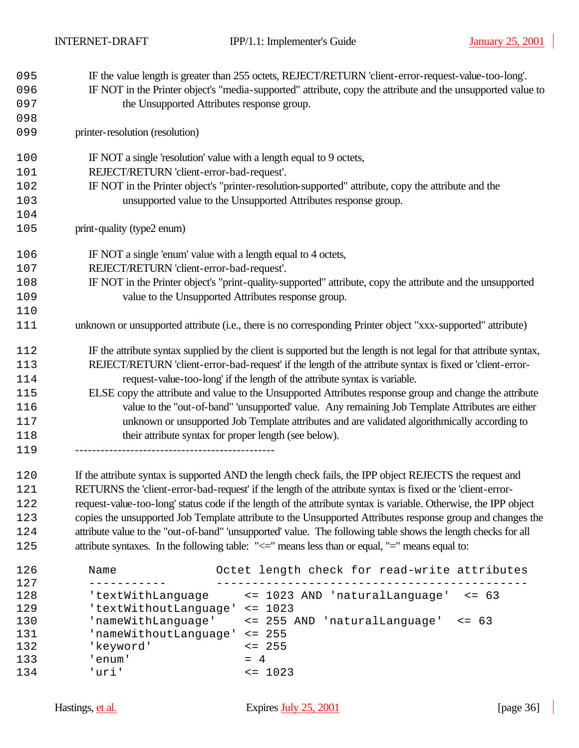| 095  | IF the value length is greater than 255 octets, REJECT/RETURN 'client-error-request-value-too-long'.               |  |
|------|--------------------------------------------------------------------------------------------------------------------|--|
| 096  | IF NOT in the Printer object's "media-supported" attribute, copy the attribute and the unsupported value to        |  |
| 097  | the Unsupported Attributes response group.                                                                         |  |
| 098  |                                                                                                                    |  |
| 099  | printer-resolution (resolution)                                                                                    |  |
| 100  | IF NOT a single 'resolution' value with a length equal to 9 octets,                                                |  |
| 101  | REJECT/RETURN 'client-error-bad-request'.                                                                          |  |
| 102  | IF NOT in the Printer object's "printer-resolution-supported" attribute, copy the attribute and the                |  |
| 103  | unsupported value to the Unsupported Attributes response group.                                                    |  |
| 104  |                                                                                                                    |  |
| 105  | print-quality (type2 enum)                                                                                         |  |
| 106  | IF NOT a single 'enum' value with a length equal to 4 octets,                                                      |  |
| 107  | REJECT/RETURN 'client-error-bad-request'.                                                                          |  |
| 108  | IF NOT in the Printer object's "print-quality-supported" attribute, copy the attribute and the unsupported         |  |
| 109  | value to the Unsupported Attributes response group.                                                                |  |
| 110  |                                                                                                                    |  |
| 111  | unknown or unsupported attribute (i.e., there is no corresponding Printer object "xxx-supported" attribute)        |  |
| 112  | IF the attribute syntax supplied by the client is supported but the length is not legal for that attribute syntax, |  |
| 113  | REJECT/RETURN 'client-error-bad-request' if the length of the attribute syntax is fixed or 'client-error-          |  |
| 114  | request-value-too-long' if the length of the attribute syntax is variable.                                         |  |
| 115  | ELSE copy the attribute and value to the Unsupported Attributes response group and change the attribute            |  |
| 116  | value to the "out-of-band" 'unsupported' value. Any remaining Job Template Attributes are either                   |  |
| 117  | unknown or unsupported Job Template attributes and are validated algorithmically according to                      |  |
| 118  | their attribute syntax for proper length (see below).                                                              |  |
| 119  |                                                                                                                    |  |
| 1.20 | If the attribute cyntax is supported AND the length check fails the IPP object REIECTS the request and             |  |

 If the attribute syntax is supported AND the length check fails, the IPP object REJECTS the request and 121 RETURNS the 'client-error-bad-request' if the length of the attribute syntax is fixed or the 'client-error- request-value-too-long' status code if the length of the attribute syntax is variable. Otherwise, the IPP object copies the unsupported Job Template attribute to the Unsupported Attributes response group and changes the attribute value to the "out-of-band" 'unsupported' value. The following table shows the length checks for all 125 attribute syntaxes. In the following table: " $\leq$  means less than or equal, "=" means equal to:

| 126 | Name                  | Octet length check for read-write attributes |
|-----|-----------------------|----------------------------------------------|
| 127 |                       |                                              |
| 128 | 'textWithLanguage     | <= 1023 AND 'naturalLanguage'<br>$\leq$ 63   |
| 129 | 'textWithoutLanguage' | $\leq$ 1023                                  |
| 130 | 'nameWithLanguage'    | <= 255 AND 'naturalLanguage'<br>$\leq$ 63    |
| 131 | 'nameWithoutLanguage' | $\leq$ 255                                   |
| 132 | 'keyword'             | $\leq$ 255                                   |
| 133 | enum'                 | $= 4$                                        |
| 134 | ี บากว่ !             | $\leq 1023$                                  |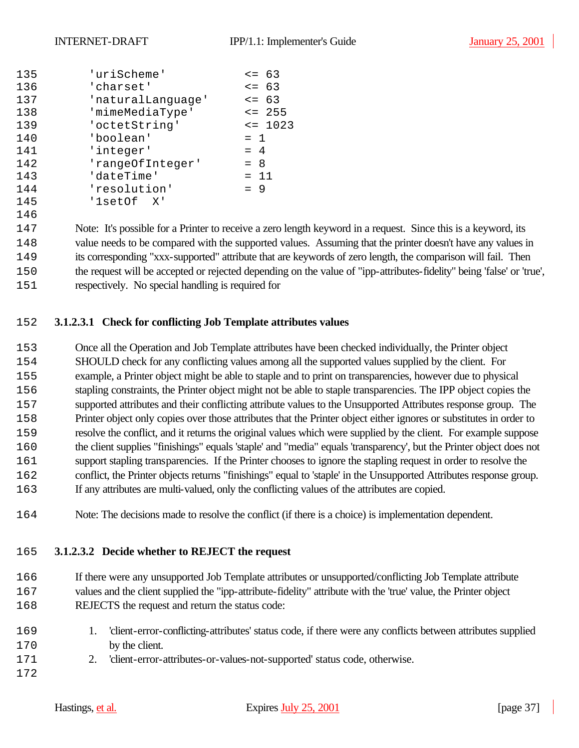| 135 | 'uriScheme'       | $= 63$      |
|-----|-------------------|-------------|
| 136 | 'charset'         | $\leq -63$  |
| 137 | 'naturalLanguage' | $\leq -63$  |
| 138 | 'mimeMediaType'   | $\leq$ 255  |
| 139 | 'octetString'     | $\leq$ 1023 |
| 140 | 'boolean'         | $= 1$       |
| 141 | 'integer'         | $= 4$       |
| 142 | 'rangeOfInteger'  | $= 8$       |
| 143 | 'dateTime'        | $= 11$      |
| 144 | 'resolution'      | $= 9$       |
| 145 | '1setOf X'        |             |

 Note: It's possible for a Printer to receive a zero length keyword in a request. Since this is a keyword, its value needs to be compared with the supported values. Assuming that the printer doesn't have any values in its corresponding "xxx-supported" attribute that are keywords of zero length, the comparison will fail. Then the request will be accepted or rejected depending on the value of "ipp-attributes-fidelity" being 'false' or 'true', respectively. No special handling is required for

## **3.1.2.3.1 Check for conflicting Job Template attributes values**

 Once all the Operation and Job Template attributes have been checked individually, the Printer object SHOULD check for any conflicting values among all the supported values supplied by the client. For example, a Printer object might be able to staple and to print on transparencies, however due to physical stapling constraints, the Printer object might not be able to staple transparencies. The IPP object copies the supported attributes and their conflicting attribute values to the Unsupported Attributes response group. The Printer object only copies over those attributes that the Printer object either ignores or substitutes in order to resolve the conflict, and it returns the original values which were supplied by the client. For example suppose the client supplies "finishings" equals 'staple' and "media" equals 'transparency', but the Printer object does not support stapling transparencies. If the Printer chooses to ignore the stapling request in order to resolve the conflict, the Printer objects returns "finishings" equal to 'staple' in the Unsupported Attributes response group. If any attributes are multi-valued, only the conflicting values of the attributes are copied.

Note: The decisions made to resolve the conflict (if there is a choice) is implementation dependent.

#### **3.1.2.3.2 Decide whether to REJECT the request**

 If there were any unsupported Job Template attributes or unsupported/conflicting Job Template attribute 167 values and the client supplied the "ipp-attribute-fidelity" attribute with the 'true' value, the Printer object 168 REJECTS the request and return the status code:

- 1. 'client-error-conflicting-attributes' status code, if there were any conflicts between attributes supplied 170 by the client.
- 2. 'client-error-attributes-or-values-not-supported' status code, otherwise.
-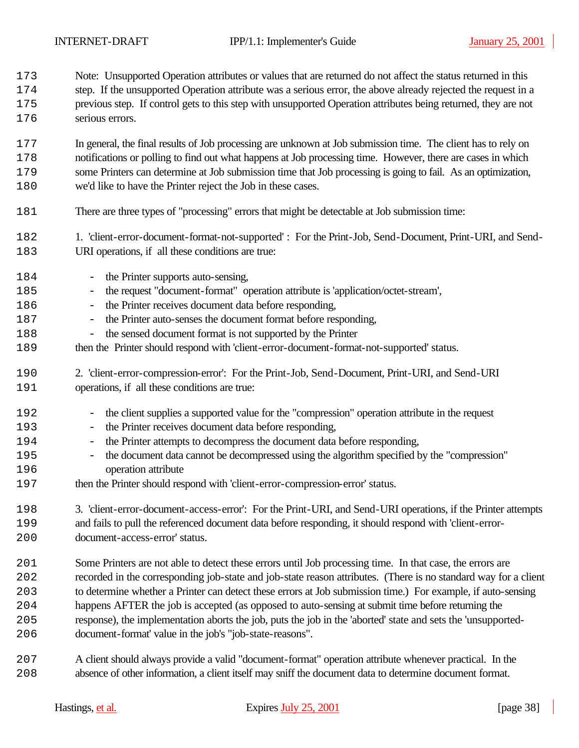Note: Unsupported Operation attributes or values that are returned do not affect the status returned in this

 step. If the unsupported Operation attribute was a serious error, the above already rejected the request in a previous step. If control gets to this step with unsupported Operation attributes being returned, they are not serious errors.

 In general, the final results of Job processing are unknown at Job submission time. The client has to rely on notifications or polling to find out what happens at Job processing time. However, there are cases in which some Printers can determine at Job submission time that Job processing is going to fail. As an optimization, 180 we'd like to have the Printer reject the Job in these cases.

- There are three types of "processing" errors that might be detectable at Job submission time:
- 1. 'client-error-document-format-not-supported' : For the Print-Job, Send-Document, Print-URI, and Send-183 URI operations, if all these conditions are true:
- 184 the Printer supports auto-sensing, - the request "document-format" operation attribute is 'application/octet-stream',
- 186 the Printer receives document data before responding,
- 187 the Printer auto-senses the document format before responding,
- 188 the sensed document format is not supported by the Printer
- 189 then the Printer should respond with 'client-error-document-format-not-supported' status.
- 2. 'client-error-compression-error': For the Print-Job, Send-Document, Print-URI, and Send-URI 191 operations, if all these conditions are true:
- the client supplies a supported value for the "compression" operation attribute in the request
- 193 the Printer receives document data before responding,
- the Printer attempts to decompress the document data before responding,
- the document data cannot be decompressed using the algorithm specified by the "compression" operation attribute
- then the Printer should respond with 'client-error-compression-error' status.
- 3. 'client-error-document-access-error': For the Print-URI, and Send-URI operations, if the Printer attempts and fails to pull the referenced document data before responding, it should respond with 'client-error-document-access-error' status.
- Some Printers are not able to detect these errors until Job processing time. In that case, the errors are recorded in the corresponding job-state and job-state reason attributes. (There is no standard way for a client to determine whether a Printer can detect these errors at Job submission time.) For example, if auto-sensing happens AFTER the job is accepted (as opposed to auto-sensing at submit time before returning the response), the implementation aborts the job, puts the job in the 'aborted' state and sets the 'unsupported-
- document-format' value in the job's "job-state-reasons".
- A client should always provide a valid "document-format" operation attribute whenever practical. In the absence of other information, a client itself may sniff the document data to determine document format.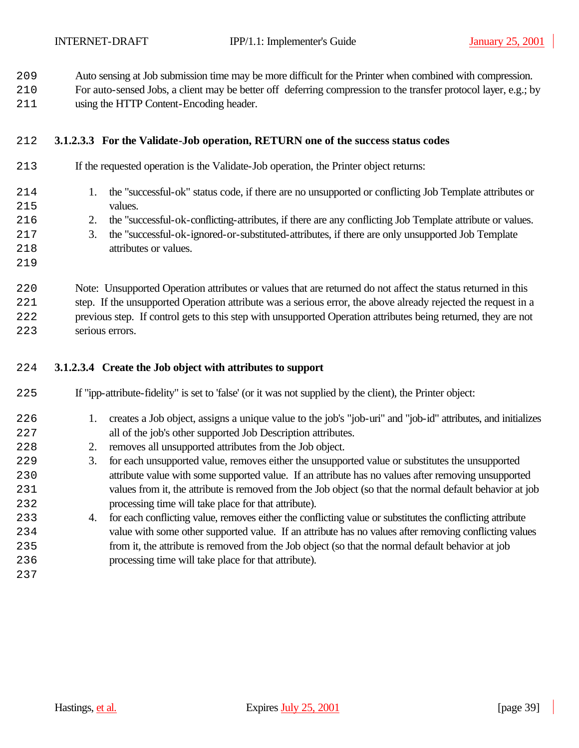Auto sensing at Job submission time may be more difficult for the Printer when combined with compression.

For auto-sensed Jobs, a client may be better off deferring compression to the transfer protocol layer, e.g.; by

211 using the HTTP Content-Encoding header.

## **3.1.2.3.3 For the Validate-Job operation, RETURN one of the success status codes**

| 213 | If the requested operation is the Validate-Job operation, the Printer object returns: |
|-----|---------------------------------------------------------------------------------------|
|     |                                                                                       |

- 1. the "successful-ok" status code, if there are no unsupported or conflicting Job Template attributes or 215 values.
- 2. the "successful-ok-conflicting-attributes, if there are any conflicting Job Template attribute or values.
- 3. the "successful-ok-ignored-or-substituted-attributes, if there are only unsupported Job Template
- 218 attributes or values.
- 

 Note: Unsupported Operation attributes or values that are returned do not affect the status returned in this step. If the unsupported Operation attribute was a serious error, the above already rejected the request in a previous step. If control gets to this step with unsupported Operation attributes being returned, they are not serious errors.

#### **3.1.2.3.4 Create the Job object with attributes to support**

- If "ipp-attribute-fidelity" is set to 'false' (or it was not supplied by the client), the Printer object:
- 1. creates a Job object, assigns a unique value to the job's "job-uri" and "job-id" attributes, and initializes 227 all of the job's other supported Job Description attributes.
- 2. removes all unsupported attributes from the Job object.
- 3. for each unsupported value, removes either the unsupported value or substitutes the unsupported attribute value with some supported value. If an attribute has no values after removing unsupported values from it, the attribute is removed from the Job object (so that the normal default behavior at job 232 processing time will take place for that attribute).
- 4. for each conflicting value, removes either the conflicting value or substitutes the conflicting attribute value with some other supported value. If an attribute has no values after removing conflicting values from it, the attribute is removed from the Job object (so that the normal default behavior at job processing time will take place for that attribute).
-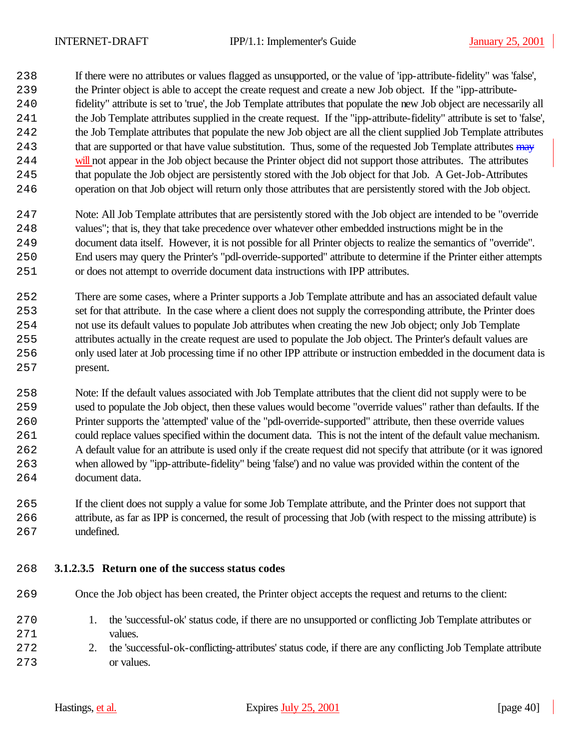If there were no attributes or values flagged as unsupported, or the value of 'ipp-attribute-fidelity" was 'false',

- the Printer object is able to accept the create request and create a new Job object. If the "ipp-attribute-
- fidelity" attribute is set to 'true', the Job Template attributes that populate the new Job object are necessarily all
- the Job Template attributes supplied in the create request. If the "ipp-attribute-fidelity" attribute is set to 'false',
- the Job Template attributes that populate the new Job object are all the client supplied Job Template attributes 243 that are supported or that have value substitution. Thus, some of the requested Job Template attributes may 244 will not appear in the Job object because the Printer object did not support those attributes. The attributes
- that populate the Job object are persistently stored with the Job object for that Job. A Get-Job-Attributes operation on that Job object will return only those attributes that are persistently stored with the Job object.
- Note: All Job Template attributes that are persistently stored with the Job object are intended to be "override values"; that is, they that take precedence over whatever other embedded instructions might be in the document data itself. However, it is not possible for all Printer objects to realize the semantics of "override". End users may query the Printer's "pdl-override-supported" attribute to determine if the Printer either attempts or does not attempt to override document data instructions with IPP attributes.
- There are some cases, where a Printer supports a Job Template attribute and has an associated default value set for that attribute. In the case where a client does not supply the corresponding attribute, the Printer does not use its default values to populate Job attributes when creating the new Job object; only Job Template attributes actually in the create request are used to populate the Job object. The Printer's default values are only used later at Job processing time if no other IPP attribute or instruction embedded in the document data is present.
- Note: If the default values associated with Job Template attributes that the client did not supply were to be used to populate the Job object, then these values would become "override values" rather than defaults. If the Printer supports the 'attempted' value of the "pdl-override-supported" attribute, then these override values could replace values specified within the document data. This is not the intent of the default value mechanism. A default value for an attribute is used only if the create request did not specify that attribute (or it was ignored when allowed by "ipp-attribute-fidelity" being 'false') and no value was provided within the content of the 264 document data.
- If the client does not supply a value for some Job Template attribute, and the Printer does not support that attribute, as far as IPP is concerned, the result of processing that Job (with respect to the missing attribute) is undefined.

## **3.1.2.3.5 Return one of the success status codes**

- Once the Job object has been created, the Printer object accepts the request and returns to the client:
- 1. the 'successful-ok' status code, if there are no unsupported or conflicting Job Template attributes or 271 values.
- 2. the 'successful-ok-conflicting-attributes' status code, if there are any conflicting Job Template attribute 273 or values.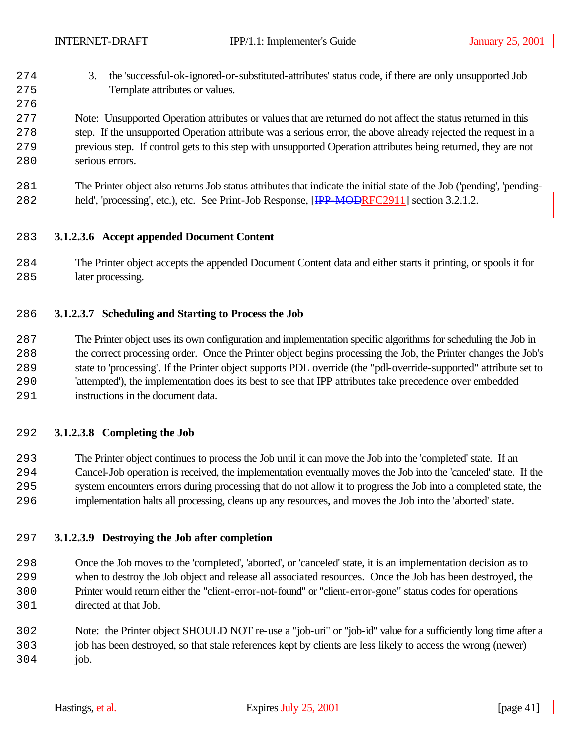3. the 'successful-ok-ignored-or-substituted-attributes' status code, if there are only unsupported Job 275 Template attributes or values.

## Note: Unsupported Operation attributes or values that are returned do not affect the status returned in this step. If the unsupported Operation attribute was a serious error, the above already rejected the request in a previous step. If control gets to this step with unsupported Operation attributes being returned, they are not serious errors.

 The Printer object also returns Job status attributes that indicate the initial state of the Job ('pending', 'pending-282 held', 'processing', etc.), etc. See Print-Job Response, [IPP-MODRFC2911] section 3.2.1.2.

## **3.1.2.3.6 Accept appended Document Content**

 The Printer object accepts the appended Document Content data and either starts it printing, or spools it for 285 later processing.

## **3.1.2.3.7 Scheduling and Starting to Process the Job**

 The Printer object uses its own configuration and implementation specific algorithms for scheduling the Job in the correct processing order. Once the Printer object begins processing the Job, the Printer changes the Job's state to 'processing'. If the Printer object supports PDL override (the "pdl-override-supported" attribute set to 'attempted'), the implementation does its best to see that IPP attributes take precedence over embedded instructions in the document data.

#### **3.1.2.3.8 Completing the Job**

 The Printer object continues to process the Job until it can move the Job into the 'completed' state. If an Cancel-Job operation is received, the implementation eventually moves the Job into the 'canceled' state. If the system encounters errors during processing that do not allow it to progress the Job into a completed state, the implementation halts all processing, cleans up any resources, and moves the Job into the 'aborted' state.

## **3.1.2.3.9 Destroying the Job after completion**

 Once the Job moves to the 'completed', 'aborted', or 'canceled' state, it is an implementation decision as to when to destroy the Job object and release all associated resources. Once the Job has been destroyed, the Printer would return either the "client-error-not-found" or "client-error-gone" status codes for operations directed at that Job.

 Note: the Printer object SHOULD NOT re-use a "job-uri" or "job-id" value for a sufficiently long time after a job has been destroyed, so that stale references kept by clients are less likely to access the wrong (newer) job.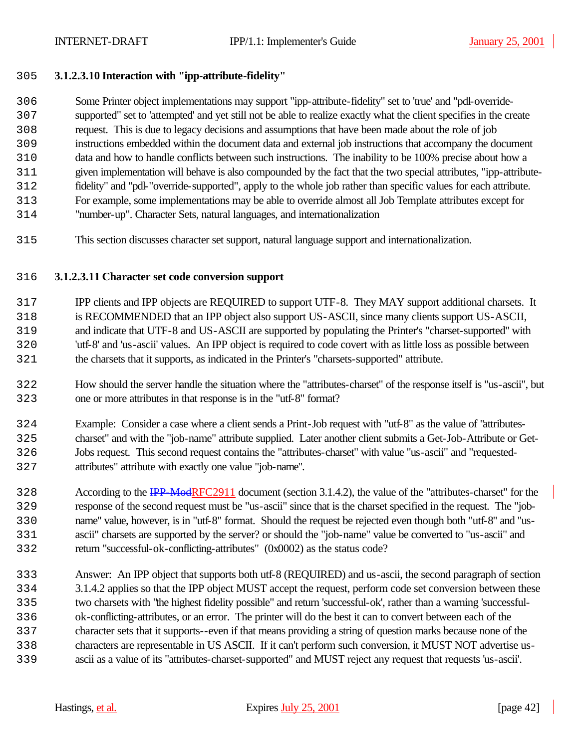## **3.1.2.3.10 Interaction with "ipp-attribute-fidelity"**

- Some Printer object implementations may support "ipp-attribute-fidelity" set to 'true' and "pdl-override- supported" set to 'attempted' and yet still not be able to realize exactly what the client specifies in the create request. This is due to legacy decisions and assumptions that have been made about the role of job instructions embedded within the document data and external job instructions that accompany the document data and how to handle conflicts between such instructions. The inability to be 100% precise about how a given implementation will behave is also compounded by the fact that the two special attributes, "ipp-attribute- fidelity" and "pdl-"override-supported", apply to the whole job rather than specific values for each attribute. For example, some implementations may be able to override almost all Job Template attributes except for
- "number-up". Character Sets, natural languages, and internationalization
- This section discusses character set support, natural language support and internationalization.

#### **3.1.2.3.11 Character set code conversion support**

- IPP clients and IPP objects are REQUIRED to support UTF-8. They MAY support additional charsets. It is RECOMMENDED that an IPP object also support US-ASCII, since many clients support US-ASCII, and indicate that UTF-8 and US-ASCII are supported by populating the Printer's "charset-supported" with 'utf-8' and 'us-ascii' values. An IPP object is required to code covert with as little loss as possible between the charsets that it supports, as indicated in the Printer's "charsets-supported" attribute.
- How should the server handle the situation where the "attributes-charset" of the response itself is "us-ascii", but one or more attributes in that response is in the "utf-8" format?
- Example: Consider a case where a client sends a Print-Job request with "utf-8" as the value of "attributes- charset" and with the "job-name" attribute supplied. Later another client submits a Get-Job-Attribute or Get- Jobs request. This second request contains the "attributes-charset" with value "us-ascii" and "requested-attributes" attribute with exactly one value "job-name".
- 1328 According to the IPP-ModRFC2911 document (section 3.1.4.2), the value of the "attributes-charset" for the response of the second request must be "us-ascii" since that is the charset specified in the request. The "job- name" value, however, is in "utf-8" format. Should the request be rejected even though both "utf-8" and "us- ascii" charsets are supported by the server? or should the "job-name" value be converted to "us-ascii" and return "successful-ok-conflicting-attributes" (0x0002) as the status code?
- Answer: An IPP object that supports both utf-8 (REQUIRED) and us-ascii, the second paragraph of section 3.1.4.2 applies so that the IPP object MUST accept the request, perform code set conversion between these two charsets with "the highest fidelity possible" and return 'successful-ok', rather than a warning 'successful- ok-conflicting-attributes, or an error. The printer will do the best it can to convert between each of the character sets that it supports--even if that means providing a string of question marks because none of the characters are representable in US ASCII. If it can't perform such conversion, it MUST NOT advertise us-ascii as a value of its "attributes-charset-supported" and MUST reject any request that requests 'us-ascii'.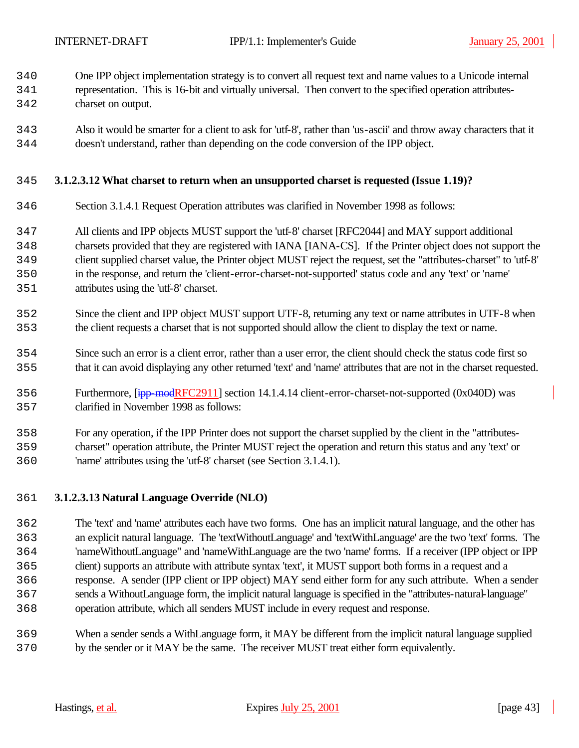One IPP object implementation strategy is to convert all request text and name values to a Unicode internal

- representation. This is 16-bit and virtually universal. Then convert to the specified operation attributes-charset on output.
- Also it would be smarter for a client to ask for 'utf-8', rather than 'us-ascii' and throw away characters that it doesn't understand, rather than depending on the code conversion of the IPP object.

#### **3.1.2.3.12 What charset to return when an unsupported charset is requested (Issue 1.19)?**

- Section 3.1.4.1 Request Operation attributes was clarified in November 1998 as follows:
- All clients and IPP objects MUST support the 'utf-8' charset [RFC2044] and MAY support additional
- charsets provided that they are registered with IANA [IANA-CS]. If the Printer object does not support the
- client supplied charset value, the Printer object MUST reject the request, set the "attributes-charset" to 'utf-8'
- in the response, and return the 'client-error-charset-not-supported' status code and any 'text' or 'name' attributes using the 'utf-8' charset.
- Since the client and IPP object MUST support UTF-8, returning any text or name attributes in UTF-8 when the client requests a charset that is not supported should allow the client to display the text or name.
- Since such an error is a client error, rather than a user error, the client should check the status code first so that it can avoid displaying any other returned 'text' and 'name' attributes that are not in the charset requested.
- Furthermore, [ipp-modRFC2911] section 14.1.4.14 client-error-charset-not-supported (0x040D) was clarified in November 1998 as follows:
- For any operation, if the IPP Printer does not support the charset supplied by the client in the "attributes- charset" operation attribute, the Printer MUST reject the operation and return this status and any 'text' or 'name' attributes using the 'utf-8' charset (see Section 3.1.4.1).

#### **3.1.2.3.13 Natural Language Override (NLO)**

- The 'text' and 'name' attributes each have two forms. One has an implicit natural language, and the other has an explicit natural language. The 'textWithoutLanguage' and 'textWithLanguage' are the two 'text' forms. The 'nameWithoutLanguage" and 'nameWithLanguage are the two 'name' forms. If a receiver (IPP object or IPP client) supports an attribute with attribute syntax 'text', it MUST support both forms in a request and a response. A sender (IPP client or IPP object) MAY send either form for any such attribute. When a sender sends a WithoutLanguage form, the implicit natural language is specified in the "attributes-natural-language" operation attribute, which all senders MUST include in every request and response.
- When a sender sends a WithLanguage form, it MAY be different from the implicit natural language supplied by the sender or it MAY be the same. The receiver MUST treat either form equivalently.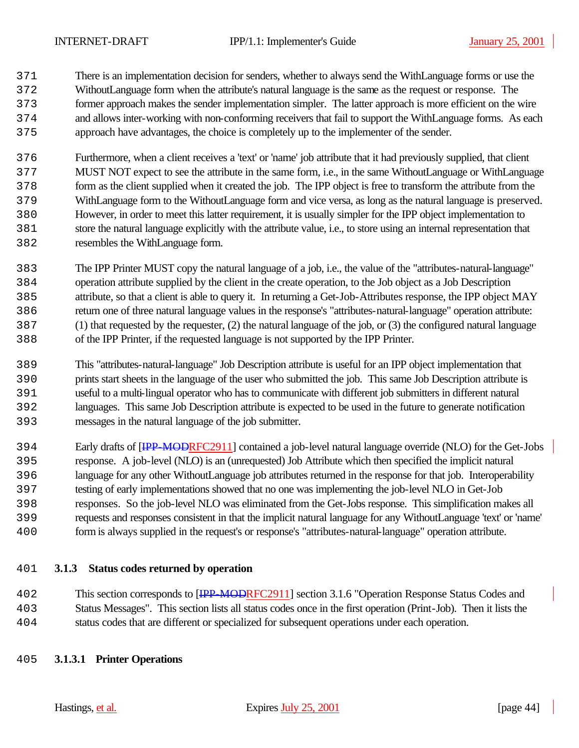There is an implementation decision for senders, whether to always send the WithLanguage forms or use the WithoutLanguage form when the attribute's natural language is the same as the request or response. The former approach makes the sender implementation simpler. The latter approach is more efficient on the wire and allows inter-working with non-conforming receivers that fail to support the WithLanguage forms. As each approach have advantages, the choice is completely up to the implementer of the sender.

 Furthermore, when a client receives a 'text' or 'name' job attribute that it had previously supplied, that client MUST NOT expect to see the attribute in the same form, i.e., in the same WithoutLanguage or WithLanguage form as the client supplied when it created the job. The IPP object is free to transform the attribute from the WithLanguage form to the WithoutLanguage form and vice versa, as long as the natural language is preserved. However, in order to meet this latter requirement, it is usually simpler for the IPP object implementation to store the natural language explicitly with the attribute value, i.e., to store using an internal representation that resembles the WithLanguage form.

- The IPP Printer MUST copy the natural language of a job, i.e., the value of the "attributes-natural-language" operation attribute supplied by the client in the create operation, to the Job object as a Job Description attribute, so that a client is able to query it. In returning a Get-Job-Attributes response, the IPP object MAY return one of three natural language values in the response's "attributes-natural-language" operation attribute: (1) that requested by the requester, (2) the natural language of the job, or (3) the configured natural language of the IPP Printer, if the requested language is not supported by the IPP Printer.
- This "attributes-natural-language" Job Description attribute is useful for an IPP object implementation that prints start sheets in the language of the user who submitted the job. This same Job Description attribute is useful to a multi-lingual operator who has to communicate with different job submitters in different natural languages. This same Job Description attribute is expected to be used in the future to generate notification messages in the natural language of the job submitter.
- 1394 Early drafts of  $\overline{IPP\text{-}MOPRFC2911}$  contained a job-level natural language override (NLO) for the Get-Jobs response. A job-level (NLO) is an (unrequested) Job Attribute which then specified the implicit natural language for any other WithoutLanguage job attributes returned in the response for that job. Interoperability testing of early implementations showed that no one was implementing the job-level NLO in Get-Job responses. So the job-level NLO was eliminated from the Get-Jobs response. This simplification makes all requests and responses consistent in that the implicit natural language for any WithoutLanguage 'text' or 'name' form is always supplied in the request's or response's "attributes-natural-language" operation attribute.

## **3.1.3 Status codes returned by operation**

102 This section corresponds to [<del>IPP-MODR</del>FC2911] section 3.1.6 "Operation Response Status Codes and Status Messages". This section lists all status codes once in the first operation (Print-Job). Then it lists the status codes that are different or specialized for subsequent operations under each operation.

#### **3.1.3.1 Printer Operations**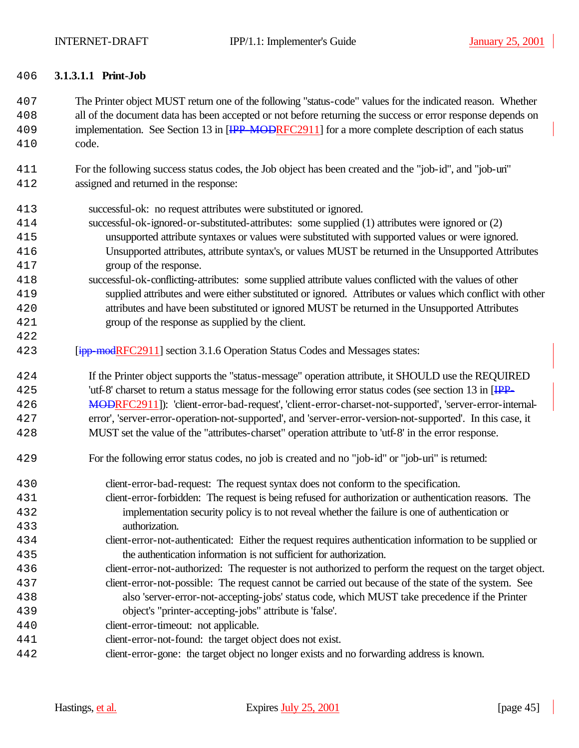#### **3.1.3.1.1 Print-Job**

 The Printer object MUST return one of the following "status-code" values for the indicated reason. Whether all of the document data has been accepted or not before returning the success or error response depends on 109 implementation. See Section 13 in [IPP-MODRFC2911] for a more complete description of each status code.

- For the following success status codes, the Job object has been created and the "job-id", and "job-uri" assigned and returned in the response:
- successful-ok: no request attributes were substituted or ignored.
- successful-ok-ignored-or-substituted-attributes: some supplied (1) attributes were ignored or (2) unsupported attribute syntaxes or values were substituted with supported values or were ignored. Unsupported attributes, attribute syntax's, or values MUST be returned in the Unsupported Attributes group of the response.
- successful-ok-conflicting-attributes: some supplied attribute values conflicted with the values of other supplied attributes and were either substituted or ignored. Attributes or values which conflict with other attributes and have been substituted or ignored MUST be returned in the Unsupported Attributes group of the response as supplied by the client.
- *ipp-modRFC2911]* section 3.1.6 Operation Status Codes and Messages states:

 If the Printer object supports the "status-message" operation attribute, it SHOULD use the REQUIRED 1425 'utf-8' charset to return a status message for the following error status codes (see section 13 in [IPP-426 MODRFC2911]): 'client-error-bad-request', 'client-error-charset-not-supported', 'server-error-internal- error', 'server-error-operation-not-supported', and 'server-error-version-not-supported'. In this case, it MUST set the value of the "attributes-charset" operation attribute to 'utf-8' in the error response.

- For the following error status codes, no job is created and no "job-id" or "job-uri" is returned:
- client-error-bad-request: The request syntax does not conform to the specification. client-error-forbidden: The request is being refused for authorization or authentication reasons. The implementation security policy is to not reveal whether the failure is one of authentication or authorization.
- client-error-not-authenticated: Either the request requires authentication information to be supplied or the authentication information is not sufficient for authorization.
- client-error-not-authorized: The requester is not authorized to perform the request on the target object.
- client-error-not-possible: The request cannot be carried out because of the state of the system. See also 'server-error-not-accepting-jobs' status code, which MUST take precedence if the Printer object's "printer-accepting-jobs" attribute is 'false'.
- client-error-timeout: not applicable.
- client-error-not-found: the target object does not exist.
- client-error-gone: the target object no longer exists and no forwarding address is known.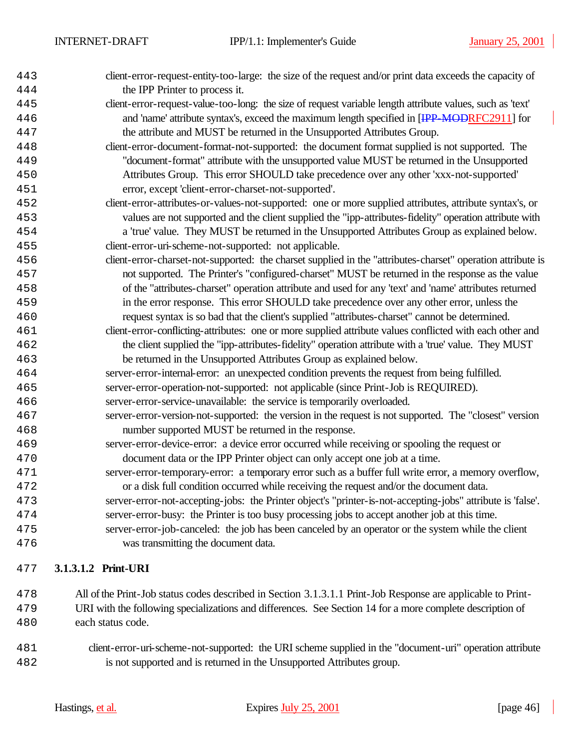| 443 | client-error-request-entity-too-large: the size of the request and/or print data exceeds the capacity of     |
|-----|--------------------------------------------------------------------------------------------------------------|
| 444 | the IPP Printer to process it.                                                                               |
| 445 | client-error-request-value-too-long: the size of request variable length attribute values, such as 'text'    |
| 446 | and 'name' attribute syntax's, exceed the maximum length specified in [IPP MODRFC2911] for                   |
| 447 | the attribute and MUST be returned in the Unsupported Attributes Group.                                      |
| 448 | client-error-document-format-not-supported: the document format supplied is not supported. The               |
| 449 | "document-format" attribute with the unsupported value MUST be returned in the Unsupported                   |
| 450 | Attributes Group. This error SHOULD take precedence over any other 'xxx-not-supported'                       |
| 451 | error, except 'client-error-charset-not-supported'.                                                          |
| 452 | client-error-attributes-or-values-not-supported: one or more supplied attributes, attribute syntax's, or     |
| 453 | values are not supported and the client supplied the "ipp-attributes-fidelity" operation attribute with      |
| 454 | a 'true' value. They MUST be returned in the Unsupported Attributes Group as explained below.                |
| 455 | client-error-uri-scheme-not-supported: not applicable.                                                       |
| 456 | client-error-charset-not-supported: the charset supplied in the "attributes-charset" operation attribute is  |
| 457 | not supported. The Printer's "configured-charset" MUST be returned in the response as the value              |
| 458 | of the "attributes-charset" operation attribute and used for any 'text' and 'name' attributes returned       |
| 459 | in the error response. This error SHOULD take precedence over any other error, unless the                    |
| 460 | request syntax is so bad that the client's supplied "attributes-charset" cannot be determined.               |
| 461 | client-error-conflicting-attributes: one or more supplied attribute values conflicted with each other and    |
| 462 | the client supplied the "ipp-attributes-fidelity" operation attribute with a 'true' value. They MUST         |
| 463 | be returned in the Unsupported Attributes Group as explained below.                                          |
| 464 | server-error-internal-error: an unexpected condition prevents the request from being fulfilled.              |
| 465 | server-error-operation-not-supported: not applicable (since Print-Job is REQUIRED).                          |
| 466 | server-error-service-unavailable: the service is temporarily overloaded.                                     |
| 467 | server-error-version-not-supported: the version in the request is not supported. The "closest" version       |
| 468 | number supported MUST be returned in the response.                                                           |
| 469 | server-error-device-error: a device error occurred while receiving or spooling the request or                |
| 470 | document data or the IPP Printer object can only accept one job at a time.                                   |
| 471 | server-error-temporary-error: a temporary error such as a buffer full write error, a memory overflow,        |
| 472 | or a disk full condition occurred while receiving the request and/or the document data.                      |
| 473 | server-error-not-accepting-jobs: the Printer object's "printer-is-not-accepting-jobs" attribute is 'false'.  |
| 474 | server-error-busy: the Printer is too busy processing jobs to accept another job at this time.               |
| 475 | server-error-job-canceled: the job has been canceled by an operator or the system while the client           |
| 476 | was transmitting the document data.                                                                          |
| 477 | 3.1.3.1.2 Print-URI                                                                                          |
| 478 | All of the Print-Job status codes described in Section 3.1.3.1.1 Print-Job Response are applicable to Print- |

 All of the Print-Job status codes described in Section 3.1.3.1.1 Print-Job Response are applicable to Print- URI with the following specializations and differences. See Section 14 for a more complete description of each status code.

 client-error-uri-scheme-not-supported: the URI scheme supplied in the "document-uri" operation attribute is not supported and is returned in the Unsupported Attributes group.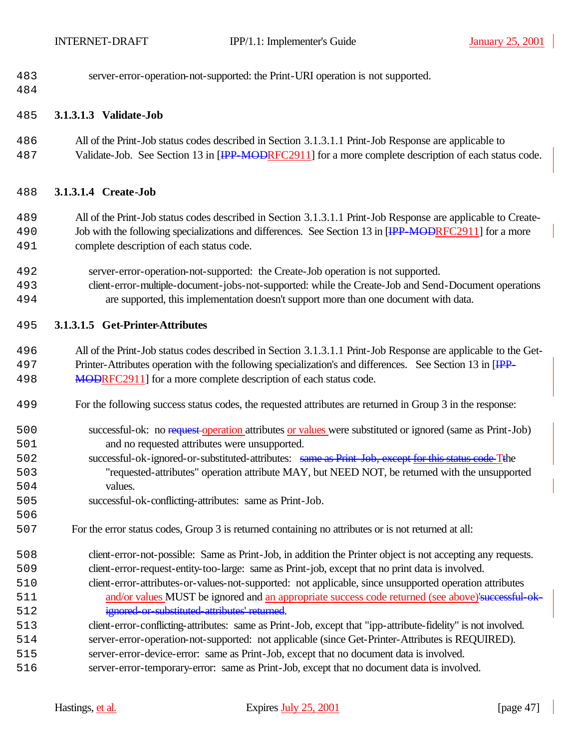| 483 | server-error-operation-not-supported: the Print-URI operation is not supported. |  |
|-----|---------------------------------------------------------------------------------|--|
|-----|---------------------------------------------------------------------------------|--|

#### **3.1.3.1.3 Validate-Job**

 All of the Print-Job status codes described in Section 3.1.3.1.1 Print-Job Response are applicable to 487 Validate-Job. See Section 13 in [IPP-MODRFC2911] for a more complete description of each status code.

#### **3.1.3.1.4 Create-Job**

- All of the Print-Job status codes described in Section 3.1.3.1.1 Print-Job Response are applicable to Create-190 Job with the following specializations and differences. See Section 13 in [IPP-MODRFC2911] for a more complete description of each status code.
- server-error-operation-not-supported: the Create-Job operation is not supported.
- client-error-multiple-document-jobs-not-supported: while the Create-Job and Send-Document operations are supported, this implementation doesn't support more than one document with data.

#### **3.1.3.1.5 Get-Printer-Attributes**

- All of the Print-Job status codes described in Section 3.1.3.1.1 Print-Job Response are applicable to the Get-197 Printer-Attributes operation with the following specialization's and differences. See Section 13 in [IPP-498 MODRFC2911] for a more complete description of each status code.
- For the following success status codes, the requested attributes are returned in Group 3 in the response:
- 500 successful-ok: no request-operation attributes or values were substituted or ignored (same as Print-Job) and no requested attributes were unsupported.
- successful-ok-ignored-or-substituted-attributes: same as Print-Job, except for this status code Tthe "requested-attributes" operation attribute MAY, but NEED NOT, be returned with the unsupported values.
- successful-ok-conflicting-attributes: same as Print-Job.
- For the error status codes, Group 3 is returned containing no attributes or is not returned at all:
- client-error-not-possible: Same as Print-Job, in addition the Printer object is not accepting any requests. client-error-request-entity-too-large: same as Print-job, except that no print data is involved.
- client-error-attributes-or-values-not-supported: not applicable, since unsupported operation attributes 1511 and/or values MUST be ignored and an appropriate success code returned (see above)'successful-ok-**ignored-or-substituted-attributes' returned.**
- client-error-conflicting-attributes: same as Print-Job, except that "ipp-attribute-fidelity" is not involved.
- server-error-operation-not-supported: not applicable (since Get-Printer-Attributes is REQUIRED).
- server-error-device-error: same as Print-Job, except that no document data is involved.
- server-error-temporary-error: same as Print-Job, except that no document data is involved.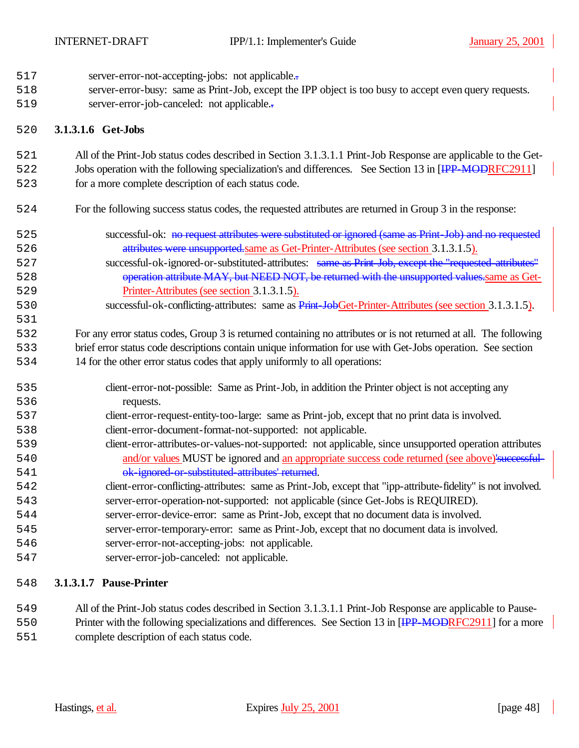- 517 server-error-not-accepting-jobs: not applicable...
- server-error-busy: same as Print-Job, except the IPP object is too busy to accept even query requests.
- 519 server-error-job-canceled: not applicable...

## **3.1.3.1.6 Get-Jobs**

- All of the Print-Job status codes described in Section 3.1.3.1.1 Print-Job Response are applicable to the Get-
- 522 Jobs operation with the following specialization's and differences. See Section 13 in [<del>IPP-MOD</del>RFC2911]
- for a more complete description of each status code.
- For the following success status codes, the requested attributes are returned in Group 3 in the response:
- 525 successful-ok: <del>no request attributes were substituted or ignored (same as Print-Job) and no requested</del> attributes were unsupported.same as Get-Printer-Attributes (see section 3.1.3.1.5).
- successful-ok-ignored-or-substituted-attributes: same as Print-Job, except the "requested-attributes" 528 operation attribute MAY, but NEED NOT, be returned with the unsupported values same as Get-Printer-Attributes (see section 3.1.3.1.5).
- 530 successful-ok-conflicting-attributes: same as Print-JobGet-Printer-Attributes (see section 3.1.3.1.5).

 For any error status codes, Group 3 is returned containing no attributes or is not returned at all. The following brief error status code descriptions contain unique information for use with Get-Jobs operation. See section 14 for the other error status codes that apply uniformly to all operations:

- client-error-not-possible: Same as Print-Job, in addition the Printer object is not accepting any requests.
- client-error-request-entity-too-large: same as Print-job, except that no print data is involved.
- client-error-document-format-not-supported: not applicable.
- client-error-attributes-or-values-not-supported: not applicable, since unsupported operation attributes 1540 and/or values MUST be ignored and an appropriate success code returned (see above)'successful-541 ok-ignored or substituted attributes' returned.
- client-error-conflicting-attributes: same as Print-Job, except that "ipp-attribute-fidelity" is not involved. server-error-operation-not-supported: not applicable (since Get-Jobs is REQUIRED).
- server-error-device-error: same as Print-Job, except that no document data is involved.
- server-error-temporary-error: same as Print-Job, except that no document data is involved.
- server-error-not-accepting-jobs: not applicable.
- server-error-job-canceled: not applicable.

## **3.1.3.1.7 Pause-Printer**

- All of the Print-Job status codes described in Section 3.1.3.1.1 Print-Job Response are applicable to Pause-
- 1550 Printer with the following specializations and differences. See Section 13 in [IPP-MODRFC2911] for a more complete description of each status code.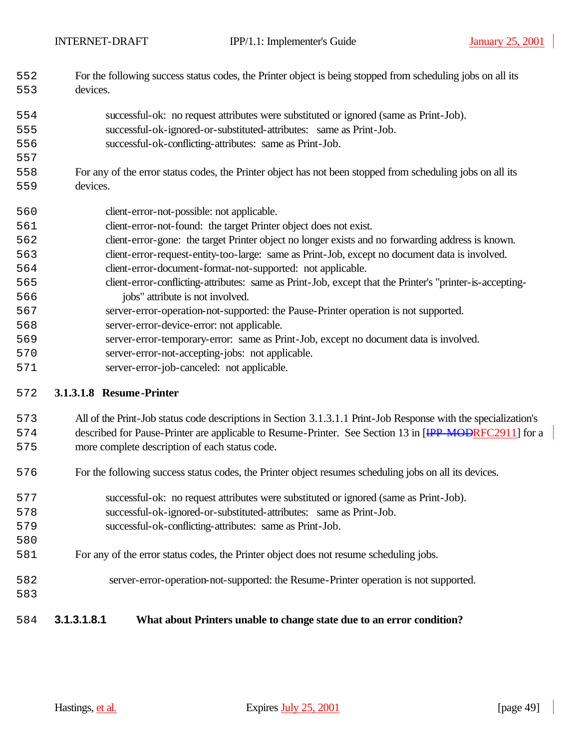- For the following success status codes, the Printer object is being stopped from scheduling jobs on all its devices.
- successful-ok: no request attributes were substituted or ignored (same as Print-Job). successful-ok-ignored-or-substituted-attributes: same as Print-Job.
- successful-ok-conflicting-attributes: same as Print-Job.
- For any of the error status codes, the Printer object has not been stopped from scheduling jobs on all its devices.
- client-error-not-possible: not applicable. client-error-not-found: the target Printer object does not exist. client-error-gone: the target Printer object no longer exists and no forwarding address is known. client-error-request-entity-too-large: same as Print-Job, except no document data is involved. client-error-document-format-not-supported: not applicable. client-error-conflicting-attributes: same as Print-Job, except that the Printer's "printer-is-accepting- jobs" attribute is not involved. server-error-operation-not-supported: the Pause-Printer operation is not supported. server-error-device-error: not applicable. server-error-temporary-error: same as Print-Job, except no document data is involved.
- server-error-not-accepting-jobs: not applicable.
- server-error-job-canceled: not applicable.

#### **3.1.3.1.8 Resume -Printer**

## All of the Print-Job status code descriptions in Section 3.1.3.1.1 Print-Job Response with the specialization's 1574 described for Pause-Printer are applicable to Resume-Printer. See Section 13 in [IPP-MODRFC2911] for a more complete description of each status code.

- For the following success status codes, the Printer object resumes scheduling jobs on all its devices.
- successful-ok: no request attributes were substituted or ignored (same as Print-Job). successful-ok-ignored-or-substituted-attributes: same as Print-Job.
- successful-ok-conflicting-attributes: same as Print-Job.
- For any of the error status codes, the Printer object does not resume scheduling jobs.
- server-error-operation-not-supported: the Resume-Printer operation is not supported.
- 

## **3.1.3.1.8.1 What about Printers unable to change state due to an error condition?**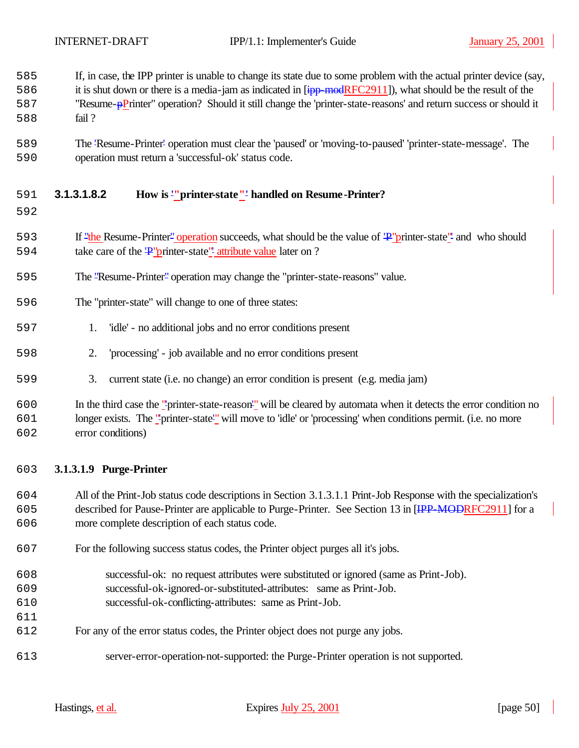| 585 | If, in case, the IPP printer is unable to change its state due to some problem with the actual printer device (say,         |
|-----|-----------------------------------------------------------------------------------------------------------------------------|
| 586 | it is shut down or there is a media-jam as indicated in $\overline{[ipp \mod{RFC2911}]}$ , what should be the result of the |
| 587 | "Resume-pPrinter" operation? Should it still change the 'printer-state-reasons' and return success or should it             |
| 588 | fail?                                                                                                                       |
|     |                                                                                                                             |

 The 'Resume-Printer' operation must clear the 'paused' or 'moving-to-paused' 'printer-state-message'. The operation must return a 'successful-ok' status code.

## **3.1.3.1.8.2 How is '"printer-state"' handled on Resume-Printer?**

#### 

- 593 If "the Resume-Printer" operation succeeds, what should be the value of  $\frac{1}{2}$ "printer-state" and who should 594 take care of the 'P' printer-state'' attribute value later on ?
- The "Resume-Printer" operation may change the "printer-state-reasons" value.
- The "printer-state" will change to one of three states:
- 1. 'idle' no additional jobs and no error conditions present
- 2. 'processing' job available and no error conditions present
- 3. current state (i.e. no change) an error condition is present (e.g. media jam)

## In the third case the "'printer-state-reason'" will be cleared by automata when it detects the error condition no longer exists. The "'printer-state'" will move to 'idle' or 'processing' when conditions permit. (i.e. no more error conditions)

#### **3.1.3.1.9 Purge-Printer**

 All of the Print-Job status code descriptions in Section 3.1.3.1.1 Print-Job Response with the specialization's 605 described for Pause-Printer are applicable to Purge-Printer. See Section 13 in [IPP-MODRFC2911] for a more complete description of each status code.

- For the following success status codes, the Printer object purges all it's jobs.
- successful-ok: no request attributes were substituted or ignored (same as Print-Job).
- successful-ok-ignored-or-substituted-attributes: same as Print-Job.
- successful-ok-conflicting-attributes: same as Print-Job.
- For any of the error status codes, the Printer object does not purge any jobs.
- server-error-operation-not-supported: the Purge-Printer operation is not supported.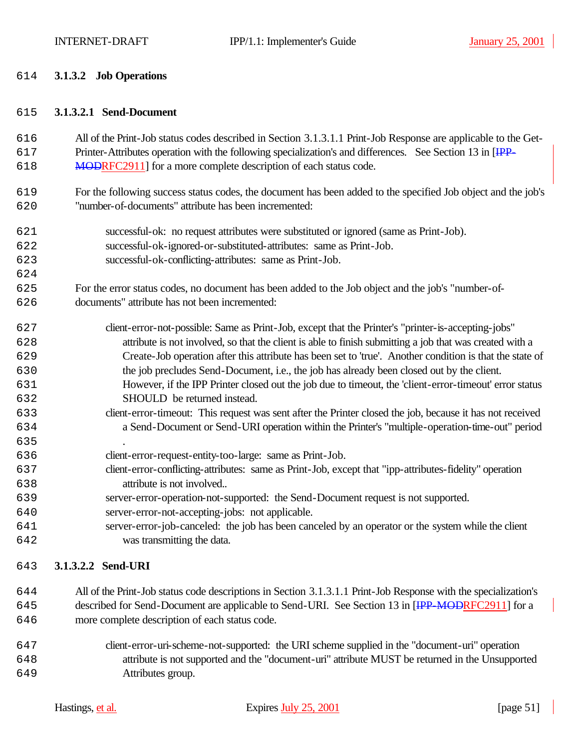#### **3.1.3.2 Job Operations**

#### **3.1.3.2.1 Send-Document**

 All of the Print-Job status codes described in Section 3.1.3.1.1 Print-Job Response are applicable to the Get-617 Printer-Attributes operation with the following specialization's and differences. See Section 13 in [IPP-618 MODRFC2911] for a more complete description of each status code.

- For the following success status codes, the document has been added to the specified Job object and the job's "number-of-documents" attribute has been incremented:
- successful-ok: no request attributes were substituted or ignored (same as Print-Job). successful-ok-ignored-or-substituted-attributes: same as Print-Job.
- successful-ok-conflicting-attributes: same as Print-Job.
- For the error status codes, no document has been added to the Job object and the job's "number-of-documents" attribute has not been incremented:
- client-error-not-possible: Same as Print-Job, except that the Printer's "printer-is-accepting-jobs" attribute is not involved, so that the client is able to finish submitting a job that was created with a Create-Job operation after this attribute has been set to 'true'. Another condition is that the state of the job precludes Send-Document, i.e., the job has already been closed out by the client. However, if the IPP Printer closed out the job due to timeout, the 'client-error-timeout' error status
- SHOULD be returned instead.
- client-error-timeout: This request was sent after the Printer closed the job, because it has not received a Send-Document or Send-URI operation within the Printer's "multiple-operation-time-out" period
- client-error-request-entity-too-large: same as Print-Job.
- client-error-conflicting-attributes: same as Print-Job, except that "ipp-attributes-fidelity" operation attribute is not involved..
- server-error-operation-not-supported: the Send-Document request is not supported.
- server-error-not-accepting-jobs: not applicable.
- server-error-job-canceled: the job has been canceled by an operator or the system while the client was transmitting the data.

## **3.1.3.2.2 Send-URI**

- All of the Print-Job status code descriptions in Section 3.1.3.1.1 Print-Job Response with the specialization's 645 described for Send-Document are applicable to Send-URI. See Section 13 in [IPP-MODRFC2911] for a more complete description of each status code.
- client-error-uri-scheme-not-supported: the URI scheme supplied in the "document-uri" operation attribute is not supported and the "document-uri" attribute MUST be returned in the Unsupported Attributes group.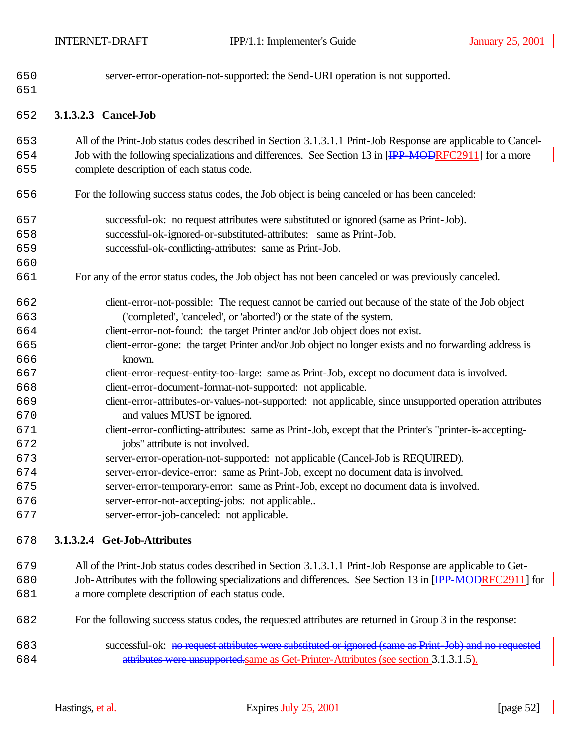| 650<br>651 | server-error-operation-not-supported: the Send-URI operation is not supported.                                                                                                                                         |
|------------|------------------------------------------------------------------------------------------------------------------------------------------------------------------------------------------------------------------------|
| 652        | 3.1.3.2.3 Cancel-Job                                                                                                                                                                                                   |
| 653<br>654 | All of the Print-Job status codes described in Section 3.1.3.1.1 Print-Job Response are applicable to Cancel-<br>Job with the following specializations and differences. See Section 13 in [IPP-MODRFC2911] for a more |
| 655        | complete description of each status code.                                                                                                                                                                              |
| 656        | For the following success status codes, the Job object is being canceled or has been canceled:                                                                                                                         |
| 657        | successful-ok: no request attributes were substituted or ignored (same as Print-Job).                                                                                                                                  |
| 658        | successful-ok-ignored-or-substituted-attributes: same as Print-Job.                                                                                                                                                    |
| 659        | successful-ok-conflicting-attributes: same as Print-Job.                                                                                                                                                               |
| 660        |                                                                                                                                                                                                                        |
| 661        | For any of the error status codes, the Job object has not been canceled or was previously canceled.                                                                                                                    |
| 662        | client-error-not-possible: The request cannot be carried out because of the state of the Job object                                                                                                                    |
| 663        | ('completed', 'canceled', or 'aborted') or the state of the system.                                                                                                                                                    |
| 664        | client-error-not-found: the target Printer and/or Job object does not exist.                                                                                                                                           |
| 665        | client-error-gone: the target Printer and/or Job object no longer exists and no forwarding address is                                                                                                                  |
| 666        | known.                                                                                                                                                                                                                 |
| 667        | client-error-request-entity-too-large: same as Print-Job, except no document data is involved.                                                                                                                         |
| 668        | client-error-document-format-not-supported: not applicable.                                                                                                                                                            |
| 669        | client-error-attributes-or-values-not-supported: not applicable, since unsupported operation attributes                                                                                                                |
| 670        | and values MUST be ignored.                                                                                                                                                                                            |
| 671        | client-error-conflicting-attributes: same as Print-Job, except that the Printer's "printer-is-accepting-                                                                                                               |
| 672        | jobs" attribute is not involved.                                                                                                                                                                                       |
| 673        | server-error-operation-not-supported: not applicable (Cancel-Job is REQUIRED).                                                                                                                                         |
| 674        | server-error-device-error: same as Print-Job, except no document data is involved.                                                                                                                                     |
| 675        | server-error-temporary-error: same as Print-Job, except no document data is involved.                                                                                                                                  |
| 676        | server-error-not-accepting-jobs: not applicable                                                                                                                                                                        |
| 677        | server-error-job-canceled: not applicable.                                                                                                                                                                             |
| 678        | 3.1.3.2.4 Get-Job-Attributes                                                                                                                                                                                           |
| 679        | All of the Print-Job status codes described in Section 3.1.3.1.1 Print-Job Response are applicable to Get-                                                                                                             |

- Job-Attributes with the following specializations and differences. See Section 13 in [IPP-MODRFC2911] for a more complete description of each status code.
- For the following success status codes, the requested attributes are returned in Group 3 in the response:
- successful-ok: no request attributes were substituted or ignored (same as Print-Job) and no requested attributes were unsupported.same as Get-Printer-Attributes (see section 3.1.3.1.5).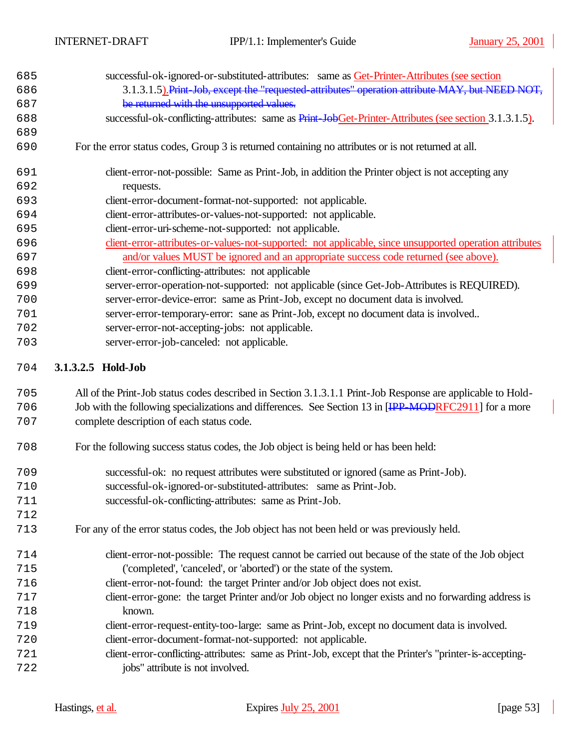| 685 | successful-ok-ignored-or-substituted-attributes: same as Get-Printer-Attributes (see section            |
|-----|---------------------------------------------------------------------------------------------------------|
| 686 | 3.1.3.1.5). Print Job, except the "requested-attributes" operation attribute MAY, but NEED NOT,         |
| 687 | be returned with the unsupported values.                                                                |
| 688 | successful-ok-conflicting-attributes: same as Print-JobGet-Printer-Attributes (see section 3.1.3.1.5).  |
| 689 |                                                                                                         |
| 690 | For the error status codes, Group 3 is returned containing no attributes or is not returned at all.     |
| 691 | client-error-not-possible: Same as Print-Job, in addition the Printer object is not accepting any       |
| 692 | requests.                                                                                               |
| 693 | client-error-document-format-not-supported: not applicable.                                             |
| 694 | client-error-attributes-or-values-not-supported: not applicable.                                        |
| 695 | client-error-uri-scheme-not-supported: not applicable.                                                  |
| 696 | client-error-attributes-or-values-not-supported: not applicable, since unsupported operation attributes |
| 697 | and/or values MUST be ignored and an appropriate success code returned (see above).                     |
| 698 | client-error-conflicting-attributes: not applicable                                                     |
| 699 | server-error-operation-not-supported: not applicable (since Get-Job-Attributes is REQUIRED).            |
| 700 | server-error-device-error: same as Print-Job, except no document data is involved.                      |
| 701 | server-error-temporary-error: sane as Print-Job, except no document data is involved                    |
| 702 | server-error-not-accepting-jobs: not applicable.                                                        |
| 703 | server-error-job-canceled: not applicable.                                                              |
|     | $24221$ $\rightarrow$ $1111$                                                                            |

#### **3.1.3.2.5 Hold-Job**

 All of the Print-Job status codes described in Section 3.1.3.1.1 Print-Job Response are applicable to Hold-706 Job with the following specializations and differences. See Section 13 in [IPP-MODRFC2911] for a more complete description of each status code.

- For the following success status codes, the Job object is being held or has been held:
- successful-ok: no request attributes were substituted or ignored (same as Print-Job).
- successful-ok-ignored-or-substituted-attributes: same as Print-Job.
- successful-ok-conflicting-attributes: same as Print-Job.
- For any of the error status codes, the Job object has not been held or was previously held.
- client-error-not-possible: The request cannot be carried out because of the state of the Job object ('completed', 'canceled', or 'aborted') or the state of the system.
- client-error-not-found: the target Printer and/or Job object does not exist.
- client-error-gone: the target Printer and/or Job object no longer exists and no forwarding address is known.
- client-error-request-entity-too-large: same as Print-Job, except no document data is involved.
- client-error-document-format-not-supported: not applicable.
- client-error-conflicting-attributes: same as Print-Job, except that the Printer's "printer-is-accepting-jobs" attribute is not involved.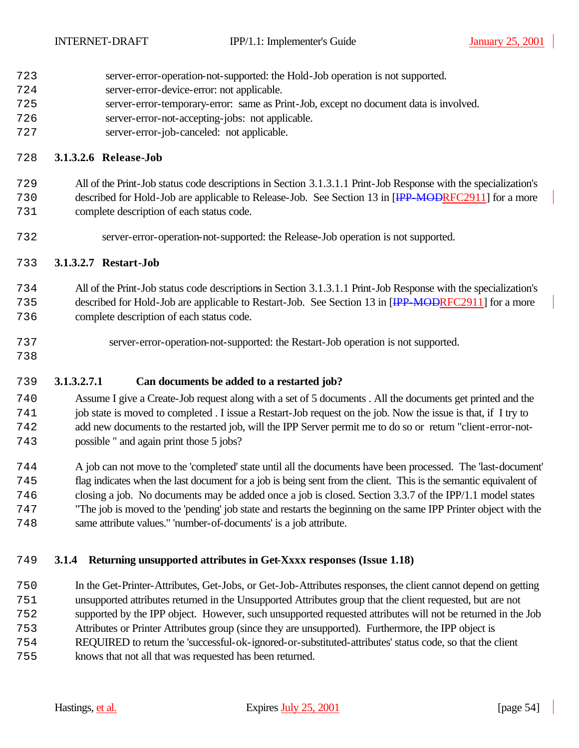- server-error-operation-not-supported: the Hold-Job operation is not supported.
- server-error-device-error: not applicable.
- server-error-temporary-error: same as Print-Job, except no document data is involved.
- server-error-not-accepting-jobs: not applicable.
- server-error-job-canceled: not applicable.

## **3.1.3.2.6 Release-Job**

All of the Print-Job status code descriptions in Section 3.1.3.1.1 Print-Job Response with the specialization's

 described for Hold-Job are applicable to Release-Job. See Section 13 in [IPP-MODRFC2911] for a more complete description of each status code.

server-error-operation-not-supported: the Release-Job operation is not supported.

## **3.1.3.2.7 Restart-Job**

 All of the Print-Job status code descriptions in Section 3.1.3.1.1 Print-Job Response with the specialization's described for Hold-Job are applicable to Restart-Job. See Section 13 in [IPP-MODRFC2911] for a more complete description of each status code.

- server-error-operation-not-supported: the Restart-Job operation is not supported.
- 

## **3.1.3.2.7.1 Can documents be added to a restarted job?**

 Assume I give a Create-Job request along with a set of 5 documents . All the documents get printed and the job state is moved to completed . I issue a Restart-Job request on the job. Now the issue is that, if I try to add new documents to the restarted job, will the IPP Server permit me to do so or return "client-error-not-possible " and again print those 5 jobs?

 A job can not move to the 'completed' state until all the documents have been processed. The 'last-document' flag indicates when the last document for a job is being sent from the client. This is the semantic equivalent of closing a job. No documents may be added once a job is closed. Section 3.3.7 of the IPP/1.1 model states "The job is moved to the 'pending' job state and restarts the beginning on the same IPP Printer object with the same attribute values." 'number-of-documents' is a job attribute.

## **3.1.4 Returning unsupported attributes in Get-Xxxx responses (Issue 1.18)**

 In the Get-Printer-Attributes, Get-Jobs, or Get-Job-Attributes responses, the client cannot depend on getting unsupported attributes returned in the Unsupported Attributes group that the client requested, but are not supported by the IPP object. However, such unsupported requested attributes will not be returned in the Job Attributes or Printer Attributes group (since they are unsupported). Furthermore, the IPP object is REQUIRED to return the 'successful-ok-ignored-or-substituted-attributes' status code, so that the client knows that not all that was requested has been returned.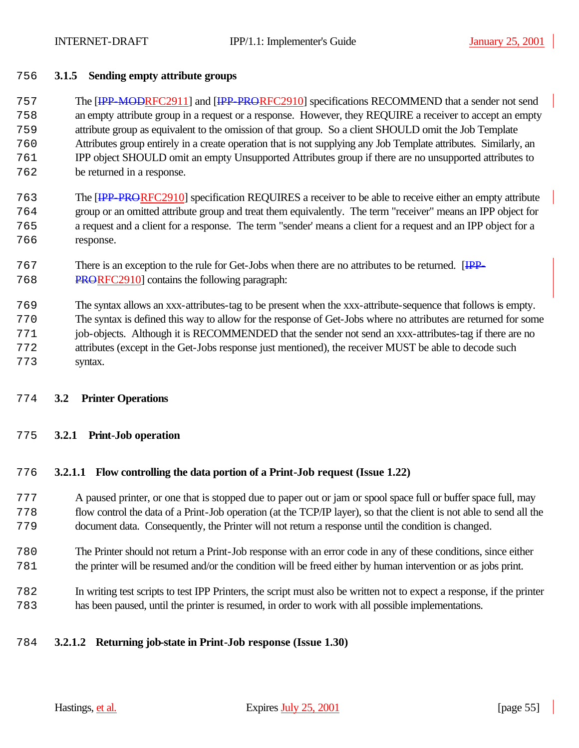## **3.1.5 Sending empty attribute groups**

 The [IPP-MODRFC2911] and [IPP-PRORFC2910] specifications RECOMMEND that a sender not send an empty attribute group in a request or a response. However, they REQUIRE a receiver to accept an empty attribute group as equivalent to the omission of that group. So a client SHOULD omit the Job Template Attributes group entirely in a create operation that is not supplying any Job Template attributes. Similarly, an IPP object SHOULD omit an empty Unsupported Attributes group if there are no unsupported attributes to be returned in a response.

- The [IPP-PRORFC2910] specification REQUIRES a receiver to be able to receive either an empty attribute group or an omitted attribute group and treat them equivalently. The term "receiver" means an IPP object for a request and a client for a response. The term "sender' means a client for a request and an IPP object for a response.
- There is an exception to the rule for Get-Jobs when there are no attributes to be returned. [IPP-PRORFC2910] contains the following paragraph:
- The syntax allows an xxx-attributes-tag to be present when the xxx-attribute-sequence that follows is empty.
- The syntax is defined this way to allow for the response of Get-Jobs where no attributes are returned for some job-objects. Although it is RECOMMENDED that the sender not send an xxx-attributes-tag if there are no attributes (except in the Get-Jobs response just mentioned), the receiver MUST be able to decode such syntax.
- **3.2 Printer Operations**

#### **3.2.1 Print-Job operation**

#### **3.2.1.1 Flow controlling the data portion of a Print-Job request (Issue 1.22)**

- A paused printer, or one that is stopped due to paper out or jam or spool space full or buffer space full, may flow control the data of a Print-Job operation (at the TCP/IP layer), so that the client is not able to send all the document data. Consequently, the Printer will not return a response until the condition is changed.
- The Printer should not return a Print-Job response with an error code in any of these conditions, since either the printer will be resumed and/or the condition will be freed either by human intervention or as jobs print.
- In writing test scripts to test IPP Printers, the script must also be written not to expect a response, if the printer has been paused, until the printer is resumed, in order to work with all possible implementations.

## **3.2.1.2 Returning job-state in Print-Job response (Issue 1.30)**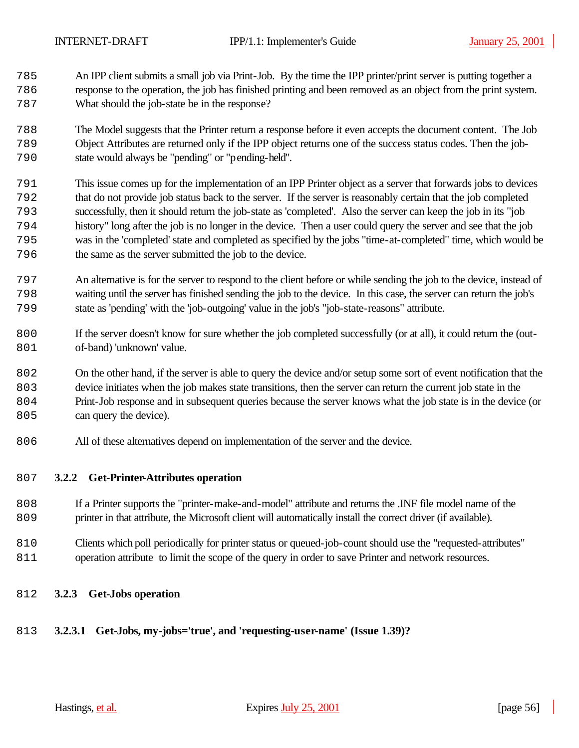An IPP client submits a small job via Print-Job. By the time the IPP printer/print server is putting together a response to the operation, the job has finished printing and been removed as an object from the print system. What should the job-state be in the response?

 The Model suggests that the Printer return a response before it even accepts the document content. The Job Object Attributes are returned only if the IPP object returns one of the success status codes. Then the job-state would always be "pending" or "pending-held".

- This issue comes up for the implementation of an IPP Printer object as a server that forwards jobs to devices that do not provide job status back to the server. If the server is reasonably certain that the job completed successfully, then it should return the job-state as 'completed'. Also the server can keep the job in its "job history" long after the job is no longer in the device. Then a user could query the server and see that the job was in the 'completed' state and completed as specified by the jobs "time-at-completed" time, which would be the same as the server submitted the job to the device.
- An alternative is for the server to respond to the client before or while sending the job to the device, instead of waiting until the server has finished sending the job to the device. In this case, the server can return the job's state as 'pending' with the 'job-outgoing' value in the job's "job-state-reasons" attribute.
- If the server doesn't know for sure whether the job completed successfully (or at all), it could return the (out-801 of-band) 'unknown' value.
- On the other hand, if the server is able to query the device and/or setup some sort of event notification that the
- device initiates when the job makes state transitions, then the server can return the current job state in the
- Print-Job response and in subsequent queries because the server knows what the job state is in the device (or 805 can query the device).
- All of these alternatives depend on implementation of the server and the device.

#### **3.2.2 Get-Printer-Attributes operation**

- If a Printer supports the "printer-make-and-model" attribute and returns the .INF file model name of the printer in that attribute, the Microsoft client will automatically install the correct driver (if available).
- Clients which poll periodically for printer status or queued-job-count should use the "requested-attributes" operation attribute to limit the scope of the query in order to save Printer and network resources.
- **3.2.3 Get-Jobs operation**

## **3.2.3.1 Get-Jobs, my-jobs='true', and 'requesting-user-name' (Issue 1.39)?**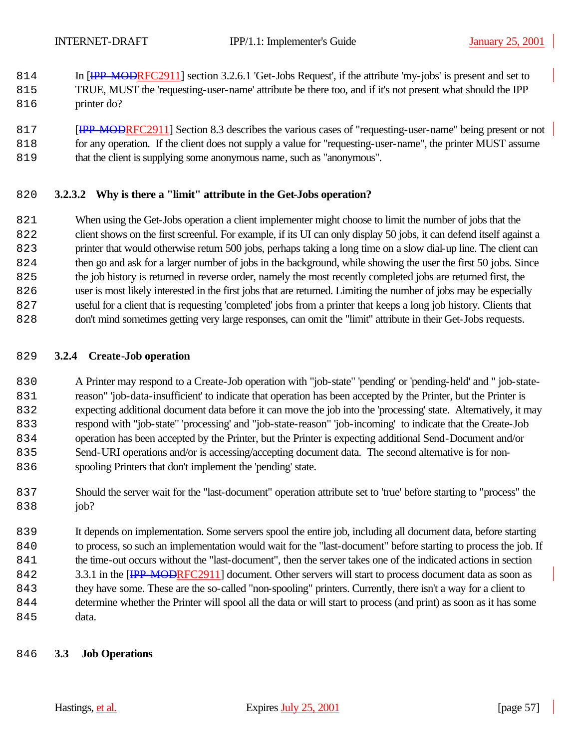- 814 In [IPP-MODRFC2911] section 3.2.6.1 'Get-Jobs Request', if the attribute 'my-jobs' is present and set to TRUE, MUST the 'requesting-user-name' attribute be there too, and if it's not present what should the IPP 816 printer do?
- **[IPP-MODRFC2911]** Section 8.3 describes the various cases of "requesting-user-name" being present or not for any operation. If the client does not supply a value for "requesting-user-name", the printer MUST assume that the client is supplying some anonymous name, such as "anonymous".

#### **3.2.3.2 Why is there a "limit" attribute in the Get-Jobs operation?**

 When using the Get-Jobs operation a client implementer might choose to limit the number of jobs that the client shows on the first screenful. For example, if its UI can only display 50 jobs, it can defend itself against a printer that would otherwise return 500 jobs, perhaps taking a long time on a slow dial-up line. The client can then go and ask for a larger number of jobs in the background, while showing the user the first 50 jobs. Since the job history is returned in reverse order, namely the most recently completed jobs are returned first, the user is most likely interested in the first jobs that are returned. Limiting the number of jobs may be especially useful for a client that is requesting 'completed' jobs from a printer that keeps a long job history. Clients that don't mind sometimes getting very large responses, can omit the "limit" attribute in their Get-Jobs requests.

#### **3.2.4 Create-Job operation**

 A Printer may respond to a Create-Job operation with "job-state" 'pending' or 'pending-held' and " job-state- reason" 'job-data-insufficient' to indicate that operation has been accepted by the Printer, but the Printer is expecting additional document data before it can move the job into the 'processing' state. Alternatively, it may respond with "job-state" 'processing' and "job-state-reason" 'job-incoming' to indicate that the Create-Job operation has been accepted by the Printer, but the Printer is expecting additional Send-Document and/or Send-URI operations and/or is accessing/accepting document data. The second alternative is for non-spooling Printers that don't implement the 'pending' state.

 Should the server wait for the "last-document" operation attribute set to 'true' before starting to "process" the 838 iob?

 It depends on implementation. Some servers spool the entire job, including all document data, before starting to process, so such an implementation would wait for the "last-document" before starting to process the job. If the time-out occurs without the "last-document", then the server takes one of the indicated actions in section 842 3.3.1 in the [IPP-MODRFC2911] document. Other servers will start to process document data as soon as they have some. These are the so-called "non-spooling" printers. Currently, there isn't a way for a client to determine whether the Printer will spool all the data or will start to process (and print) as soon as it has some 845 data.

#### **3.3 Job Operations**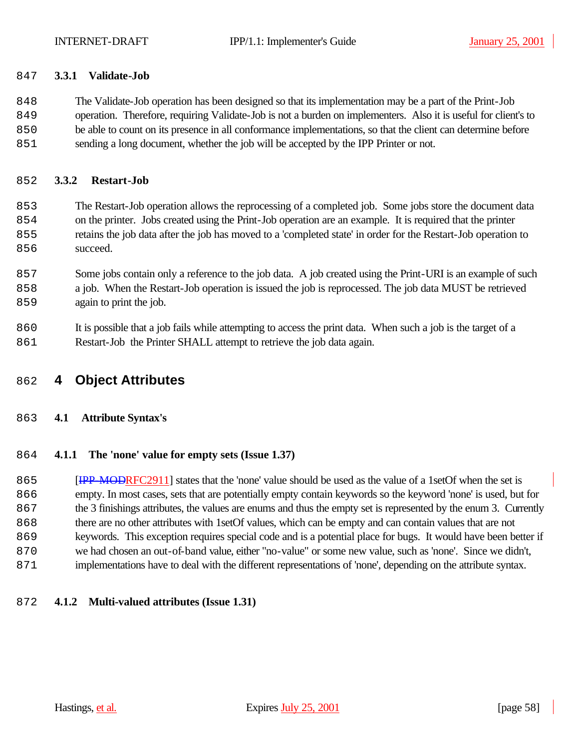#### **3.3.1 Validate-Job**

 The Validate-Job operation has been designed so that its implementation may be a part of the Print-Job operation. Therefore, requiring Validate-Job is not a burden on implementers. Also it is useful for client's to be able to count on its presence in all conformance implementations, so that the client can determine before sending a long document, whether the job will be accepted by the IPP Printer or not.

#### **3.3.2 Restart-Job**

 The Restart-Job operation allows the reprocessing of a completed job. Some jobs store the document data on the printer. Jobs created using the Print-Job operation are an example. It is required that the printer retains the job data after the job has moved to a 'completed state' in order for the Restart-Job operation to 856 succeed.

 Some jobs contain only a reference to the job data. A job created using the Print-URI is an example of such a job. When the Restart-Job operation is issued the job is reprocessed. The job data MUST be retrieved 859 again to print the job.

 It is possible that a job fails while attempting to access the print data. When such a job is the target of a 861 Restart-Job the Printer SHALL attempt to retrieve the job data again.

## **4 Object Attributes**

## **4.1 Attribute Syntax's**

#### **4.1.1 The 'none' value for empty sets (Issue 1.37)**

**IPP-MODRFC2911** states that the 'none' value should be used as the value of a 1setOf when the set is empty. In most cases, sets that are potentially empty contain keywords so the keyword 'none' is used, but for the 3 finishings attributes, the values are enums and thus the empty set is represented by the enum 3. Currently there are no other attributes with 1setOf values, which can be empty and can contain values that are not keywords. This exception requires special code and is a potential place for bugs. It would have been better if we had chosen an out-of-band value, either "no-value" or some new value, such as 'none'. Since we didn't, implementations have to deal with the different representations of 'none', depending on the attribute syntax.

#### **4.1.2 Multi-valued attributes (Issue 1.31)**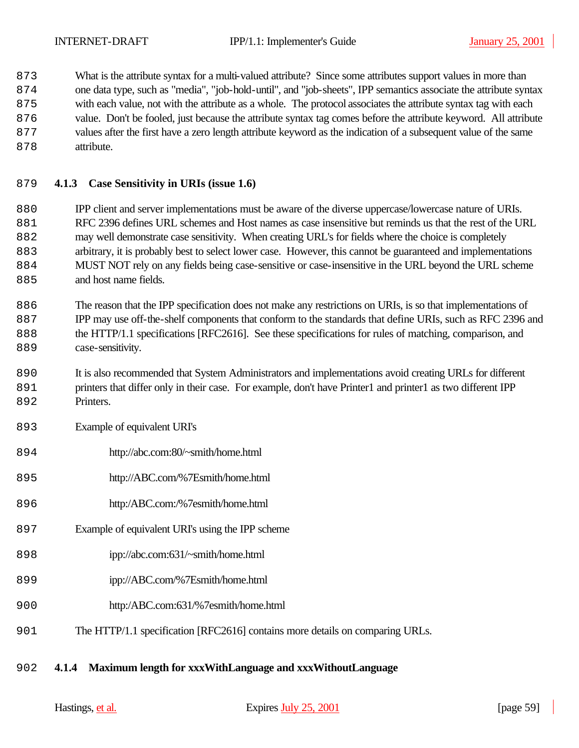What is the attribute syntax for a multi-valued attribute? Since some attributes support values in more than one data type, such as "media", "job-hold-until", and "job-sheets", IPP semantics associate the attribute syntax with each value, not with the attribute as a whole. The protocol associates the attribute syntax tag with each value. Don't be fooled, just because the attribute syntax tag comes before the attribute keyword. All attribute values after the first have a zero length attribute keyword as the indication of a subsequent value of the same 878 attribute.

## **4.1.3 Case Sensitivity in URIs (issue 1.6)**

 IPP client and server implementations must be aware of the diverse uppercase/lowercase nature of URIs. RFC 2396 defines URL schemes and Host names as case insensitive but reminds us that the rest of the URL may well demonstrate case sensitivity. When creating URL's for fields where the choice is completely arbitrary, it is probably best to select lower case. However, this cannot be guaranteed and implementations MUST NOT rely on any fields being case-sensitive or case-insensitive in the URL beyond the URL scheme 885 and host name fields.

 The reason that the IPP specification does not make any restrictions on URIs, is so that implementations of IPP may use off-the-shelf components that conform to the standards that define URIs, such as RFC 2396 and the HTTP/1.1 specifications [RFC2616]. See these specifications for rules of matching, comparison, and 889 case-sensitivity.

 It is also recommended that System Administrators and implementations avoid creating URLs for different printers that differ only in their case. For example, don't have Printer1 and printer1 as two different IPP 892 Printers.

- Example of equivalent URI's
- http://abc.com:80/~smith/home.html
- http://ABC.com/%7Esmith/home.html
- http:/ABC.com:/%7esmith/home.html
- Example of equivalent URI's using the IPP scheme
- ipp://abc.com:631/~smith/home.html
- ipp://ABC.com/%7Esmith/home.html
- http:/ABC.com:631/%7esmith/home.html
- The HTTP/1.1 specification [RFC2616] contains more details on comparing URLs.

## **4.1.4 Maximum length for xxxWithLanguage and xxxWithoutLanguage**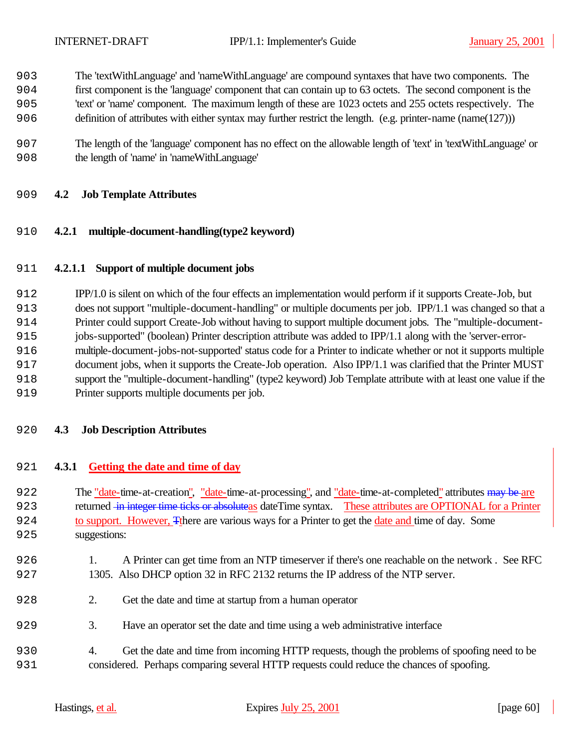- The 'textWithLanguage' and 'nameWithLanguage' are compound syntaxes that have two components. The
- first component is the 'language' component that can contain up to 63 octets. The second component is the
- 'text' or 'name' component. The maximum length of these are 1023 octets and 255 octets respectively. The
- definition of attributes with either syntax may further restrict the length. (e.g. printer-name (name(127)))
- The length of the 'language' component has no effect on the allowable length of 'text' in 'textWithLanguage' or the length of 'name' in 'nameWithLanguage'

## **4.2 Job Template Attributes**

## **4.2.1 multiple-document-handling(type2 keyword)**

## **4.2.1.1 Support of multiple document jobs**

 IPP/1.0 is silent on which of the four effects an implementation would perform if it supports Create-Job, but does not support "multiple-document-handling" or multiple documents per job. IPP/1.1 was changed so that a Printer could support Create-Job without having to support multiple document jobs. The "multiple-document- jobs-supported" (boolean) Printer description attribute was added to IPP/1.1 along with the 'server-error- multiple-document-jobs-not-supported' status code for a Printer to indicate whether or not it supports multiple document jobs, when it supports the Create-Job operation. Also IPP/1.1 was clarified that the Printer MUST support the "multiple-document-handling" (type2 keyword) Job Template attribute with at least one value if the Printer supports multiple documents per job.

#### **4.3 Job Description Attributes**

#### **4.3.1 Getting the date and time of day**

922 The "date-time-at-creation", "date-time-at-processing", and "date-time-at-completed" attributes may be are 923 returned in integer time ticks or absoluteas date Time syntax. These attributes are OPTIONAL for a Printer to support. However, Tthere are various ways for a Printer to get the date and time of day. Some suggestions:

- 926 1. A Printer can get time from an NTP timeserver if there's one reachable on the network. See RFC 1305. Also DHCP option 32 in RFC 2132 returns the IP address of the NTP server.
- 2. Get the date and time at startup from a human operator
- 3. Have an operator set the date and time using a web administrative interface
- 4. Get the date and time from incoming HTTP requests, though the problems of spoofing need to be considered. Perhaps comparing several HTTP requests could reduce the chances of spoofing.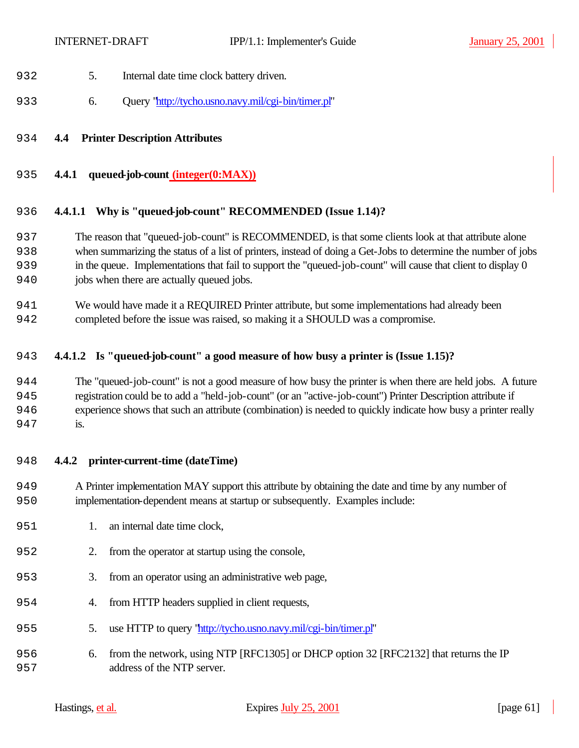- 5. Internal date time clock battery driven.
- 933 6. Query "http://tycho.usno.navy.mil/cgi-bin/timer.pl"

### **4.4 Printer Description Attributes**

**4.4.1 queued-job-count (integer(0:MAX))**

#### **4.4.1.1 Why is "queued-job-count" RECOMMENDED (Issue 1.14)?**

- The reason that "queued-job-count" is RECOMMENDED, is that some clients look at that attribute alone when summarizing the status of a list of printers, instead of doing a Get-Jobs to determine the number of jobs in the queue. Implementations that fail to support the "queued-job-count" will cause that client to display 0 jobs when there are actually queued jobs.
- We would have made it a REQUIRED Printer attribute, but some implementations had already been completed before the issue was raised, so making it a SHOULD was a compromise.

#### **4.4.1.2 Is "queued-job-count" a good measure of how busy a printer is (Issue 1.15)?**

 The "queued-job-count" is not a good measure of how busy the printer is when there are held jobs. A future registration could be to add a "held-job-count" (or an "active-job-count") Printer Description attribute if experience shows that such an attribute (combination) is needed to quickly indicate how busy a printer really 947 is.

#### **4.4.2 printer-current-time (dateTime)**

- A Printer implementation MAY support this attribute by obtaining the date and time by any number of implementation-dependent means at startup or subsequently. Examples include:
- 951 1. an internal date time clock.
- 2. from the operator at startup using the console,
- 953 3. from an operator using an administrative web page,
- 954 4. from HTTP headers supplied in client requests,
- 5. use HTTP to query "http://tycho.usno.navy.mil/cgi-bin/timer.pl"
- 6. from the network, using NTP [RFC1305] or DHCP option 32 [RFC2132] that returns the IP address of the NTP server.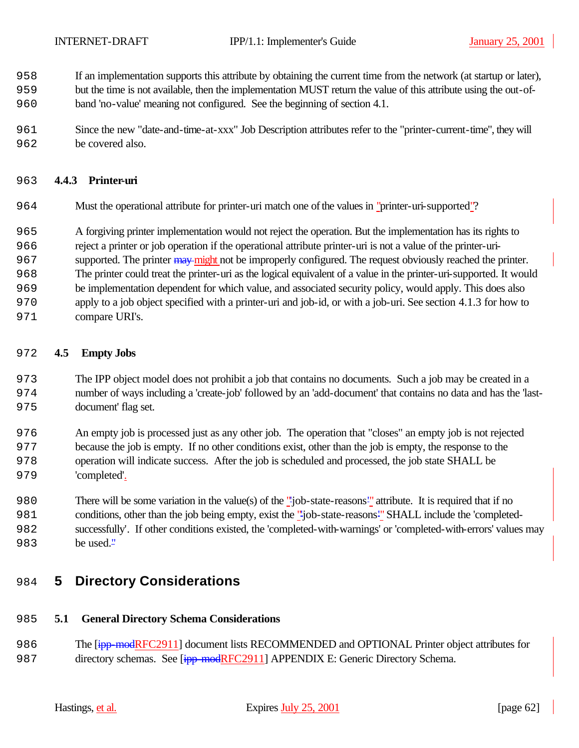- If an implementation supports this attribute by obtaining the current time from the network (at startup or later),
- but the time is not available, then the implementation MUST return the value of this attribute using the out-of-band 'no-value' meaning not configured. See the beginning of section 4.1.
- Since the new "date-and-time-at-xxx" Job Description attributes refer to the "printer-current-time", they will be covered also.

## **4.4.3 Printer-uri**

- Must the operational attribute for printer-uri match one of the values in "printer-uri-supported"?
- A forgiving printer implementation would not reject the operation. But the implementation has its rights to
- reject a printer or job operation if the operational attribute printer-uri is not a value of the printer-uri-
- 967 supported. The printer may might not be improperly configured. The request obviously reached the printer.
- The printer could treat the printer-uri as the logical equivalent of a value in the printer-uri-supported. It would
- be implementation dependent for which value, and associated security policy, would apply. This does also
- apply to a job object specified with a printer-uri and job-id, or with a job-uri. See section 4.1.3 for how to
- 971 compare URI's.

## **4.5 Empty Jobs**

- The IPP object model does not prohibit a job that contains no documents. Such a job may be created in a number of ways including a 'create-job' followed by an 'add-document' that contains no data and has the 'last-document' flag set.
- An empty job is processed just as any other job. The operation that "closes" an empty job is not rejected because the job is empty. If no other conditions exist, other than the job is empty, the response to the operation will indicate success. After the job is scheduled and processed, the job state SHALL be 'completed'.
- There will be some variation in the value(s) of the "'job-state-reasons'" attribute. It is required that if no conditions, other than the job being empty, exist the "'job-state-reasons'" SHALL include the 'completed- successfully'. If other conditions existed, the 'completed-with-warnings' or 'completed-with-errors' values may 983 be used."

# **5 Directory Considerations**

## **5.1 General Directory Schema Considerations**

986 The [ipp-modRFC2911] document lists RECOMMENDED and OPTIONAL Printer object attributes for 987 directory schemas. See [ipp-modRFC2911] APPENDIX E: Generic Directory Schema.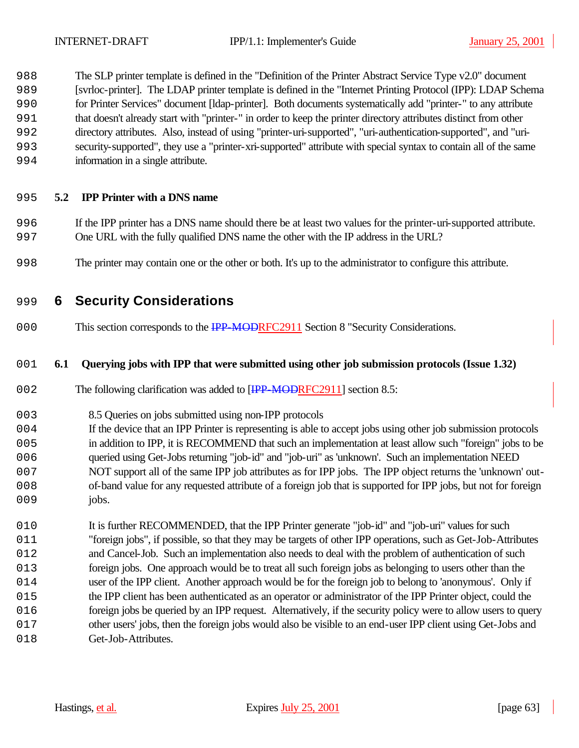The SLP printer template is defined in the "Definition of the Printer Abstract Service Type v2.0" document [svrloc-printer]. The LDAP printer template is defined in the "Internet Printing Protocol (IPP): LDAP Schema for Printer Services" document [ldap-printer]. Both documents systematically add "printer-" to any attribute that doesn't already start with "printer-" in order to keep the printer directory attributes distinct from other directory attributes. Also, instead of using "printer-uri-supported", "uri-authentication-supported", and "uri- security-supported", they use a "printer-xri-supported" attribute with special syntax to contain all of the same information in a single attribute.

## **5.2 IPP Printer with a DNS name**

- If the IPP printer has a DNS name should there be at least two values for the printer-uri-supported attribute. One URL with the fully qualified DNS name the other with the IP address in the URL?
- The printer may contain one or the other or both. It's up to the administrator to configure this attribute.

# **6 Security Considerations**

000 This section corresponds to the IPP-MODRFC2911 Section 8 "Security Considerations.

#### **6.1 Querying jobs with IPP that were submitted using other job submission protocols (Issue 1.32)**

- 002 The following clarification was added to [IPP-MODRFC2911] section 8.5:
- 8.5 Queries on jobs submitted using non-IPP protocols
- If the device that an IPP Printer is representing is able to accept jobs using other job submission protocols in addition to IPP, it is RECOMMEND that such an implementation at least allow such "foreign" jobs to be queried using Get-Jobs returning "job-id" and "job-uri" as 'unknown'. Such an implementation NEED NOT support all of the same IPP job attributes as for IPP jobs. The IPP object returns the 'unknown' out- of-band value for any requested attribute of a foreign job that is supported for IPP jobs, but not for foreign 009 jobs.
- 010 It is further RECOMMENDED, that the IPP Printer generate "job-id" and "job-uri" values for such "foreign jobs", if possible, so that they may be targets of other IPP operations, such as Get-Job-Attributes and Cancel-Job. Such an implementation also needs to deal with the problem of authentication of such foreign jobs. One approach would be to treat all such foreign jobs as belonging to users other than the 014 user of the IPP client. Another approach would be for the foreign job to belong to 'anonymous'. Only if the IPP client has been authenticated as an operator or administrator of the IPP Printer object, could the foreign jobs be queried by an IPP request. Alternatively, if the security policy were to allow users to query other users' jobs, then the foreign jobs would also be visible to an end-user IPP client using Get-Jobs and 018 Get-Job-Attributes.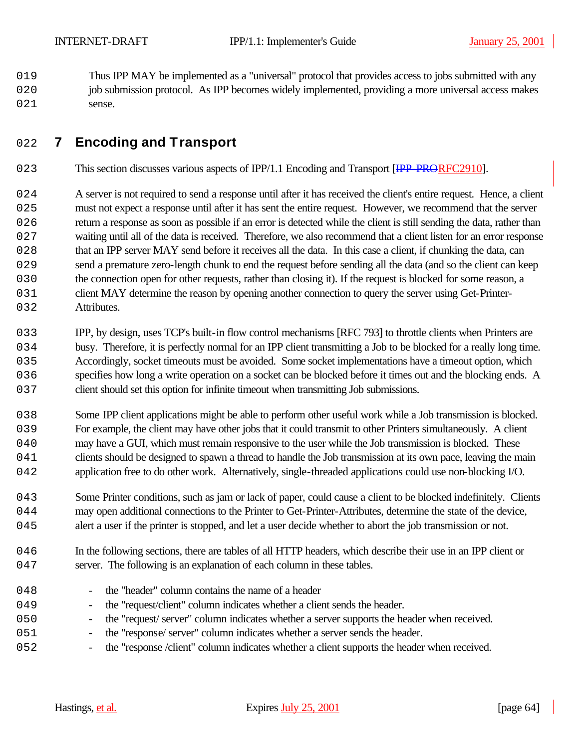2019 Thus IPP MAY be implemented as a "universal" protocol that provides access to jobs submitted with any 020 job submission protocol. As IPP becomes widely implemented, providing a more universal access makes 021 sense.

# 2022 **7 Encoding and Transport**

- 023 This section discusses various aspects of IPP/1.1 Encoding and Transport [IPP-PRORFC2910].
- 024 A server is not required to send a response until after it has received the client's entire request. Hence, a client 2025 must not expect a response until after it has sent the entire request. However, we recommend that the server 026 return a response as soon as possible if an error is detected while the client is still sending the data, rather than 2027 waiting until all of the data is received. Therefore, we also recommend that a client listen for an error response 028 that an IPP server MAY send before it receives all the data. In this case a client, if chunking the data, can 029 send a premature zero-length chunk to end the request before sending all the data (and so the client can keep 030 the connection open for other requests, rather than closing it). If the request is blocked for some reason, a 031 client MAY determine the reason by opening another connection to query the server using Get-Printer-032 Attributes.
- 2033 IPP, by design, uses TCP's built-in flow control mechanisms [RFC 793] to throttle clients when Printers are 034 busy. Therefore, it is perfectly normal for an IPP client transmitting a Job to be blocked for a really long time. 2035 Accordingly, socket timeouts must be avoided. Some socket implementations have a timeout option, which 036 specifies how long a write operation on a socket can be blocked before it times out and the blocking ends. A 037 client should set this option for infinite timeout when transmitting Job submissions.
- 038 Some IPP client applications might be able to perform other useful work while a Job transmission is blocked. 2039 For example, the client may have other jobs that it could transmit to other Printers simultaneously. A client 040 may have a GUI, which must remain responsive to the user while the Job transmission is blocked. These 041 clients should be designed to spawn a thread to handle the Job transmission at its own pace, leaving the main 042 application free to do other work. Alternatively, single-threaded applications could use non-blocking I/O.
- 2043 Some Printer conditions, such as jam or lack of paper, could cause a client to be blocked indefinitely. Clients 044 may open additional connections to the Printer to Get-Printer-Attributes, determine the state of the device, 045 alert a user if the printer is stopped, and let a user decide whether to abort the job transmission or not.
- 046 In the following sections, there are tables of all HTTP headers, which describe their use in an IPP client or 047 server. The following is an explanation of each column in these tables.
- 048 the "header" column contains the name of a header 049 - the "request/client" column indicates whether a client sends the header. 050 - the "request' server" column indicates whether a server supports the header when received. 2051 - the "response/ server" column indicates whether a server sends the header.
- 2052 the "response /client" column indicates whether a client supports the header when received.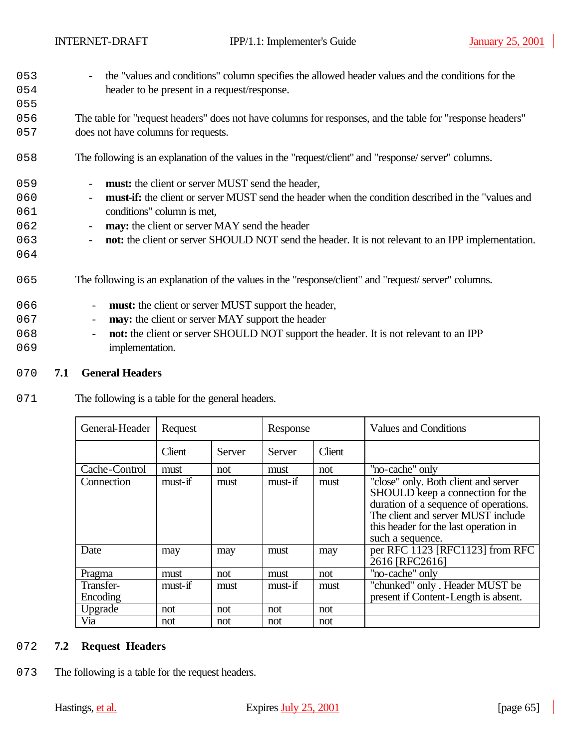055

- 2053 the "values and conditions" column specifies the allowed header values and the conditions for the 054 header to be present in a request/response.
- 2056 The table for "request headers" does not have columns for responses, and the table for "response headers" 057 does not have columns for requests.
- 2058 The following is an explanation of the values in the "request/client" and "response/ server" columns.
- 059 **must:** the client or server MUST send the header,
- 2060 **must-if:** the client or server MUST send the header when the condition described in the "values and 2061 conditions" column is met,
- 2062 **may:** the client or server MAY send the header
- 2063 **not:** the client or server SHOULD NOT send the header. It is not relevant to an IPP implementation.
- 2064
	- 2065 The following is an explanation of the values in the "response/client" and "request/ server" columns.
	- 066 **must:** the client or server MUST support the header, 067 - **may:** the client or server MAY support the header 2068 - **not:** the client or server SHOULD NOT support the header. It is not relevant to an IPP 069 implementation.
	- 2070 **7.1 General Headers**
	- 071 The following is a table for the general headers.

| General-Header        | Request |        | Response |        | <b>Values and Conditions</b>                                                                                                                                                                                         |
|-----------------------|---------|--------|----------|--------|----------------------------------------------------------------------------------------------------------------------------------------------------------------------------------------------------------------------|
|                       | Client  | Server | Server   | Client |                                                                                                                                                                                                                      |
| Cache-Control         | must    | not    | must     | not    | "no-cache" only                                                                                                                                                                                                      |
| Connection            | must-if | must   | must-if  | must   | "close" only. Both client and server<br>SHOULD keep a connection for the<br>duration of a sequence of operations.<br>The client and server MUST include<br>this header for the last operation in<br>such a sequence. |
| Date                  | may     | may    | must     | may    | per RFC 1123 [RFC1123] from RFC<br>2616 [RFC2616]                                                                                                                                                                    |
| Pragma                | must    | not    | must     | not    | "no-cache" only                                                                                                                                                                                                      |
| Transfer-<br>Encoding | must-if | must   | must-if  | must   | "chunked" only. Header MUST be<br>present if Content-Length is absent.                                                                                                                                               |
| Upgrade               | not     | not    | not      | not    |                                                                                                                                                                                                                      |
| Via                   | not     | not    | not      | not    |                                                                                                                                                                                                                      |

#### 2072 **7.2 Request Headers**

073 The following is a table for the request headers.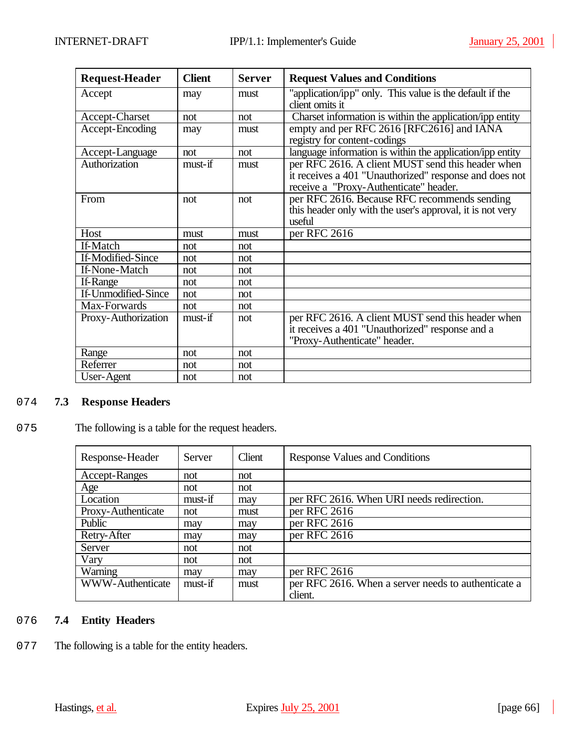| <b>Request-Header</b> | <b>Client</b> | <b>Server</b> | <b>Request Values and Conditions</b>                                                                                                                  |
|-----------------------|---------------|---------------|-------------------------------------------------------------------------------------------------------------------------------------------------------|
| Accept                | may           | must          | "application/ipp" only. This value is the default if the<br>client omits it                                                                           |
| Accept-Charset        | not           | not           | Charset information is within the application/ipp entity                                                                                              |
| Accept-Encoding       | may           | must          | empty and per RFC 2616 [RFC2616] and IANA<br>registry for content-codings                                                                             |
| Accept-Language       | not           | not           | language information is within the application/ipp entity                                                                                             |
| Authorization         | must-if       | must          | per RFC 2616. A client MUST send this header when<br>it receives a 401 "Unauthorized" response and does not<br>receive a "Proxy-Authenticate" header. |
| From                  | not           | not           | per RFC 2616. Because RFC recommends sending<br>this header only with the user's approval, it is not very<br>useful                                   |
| Host                  | must          | must          | per RFC 2616                                                                                                                                          |
| If-Match              | not           | not           |                                                                                                                                                       |
| If-Modified-Since     | not           | not           |                                                                                                                                                       |
| If-None-Match         | not           | not           |                                                                                                                                                       |
| If-Range              | not           | not           |                                                                                                                                                       |
| If-Unmodified-Since   | not           | not           |                                                                                                                                                       |
| Max-Forwards          | not           | not           |                                                                                                                                                       |
| Proxy-Authorization   | $must$ -if    | not           | per RFC 2616. A client MUST send this header when<br>it receives a 401 "Unauthorized" response and a<br>"Proxy-Authenticate" header.                  |
| Range                 | not           | not           |                                                                                                                                                       |
| Referrer              | not           | not           |                                                                                                                                                       |
| User-Agent            | not           | not           |                                                                                                                                                       |

## 2074 **7.3 Response Headers**

## 075 The following is a table for the request headers.

| Response-Header         | Server  | Client | Response Values and Conditions                      |
|-------------------------|---------|--------|-----------------------------------------------------|
| <b>Accept-Ranges</b>    | not     | not    |                                                     |
| Age                     | not     | not    |                                                     |
| Location                | must-if | may    | per RFC 2616. When URI needs redirection.           |
| Proxy-Authenticate      | not     | must   | per RFC 2616                                        |
| Public                  | may     | may    | per RFC 2616                                        |
| Retry-After             | may     | may    | per RFC 2616                                        |
| Server                  | not     | not    |                                                     |
| Vary                    | not     | not    |                                                     |
| Warning                 | may     | may    | per RFC 2616                                        |
| <b>WWW-Authenticate</b> | must-if | must   | per RFC 2616. When a server needs to authenticate a |
|                         |         |        | client.                                             |

## 2076 **7.4 Entity Headers**

077 The following is a table for the entity headers.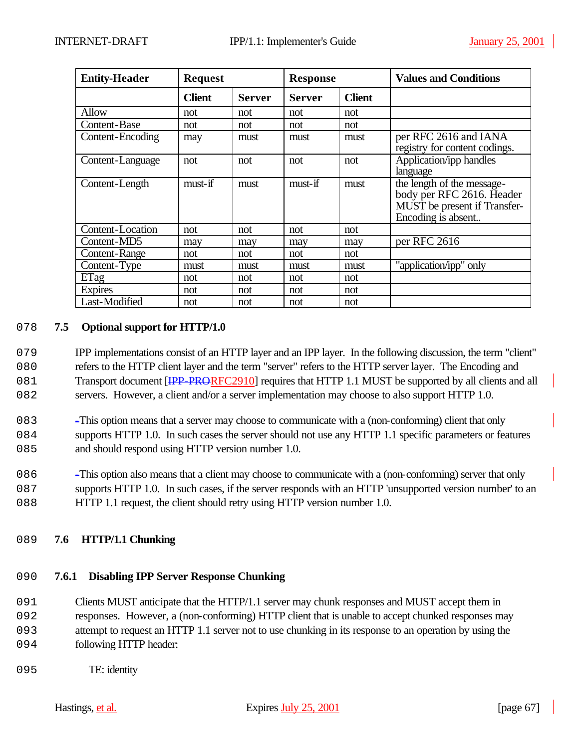| <b>Entity-Header</b> | <b>Request</b> |               | <b>Response</b> |               | <b>Values and Conditions</b>                                                                                  |
|----------------------|----------------|---------------|-----------------|---------------|---------------------------------------------------------------------------------------------------------------|
|                      | <b>Client</b>  | <b>Server</b> | <b>Server</b>   | <b>Client</b> |                                                                                                               |
| Allow                | not            | not           | not             | not           |                                                                                                               |
| Content-Base         | not            | not           | not             | not           |                                                                                                               |
| Content-Encoding     | may            | must          | must            | must          | per RFC 2616 and IANA<br>registry for content codings.                                                        |
| Content-Language     | not            | not           | not             | not           | Application/ipp handles<br>language                                                                           |
| Content-Length       | must-if        | must          | must-if         | must          | the length of the message-<br>body per RFC 2616. Header<br>MUST be present if Transfer-<br>Encoding is absent |
| Content-Location     | not            | not           | not             | not           |                                                                                                               |
| Content-MD5          | may            | may           | may             | may           | per RFC 2616                                                                                                  |
| <b>Content-Range</b> | not            | not           | not             | not           |                                                                                                               |
| Content-Type         | must           | must          | must            | must          | "application/ipp" only                                                                                        |
| ETag                 | not            | not           | not             | not           |                                                                                                               |
| <b>Expires</b>       | not            | not           | not             | not           |                                                                                                               |
| Last-Modified        | not            | not           | not             | not           |                                                                                                               |

## 2078 **7.5 Optional support for HTTP/1.0**

079 IPP implementations consist of an HTTP layer and an IPP layer. In the following discussion, the term "client" 080 refers to the HTTP client layer and the term "server" refers to the HTTP server layer. The Encoding and 081 Transport document [IPP-PRORFC2910] requires that HTTP 1.1 MUST be supported by all clients and all 082 servers. However, a client and/or a server implementation may choose to also support HTTP 1.0.

- 2083 -This option means that a server may choose to communicate with a (non-conforming) client that only 084 supports HTTP 1.0. In such cases the server should not use any HTTP 1.1 specific parameters or features 085 and should respond using HTTP version number 1.0.
- 2086 -This option also means that a client may choose to communicate with a (non-conforming) server that only 087 supports HTTP 1.0. In such cases, if the server responds with an HTTP 'unsupported version number' to an 088 HTTP 1.1 request, the client should retry using HTTP version number 1.0.

## 2089 **7.6 HTTP/1.1 Chunking**

## 2090 **7.6.1 Disabling IPP Server Response Chunking**

091 Clients MUST anticipate that the HTTP/1.1 server may chunk responses and MUST accept them in 2092 responses. However, a (non-conforming) HTTP client that is unable to accept chunked responses may

2093 attempt to request an HTTP 1.1 server not to use chunking in its response to an operation by using the

- 094 following HTTP header:
- 095 TE: identity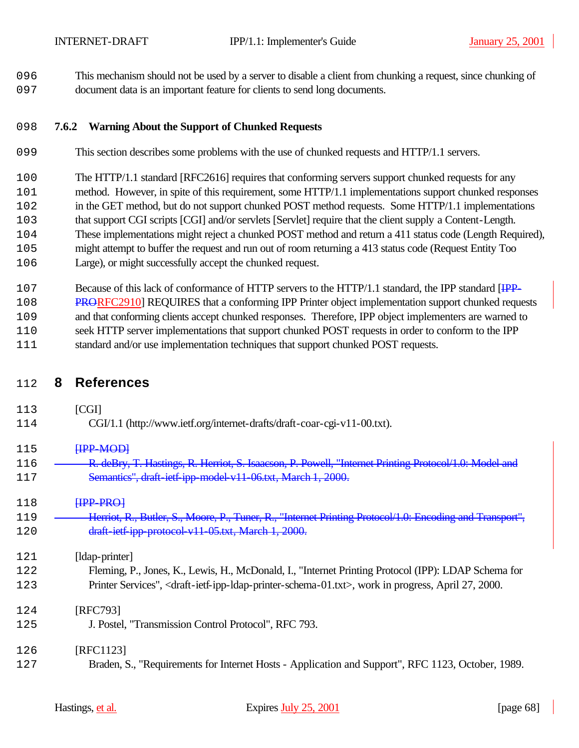This mechanism should not be used by a server to disable a client from chunking a request, since chunking of document data is an important feature for clients to send long documents.

### **7.6.2 Warning About the Support of Chunked Requests**

- This section describes some problems with the use of chunked requests and HTTP/1.1 servers.
- The HTTP/1.1 standard [RFC2616] requires that conforming servers support chunked requests for any
- method. However, in spite of this requirement, some HTTP/1.1 implementations support chunked responses
- in the GET method, but do not support chunked POST method requests. Some HTTP/1.1 implementations
- that support CGI scripts [CGI] and/or servlets [Servlet] require that the client supply a Content-Length.
- These implementations might reject a chunked POST method and return a 411 status code (Length Required),
- might attempt to buffer the request and run out of room returning a 413 status code (Request Entity Too
- Large), or might successfully accept the chunked request.
- 2107 Because of this lack of conformance of HTTP servers to the HTTP/1.1 standard, the IPP standard [IPP-PRORFC2910] REQUIRES that a conforming IPP Printer object implementation support chunked requests
- and that conforming clients accept chunked responses. Therefore, IPP object implementers are warned to
- seek HTTP server implementations that support chunked POST requests in order to conform to the IPP
- standard and/or use implementation techniques that support chunked POST requests.

## **8 References**

 [CGI] CGI/1.1 (http://www.ietf.org/internet-drafts/draft-coar-cgi-v11-00.txt). **IPP-MOD** 116 R. deBry, T. Hastings, R. Herriot, S. Isaacson, P. Powell, "Internet Printing Protocol/1.0: Model and Semantics", draft-ietf-ipp-model-v11-06.txt, March 1, 2000. **HPP-PRO]**  Herriot, R., Butler, S., Moore, P., Tuner, R., "Internet Printing Protocol/1.0: Encoding and Transport", draft-ietf-ipp-protocol-v11-05.txt, March 1, 2000. [ldap-printer] Fleming, P., Jones, K., Lewis, H., McDonald, I., "Internet Printing Protocol (IPP): LDAP Schema for Printer Services", <draft-ietf-ipp-ldap-printer-schema-01.txt>, work in progress, April 27, 2000. [RFC793] J. Postel, "Transmission Control Protocol", RFC 793. [RFC1123] Braden, S., "Requirements for Internet Hosts - Application and Support", RFC 1123, October, 1989.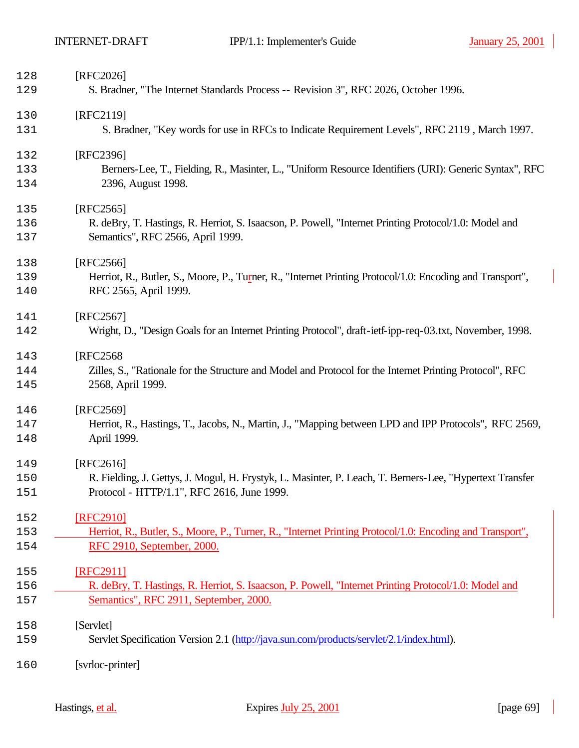| 128<br>129 | [RFC2026]<br>S. Bradner, "The Internet Standards Process -- Revision 3", RFC 2026, October 1996.           |
|------------|------------------------------------------------------------------------------------------------------------|
|            |                                                                                                            |
| 130<br>131 | [RFC2119]<br>S. Bradner, "Key words for use in RFCs to Indicate Requirement Levels", RFC 2119, March 1997. |
| 132        | [RFC2396]                                                                                                  |
| 133        | Berners-Lee, T., Fielding, R., Masinter, L., "Uniform Resource Identifiers (URI): Generic Syntax", RFC     |
| 134        | 2396, August 1998.                                                                                         |
| 135        | $[RFC2565]$                                                                                                |
| 136        | R. deBry, T. Hastings, R. Herriot, S. Isaacson, P. Powell, "Internet Printing Protocol/1.0: Model and      |
| 137        | Semantics", RFC 2566, April 1999.                                                                          |
| 138        | [RFC2566]                                                                                                  |
| 139        | Herriot, R., Butler, S., Moore, P., Turner, R., "Internet Printing Protocol/1.0: Encoding and Transport",  |
| 140        | RFC 2565, April 1999.                                                                                      |
| 141        | [RFC2567]                                                                                                  |
| 142        | Wright, D., "Design Goals for an Internet Printing Protocol", draft-ietf-ipp-req-03.txt, November, 1998.   |
| 143        | [RFC2568]                                                                                                  |
| 144        | Zilles, S., "Rationale for the Structure and Model and Protocol for the Internet Printing Protocol", RFC   |
| 145        | 2568, April 1999.                                                                                          |
| 146        | [RFC2569]                                                                                                  |
| 147        | Herriot, R., Hastings, T., Jacobs, N., Martin, J., "Mapping between LPD and IPP Protocols", RFC 2569,      |
| 148        | April 1999.                                                                                                |
| 149        | $[RFC2616]$                                                                                                |
| 150        | R. Fielding, J. Gettys, J. Mogul, H. Frystyk, L. Masinter, P. Leach, T. Berners-Lee, "Hypertext Transfer   |
| 151        | Protocol - HTTP/1.1", RFC 2616, June 1999.                                                                 |
| 152        | [RFC2910]                                                                                                  |
| 153        | Herriot, R., Butler, S., Moore, P., Turner, R., "Internet Printing Protocol/1.0: Encoding and Transport",  |
| 154        | RFC 2910, September, 2000.                                                                                 |
| 155        | [RFC2911]                                                                                                  |
| 156        | R. deBry, T. Hastings, R. Herriot, S. Isaacson, P. Powell, "Internet Printing Protocol/1.0: Model and      |
| 157        | Semantics", RFC 2911, September, 2000.                                                                     |
| 158        | [Servlet]                                                                                                  |
| 159        | Servlet Specification Version 2.1 (http://java.sun.com/products/servlet/2.1/index.html).                   |
| 160        | [svrloc-printer]                                                                                           |
|            |                                                                                                            |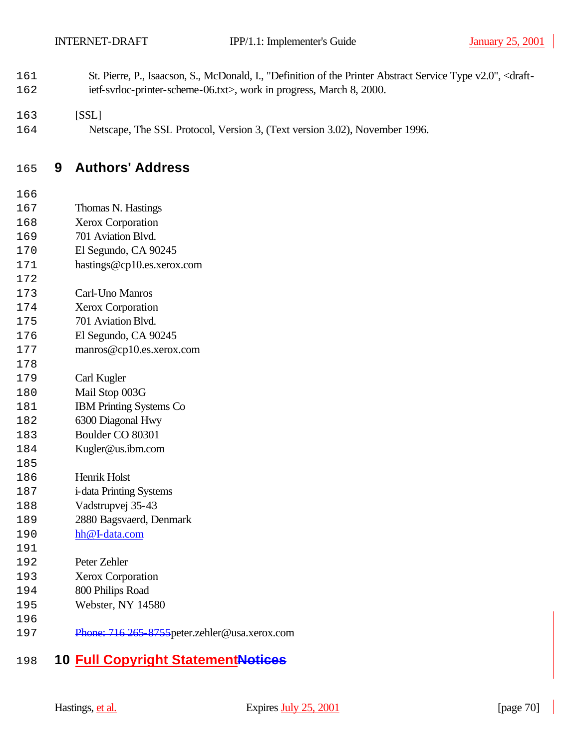- St. Pierre, P., Isaacson, S., McDonald, I., "Definition of the Printer Abstract Service Type v2.0", <draft-162 ietf-svrloc-printer-scheme-06.txt>, work in progress, March 8, 2000.
- [SSL]
- Netscape, The SSL Protocol, Version 3, (Text version 3.02), November 1996.

## **9 Authors' Address**

- Thomas N. Hastings
- Xerox Corporation
- 701 Aviation Blvd.
- El Segundo, CA 90245
- hastings@cp10.es.xerox.com
- Carl-Uno Manros
- Xerox Corporation
- 701 Aviation Blvd.
- El Segundo, CA 90245
- manros@cp10.es.xerox.com
- Carl Kugler
- Mail Stop 003G
- IBM Printing Systems Co
- 6300 Diagonal Hwy
- Boulder CO 80301
- Kugler@us.ibm.com
- Henrik Holst
- i-data Printing Systems
- Vadstrupvej 35-43
- 2880 Bagsvaerd, Denmark
- hh@I-data.com
- 
- Peter Zehler
- Xerox Corporation
- 800 Philips Road
- Webster, NY 14580
- 
- Phone: 716 265-8755peter.zehler@usa.xerox.com

# **10 Full Copyright StatementNotices**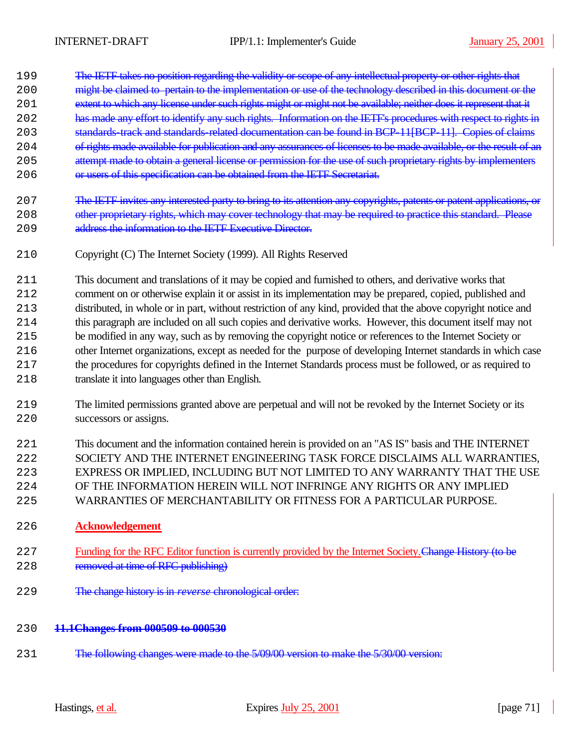- 199 The IETF takes no position regarding the validity or scope of any intellectual property or other rights that
- 200 might be claimed to pertain to the implementation or use of the technology described in this document or the
- 201 extent to which any license under such rights might or might not be available; neither does it represent that it
- 202 has made any effort to identify any such rights. Information on the IETF's procedures with respect to rights in
- 203 standards-track and standards-related documentation can be found in BCP-11[BCP-11]. Copies of claims
- 204 of rights made available for publication and any assurances of licenses to be made available, or the result of an
- 205 attempt made to obtain a general license or permission for the use of such proprietary rights by implementers
- 206 or users of this specification can be obtained from the IETF Secretariat.
- 207 The IETF invites any interested party to bring to its attention any copyrights, patents or patent applications, or 208 other proprietary rights, which may cover technology that may be required to practice this standard. Please 209 address the information to the IETF Executive Director.
- 2210 Copyright (C) The Internet Society (1999). All Rights Reserved
- 2211 This document and translations of it may be copied and furnished to others, and derivative works that 2212 comment on or otherwise explain it or assist in its implementation may be prepared, copied, published and 2213 distributed, in whole or in part, without restriction of any kind, provided that the above copyright notice and 2214 this paragraph are included on all such copies and derivative works. However, this document itself may not 2215 be modified in any way, such as by removing the copyright notice or references to the Internet Society or 2216 other Internet organizations, except as needed for the purpose of developing Internet standards in which case 2217 the procedures for copyrights defined in the Internet Standards process must be followed, or as required to 2218 translate it into languages other than English.
- 2219 The limited permissions granted above are perpetual and will not be revoked by the Internet Society or its 2220 successors or assigns.
- 2221 This document and the information contained herein is provided on an "AS IS" basis and THE INTERNET 2222 SOCIETY AND THE INTERNET ENGINEERING TASK FORCE DISCLAIMS ALL WARRANTIES, 2223 EXPRESS OR IMPLIED, INCLUDING BUT NOT LIMITED TO ANY WARRANTY THAT THE USE 2224 OF THE INFORMATION HEREIN WILL NOT INFRINGE ANY RIGHTS OR ANY IMPLIED 2225 WARRANTIES OF MERCHANTABILITY OR FITNESS FOR A PARTICULAR PURPOSE.
- 2226 **Acknowledgement**
- 227 Funding for the RFC Editor function is currently provided by the Internet Society. Change History (to be 228 removed at time of RFC publishing)
- 2229 The change history is in *reverse* chronological order:
- 2230 **11.1Changes from 000509 to 000530**
- 231 The following changes were made to the 5/09/00 version to make the 5/30/00 version: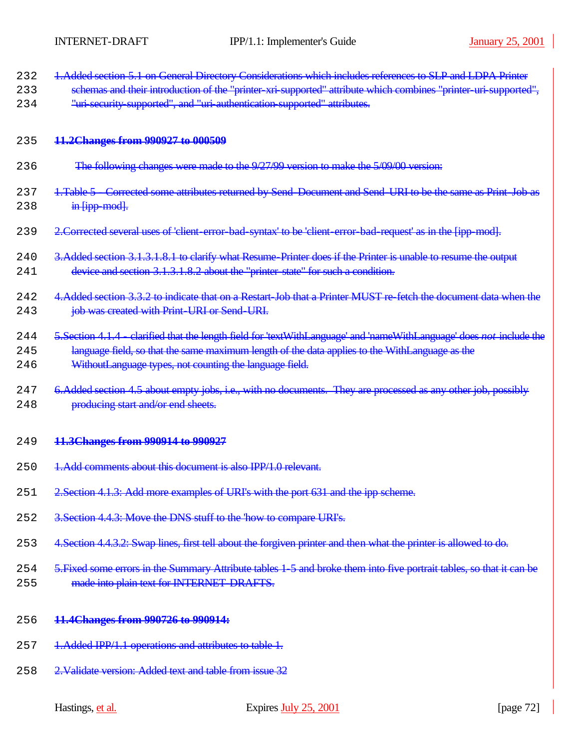| 232 | 1 Added section 5.1 on General Directory Considerations which includes references to SLP and LDPA Printer |
|-----|-----------------------------------------------------------------------------------------------------------|
|     | <u>TARRICU DOUROH JA UN OURORI D'IRORO Y CORRIGIONE WIROL IRORICE ROMANO (VIDE). GRE DDI A FINIUL</u>     |

233 schemas and their introduction of the "printer-xri-supported" attribute which combines "printer-uri-supported", 234 "uri-security-supported", and "uri-authentication-supported" attributes.

#### 2235 **11.2Changes from 990927 to 000509**

- 236 The following changes were made to the 9/27/99 version to make the 5/09/00 version:
- 237 1.Table 5 Corrected some attributes returned by Send-Document and Send-URI to be the same as Print-Job as  $238$  in [ipp-mod].
- 239 2. Corrected several uses of 'client-error-bad-syntax' to be 'client-error-bad-request' as in the [ipp-mod].
- 240 3.Added section 3.1.3.1.8.1 to clarify what Resume-Printer does if the Printer is unable to resume the output 241 device and section 3.1.3.1.8.2 about the "printer-state" for such a condition.
- 242 4.Added section 3.3.2 to indicate that on a Restart-Job that a Printer MUST re-fetch the document data when the 243 **job was created with Print-URI or Send-URI.**
- 2244 5.Section 4.1.4 clarified that the length field for 'textWithLanguage' and 'nameWithLanguage' does *not* include the 245 language field, so that the same maximum length of the data applies to the WithLanguage as the 246 WithoutLanguage types, not counting the language field.
- 247 6.Added section 4.5 about empty jobs, i.e., with no documents. They are processed as any other job, possibly 248 **producing start and/or end sheets.**

#### 2249 **11.3Changes from 990914 to 990927**

- 250 1.Add comments about this document is also IPP/1.0 relevant.
- 251 2. Section 4.1.3: Add more examples of URI's with the port 631 and the ipp scheme.
- 252 3. Section 4.4.3: Move the DNS stuff to the 'how to compare URI's.
- 253 4. Section 4.4.3.2: Swap lines, first tell about the forgiven printer and then what the printer is allowed to do.
- 254 5. Fixed some errors in the Summary Attribute tables 1-5 and broke them into five portrait tables, so that it can be 255 made into plain text for INTERNET-DRAFTS.
- 2256 **11.4Changes from 990726 to 990914:**
- 257 1.Added IPP/1.1 operations and attributes to table 1.
- 258 2. Validate version: Added text and table from issue 32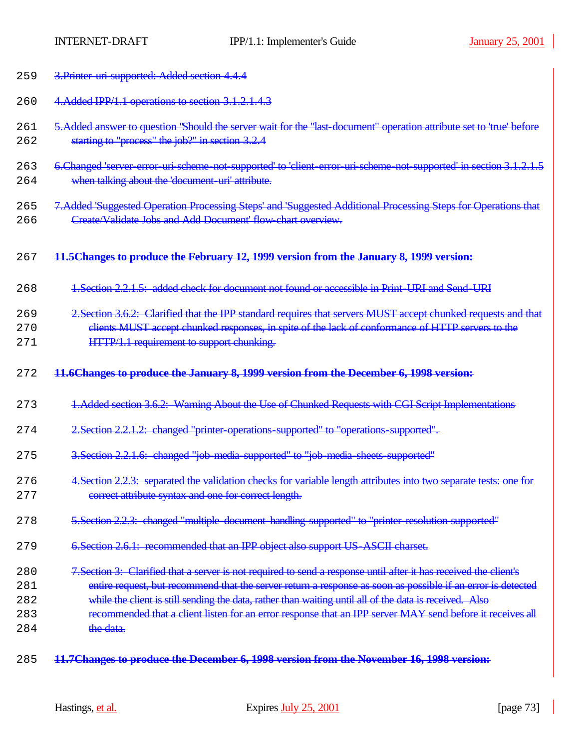| 259 | 3. Printer uri supported: Added section 4.4.4                                                                        |
|-----|----------------------------------------------------------------------------------------------------------------------|
| 260 | 4. Added IPP/1.1 operations to section 3.1.2.1.4.3                                                                   |
| 261 | 5. Added answer to question "Should the server wait for the "last document" operation attribute set to 'true' before |
| 262 | starting to "process" the job?" in section 3.2.4                                                                     |
|     |                                                                                                                      |
| 263 | 6. Changed 'server-error-uri-scheme-not-supported' to 'client-error-uri-scheme-not-supported' in section 3.1.2.1.5   |
| 264 | when talking about the 'document-uri' attribute.                                                                     |
| 265 | 7.Added 'Suggested Operation Processing Steps' and 'Suggested Additional Processing Steps for Operations that        |
| 266 | Create/Validate Jobs and Add Document' flow chart overview.                                                          |
|     |                                                                                                                      |
| 267 | 11.5Changes to produce the February 12, 1999 version from the January 8, 1999 version:                               |
| 268 | 1. Section 2.2.1.5: added check for document not found or accessible in Print URI and Send URI                       |
| 269 | 2. Section 3.6.2: Clarified that the IPP standard requires that servers MUST accept chunked requests and that        |
| 270 | clients MUST accept chunked responses, in spite of the lack of conformance of HTTP servers to the                    |
| 271 | HTTP/1.1 requirement to support chunking.                                                                            |
|     |                                                                                                                      |
|     |                                                                                                                      |
| 272 | 11.6Changes to produce the January 8, 1999 version from the December 6, 1998 version:                                |
|     |                                                                                                                      |
| 273 | 1. Added section 3.6.2: Warning About the Use of Chunked Requests with CGI Script Implementations                    |
|     |                                                                                                                      |
| 274 | 2. Section 2.2.1.2: changed "printer operations supported" to "operations supported".                                |
| 275 | 3. Section 2.2.1.6: changed "job media supported" to "job media sheets supported"                                    |
|     |                                                                                                                      |
| 276 | 4. Section 2.2.3: separated the validation checks for variable length attributes into two separate tests: one for    |
| 277 | correct attribute syntax and one for correct length.                                                                 |
| 278 | 5. Section 2.2.3: changed "multiple document handling supported" to "printer resolution supported"                   |
|     |                                                                                                                      |
| 279 | 6. Section 2.6.1: recommended that an IPP object also support US ASCII charset.                                      |
| 280 | 7. Section 3: Clarified that a server is not required to send a response until after it has received the client's    |
| 281 | entire request, but recommend that the server return a response as soon as possible if an error is detected          |
| 282 | while the client is still sending the data, rather than waiting until all of the data is received. Also              |
| 283 | recommended that a client listen for an error response that an IPP server MAY send before it receives all            |
| 284 | the data.                                                                                                            |

2285 **11.7Changes to produce the December 6, 1998 version from the November 16, 1998 version:**